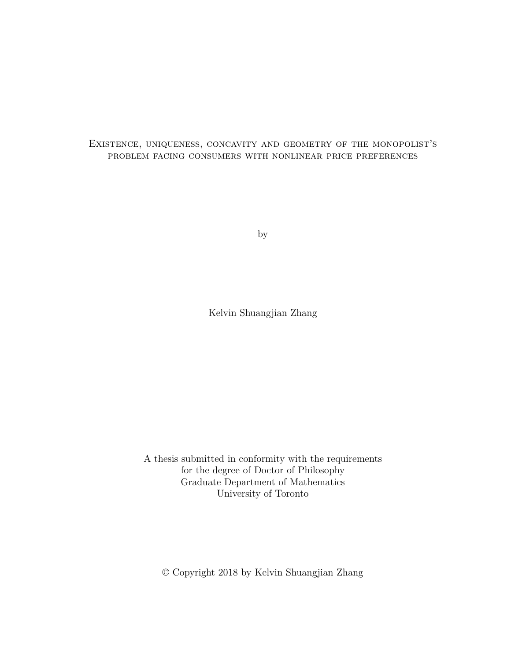#### Existence, uniqueness, concavity and geometry of the monopolist's problem facing consumers with nonlinear price preferences

by

Kelvin Shuangjian Zhang

A thesis submitted in conformity with the requirements for the degree of Doctor of Philosophy Graduate Department of Mathematics University of Toronto

© Copyright 2018 by Kelvin Shuangjian Zhang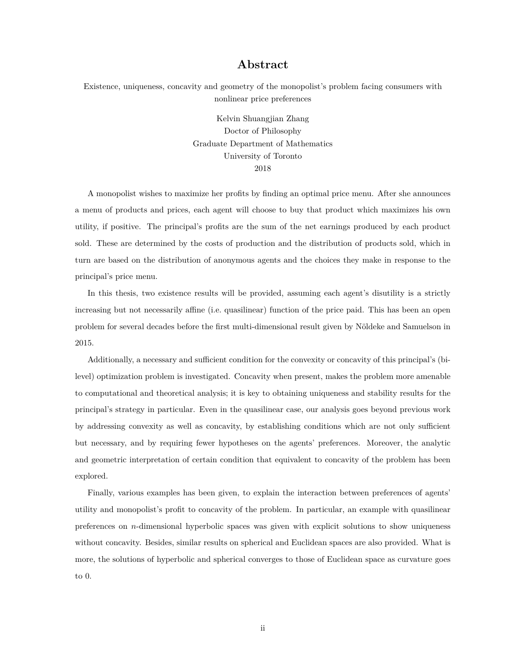#### **Abstract**

Existence, uniqueness, concavity and geometry of the monopolist's problem facing consumers with nonlinear price preferences

> Kelvin Shuangjian Zhang Doctor of Philosophy Graduate Department of Mathematics University of Toronto 2018

A monopolist wishes to maximize her profits by finding an optimal price menu. After she announces a menu of products and prices, each agent will choose to buy that product which maximizes his own utility, if positive. The principal's profits are the sum of the net earnings produced by each product sold. These are determined by the costs of production and the distribution of products sold, which in turn are based on the distribution of anonymous agents and the choices they make in response to the principal's price menu.

In this thesis, two existence results will be provided, assuming each agent's disutility is a strictly increasing but not necessarily affine (i.e. quasilinear) function of the price paid. This has been an open problem for several decades before the first multi-dimensional result given by Nöldeke and Samuelson in 2015.

Additionally, a necessary and sufficient condition for the convexity or concavity of this principal's (bilevel) optimization problem is investigated. Concavity when present, makes the problem more amenable to computational and theoretical analysis; it is key to obtaining uniqueness and stability results for the principal's strategy in particular. Even in the quasilinear case, our analysis goes beyond previous work by addressing convexity as well as concavity, by establishing conditions which are not only sufficient but necessary, and by requiring fewer hypotheses on the agents' preferences. Moreover, the analytic and geometric interpretation of certain condition that equivalent to concavity of the problem has been explored.

Finally, various examples has been given, to explain the interaction between preferences of agents' utility and monopolist's profit to concavity of the problem. In particular, an example with quasilinear preferences on *n*-dimensional hyperbolic spaces was given with explicit solutions to show uniqueness without concavity. Besides, similar results on spherical and Euclidean spaces are also provided. What is more, the solutions of hyperbolic and spherical converges to those of Euclidean space as curvature goes to 0.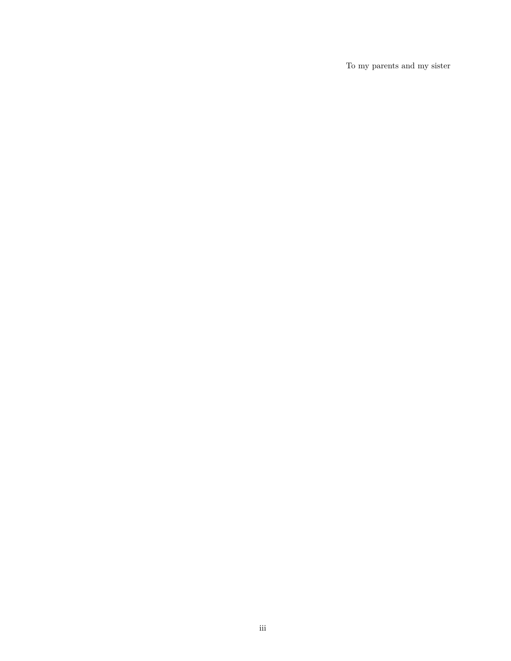To my parents and my sister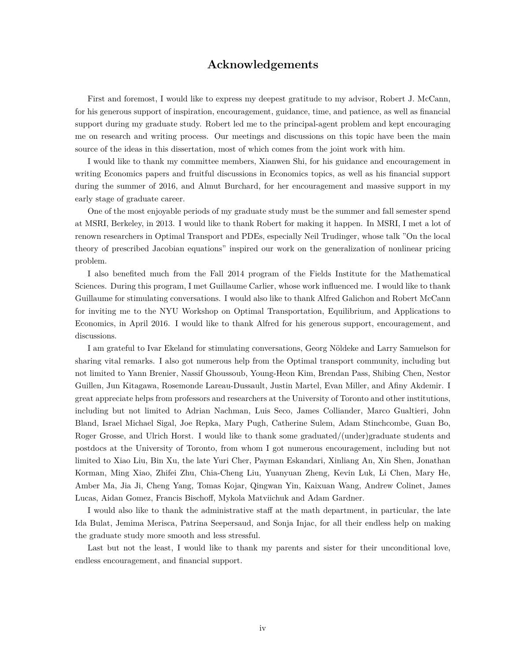#### **Acknowledgements**

First and foremost, I would like to express my deepest gratitude to my advisor, Robert J. McCann, for his generous support of inspiration, encouragement, guidance, time, and patience, as well as financial support during my graduate study. Robert led me to the principal-agent problem and kept encouraging me on research and writing process. Our meetings and discussions on this topic have been the main source of the ideas in this dissertation, most of which comes from the joint work with him.

I would like to thank my committee members, Xianwen Shi, for his guidance and encouragement in writing Economics papers and fruitful discussions in Economics topics, as well as his financial support during the summer of 2016, and Almut Burchard, for her encouragement and massive support in my early stage of graduate career.

One of the most enjoyable periods of my graduate study must be the summer and fall semester spend at MSRI, Berkeley, in 2013. I would like to thank Robert for making it happen. In MSRI, I met a lot of renown researchers in Optimal Transport and PDEs, especially Neil Trudinger, whose talk "On the local theory of prescribed Jacobian equations" inspired our work on the generalization of nonlinear pricing problem.

I also benefited much from the Fall 2014 program of the Fields Institute for the Mathematical Sciences. During this program, I met Guillaume Carlier, whose work influenced me. I would like to thank Guillaume for stimulating conversations. I would also like to thank Alfred Galichon and Robert McCann for inviting me to the NYU Workshop on Optimal Transportation, Equilibrium, and Applications to Economics, in April 2016. I would like to thank Alfred for his generous support, encouragement, and discussions.

I am grateful to Ivar Ekeland for stimulating conversations, Georg Nöldeke and Larry Samuelson for sharing vital remarks. I also got numerous help from the Optimal transport community, including but not limited to Yann Brenier, Nassif Ghoussoub, Young-Heon Kim, Brendan Pass, Shibing Chen, Nestor Guillen, Jun Kitagawa, Rosemonde Lareau-Dussault, Justin Martel, Evan Miller, and Afiny Akdemir. I great appreciate helps from professors and researchers at the University of Toronto and other institutions, including but not limited to Adrian Nachman, Luis Seco, James Colliander, Marco Gualtieri, John Bland, Israel Michael Sigal, Joe Repka, Mary Pugh, Catherine Sulem, Adam Stinchcombe, Guan Bo, Roger Grosse, and Ulrich Horst. I would like to thank some graduated/(under)graduate students and postdocs at the University of Toronto, from whom I got numerous encouragement, including but not limited to Xiao Liu, Bin Xu, the late Yuri Cher, Payman Eskandari, Xinliang An, Xin Shen, Jonathan Korman, Ming Xiao, Zhifei Zhu, Chia-Cheng Liu, Yuanyuan Zheng, Kevin Luk, Li Chen, Mary He, Amber Ma, Jia Ji, Cheng Yang, Tomas Kojar, Qingwan Yin, Kaixuan Wang, Andrew Colinet, James Lucas, Aidan Gomez, Francis Bischoff, Mykola Matviichuk and Adam Gardner.

I would also like to thank the administrative staff at the math department, in particular, the late Ida Bulat, Jemima Merisca, Patrina Seepersaud, and Sonja Injac, for all their endless help on making the graduate study more smooth and less stressful.

Last but not the least, I would like to thank my parents and sister for their unconditional love, endless encouragement, and financial support.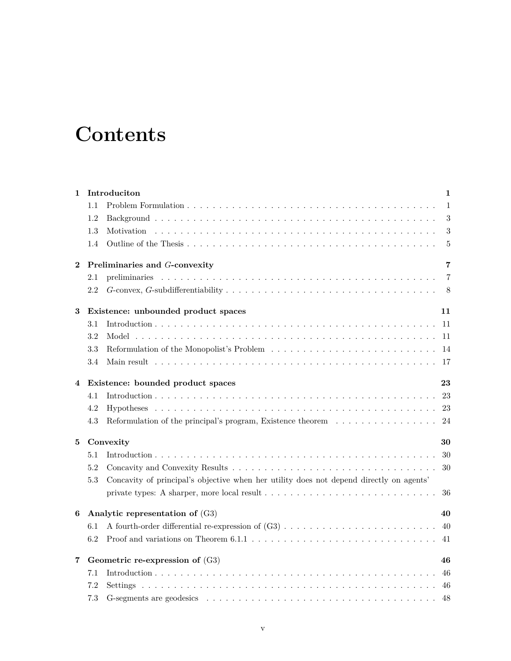# **Contents**

| Introduciton<br>$\mathbf{1}$ |                                                                                                                      |  |                |  |  |
|------------------------------|----------------------------------------------------------------------------------------------------------------------|--|----------------|--|--|
|                              | 1.1                                                                                                                  |  | $\mathbf{1}$   |  |  |
|                              | 1.2                                                                                                                  |  | 3              |  |  |
|                              | 1.3<br>Motivation                                                                                                    |  | 3              |  |  |
|                              | 1.4                                                                                                                  |  | 5              |  |  |
| $\bf{2}$                     | Preliminaries and G-convexity                                                                                        |  | 7              |  |  |
|                              | 2.1<br>preliminaries                                                                                                 |  | $\overline{7}$ |  |  |
|                              | 2.2                                                                                                                  |  | 8              |  |  |
| 3                            | Existence: unbounded product spaces<br>11                                                                            |  |                |  |  |
|                              | 3.1                                                                                                                  |  | 11             |  |  |
|                              | 3.2                                                                                                                  |  | -11            |  |  |
|                              | 3.3                                                                                                                  |  | 14             |  |  |
|                              | $3.4\,$                                                                                                              |  | -17            |  |  |
| 4                            | Existence: bounded product spaces<br>23                                                                              |  |                |  |  |
|                              | 4.1                                                                                                                  |  | 23             |  |  |
|                              | 4.2                                                                                                                  |  |                |  |  |
|                              | 4.3<br>Reformulation of the principal's program, Existence theorem 24                                                |  |                |  |  |
| 5                            | Convexity                                                                                                            |  | 30             |  |  |
|                              | 5.1                                                                                                                  |  | -30            |  |  |
|                              | 5.2                                                                                                                  |  | 30             |  |  |
|                              | Concavity of principal's objective when her utility does not depend directly on agents'<br>5.3                       |  |                |  |  |
|                              | private types: A sharper, more local result $\dots \dots \dots \dots \dots \dots \dots \dots \dots \dots \dots$      |  | -36            |  |  |
| 6                            | Analytic representation of $(G3)$                                                                                    |  | 40             |  |  |
|                              | 6.1                                                                                                                  |  | 40             |  |  |
|                              | 6.2<br>Proof and variations on Theorem $6.1.1 \ldots \ldots \ldots \ldots \ldots \ldots \ldots \ldots \ldots \ldots$ |  | 41             |  |  |
| 7                            | Geometric re-expression of (G3)<br>46                                                                                |  |                |  |  |
|                              | 7.1                                                                                                                  |  | 46             |  |  |
|                              | 7.2                                                                                                                  |  |                |  |  |
|                              | 7.3                                                                                                                  |  | -48            |  |  |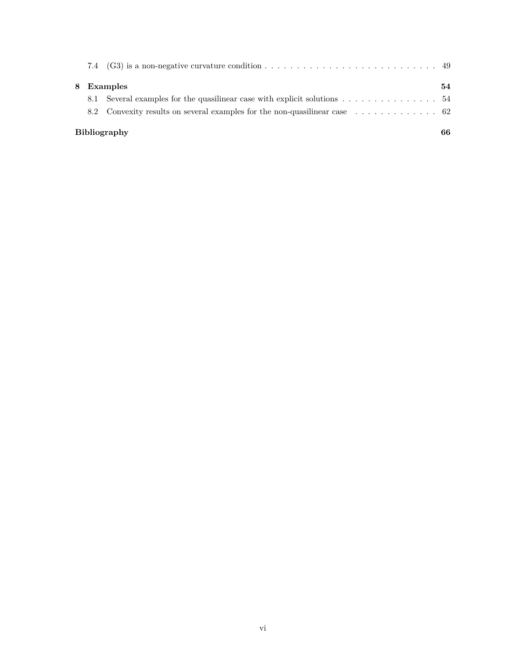|     | 7.4 (G3) is a non-negative curvature condition $\dots \dots \dots \dots \dots \dots \dots \dots \dots \dots \dots \dots$ |    |
|-----|--------------------------------------------------------------------------------------------------------------------------|----|
|     | 8 Examples                                                                                                               | 54 |
| 8.1 | Several examples for the quasilinear case with explicit solutions $\dots \dots \dots \dots \dots$                        |    |
|     | 8.2 Convexity results on several examples for the non-quasilinear case 62                                                |    |
|     | <b>Bibliography</b>                                                                                                      | 66 |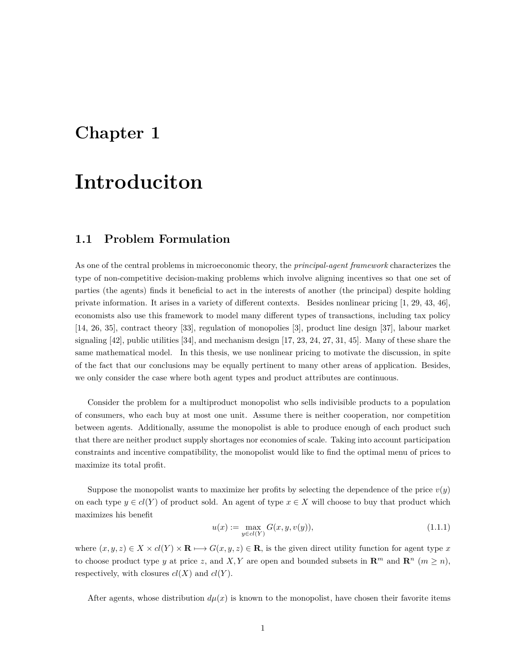## **Chapter 1**

# **Introduciton**

#### **1.1 Problem Formulation**

As one of the central problems in microeconomic theory, the *principal-agent framework* characterizes the type of non-competitive decision-making problems which involve aligning incentives so that one set of parties (the agents) finds it beneficial to act in the interests of another (the principal) despite holding private information. It arises in a variety of different contexts. Besides nonlinear pricing [1, 29, 43, 46], economists also use this framework to model many different types of transactions, including tax policy [14, 26, 35], contract theory [33], regulation of monopolies [3], product line design [37], labour market signaling [42], public utilities [34], and mechanism design [17, 23, 24, 27, 31, 45]. Many of these share the same mathematical model. In this thesis, we use nonlinear pricing to motivate the discussion, in spite of the fact that our conclusions may be equally pertinent to many other areas of application. Besides, we only consider the case where both agent types and product attributes are continuous.

Consider the problem for a multiproduct monopolist who sells indivisible products to a population of consumers, who each buy at most one unit. Assume there is neither cooperation, nor competition between agents. Additionally, assume the monopolist is able to produce enough of each product such that there are neither product supply shortages nor economies of scale. Taking into account participation constraints and incentive compatibility, the monopolist would like to find the optimal menu of prices to maximize its total profit.

Suppose the monopolist wants to maximize her profits by selecting the dependence of the price  $v(y)$ on each type  $y \in cl(Y)$  of product sold. An agent of type  $x \in X$  will choose to buy that product which maximizes his benefit

$$
u(x) := \max_{y \in cl(Y)} G(x, y, v(y)),
$$
\n(1.1.1)

where  $(x, y, z) \in X \times cl(Y) \times \mathbf{R} \mapsto G(x, y, z) \in \mathbf{R}$ , is the given direct utility function for agent type *x* to choose product type *y* at price *z*, and *X*, *Y* are open and bounded subsets in  $\mathbb{R}^m$  and  $\mathbb{R}^n$  ( $m \ge n$ ), respectively, with closures  $cl(X)$  and  $cl(Y)$ .

After agents, whose distribution  $d\mu(x)$  is known to the monopolist, have chosen their favorite items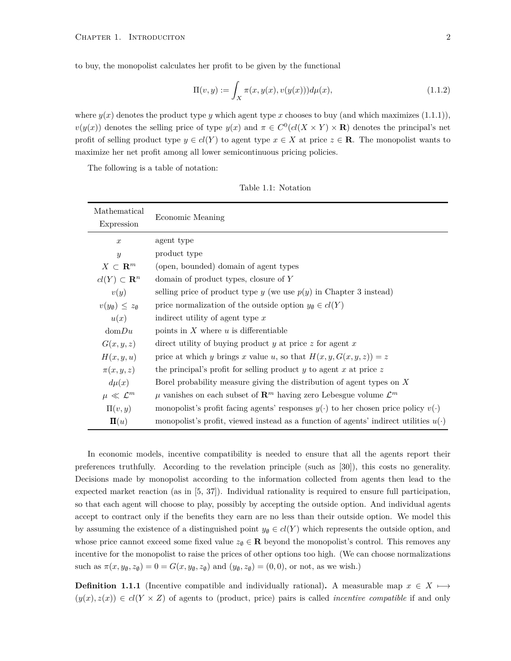to buy, the monopolist calculates her profit to be given by the functional

$$
\Pi(v, y) := \int_X \pi(x, y(x), v(y(x))) d\mu(x), \tag{1.1.2}
$$

where  $y(x)$  denotes the product type *y* which agent type *x* chooses to buy (and which maximizes  $(1.1.1)$ ),  $v(y(x))$  denotes the selling price of type  $y(x)$  and  $\pi \in C^0(cl(X \times Y) \times \mathbf{R})$  denotes the principal's net profit of selling product type  $y \in cl(Y)$  to agent type  $x \in X$  at price  $z \in \mathbb{R}$ . The monopolist wants to maximize her net profit among all lower semicontinuous pricing policies.

The following is a table of notation:

| Mathematical<br>Expression            | Economic Meaning                                                                              |
|---------------------------------------|-----------------------------------------------------------------------------------------------|
| $\boldsymbol{x}$                      | agent type                                                                                    |
| $\mathcal{Y}$                         | product type                                                                                  |
| $X \subset \mathbf{R}^m$              | (open, bounded) domain of agent types                                                         |
| $cl(Y) \subset \mathbf{R}^n$          | domain of product types, closure of $Y$                                                       |
| v(y)                                  | selling price of product type $y$ (we use $p(y)$ in Chapter 3 instead)                        |
| $v(y_{\emptyset}) \leq z_{\emptyset}$ | price normalization of the outside option $y_{\emptyset} \in cl(Y)$                           |
| u(x)                                  | indirect utility of agent type $x$                                                            |
| domDu                                 | points in $X$ where $u$ is differentiable                                                     |
| G(x, y, z)                            | direct utility of buying product $y$ at price $z$ for agent $x$                               |
| H(x, y, u)                            | price at which y brings x value u, so that $H(x, y, G(x, y, z)) = z$                          |
| $\pi(x,y,z)$                          | the principal's profit for selling product $y$ to agent $x$ at price $z$                      |
| $d\mu(x)$                             | Borel probability measure giving the distribution of agent types on $X$                       |
| $\mu \ll \mathcal{L}^m$               | $\mu$ vanishes on each subset of $\mathbb{R}^m$ having zero Lebesgue volume $\mathcal{L}^m$   |
| $\Pi(v, y)$                           | monopolist's profit facing agents' responses $y(\cdot)$ to her chosen price policy $v(\cdot)$ |
| $\Pi(u)$                              | monopolist's profit, viewed instead as a function of agents' indirect utilities $u(\cdot)$    |

Table 1.1: Notation

In economic models, incentive compatibility is needed to ensure that all the agents report their preferences truthfully. According to the revelation principle (such as [30]), this costs no generality. Decisions made by monopolist according to the information collected from agents then lead to the expected market reaction (as in [5, 37]). Individual rationality is required to ensure full participation, so that each agent will choose to play, possibly by accepting the outside option. And individual agents accept to contract only if the benefits they earn are no less than their outside option. We model this by assuming the existence of a distinguished point  $y_{\emptyset} \in cl(Y)$  which represents the outside option, and whose price cannot exceed some fixed value  $z_{\emptyset} \in \mathbb{R}$  beyond the monopolist's control. This removes any incentive for the monopolist to raise the prices of other options too high. (We can choose normalizations such as  $\pi(x, y_{\emptyset}, z_{\emptyset}) = 0 = G(x, y_{\emptyset}, z_{\emptyset})$  and  $(y_{\emptyset}, z_{\emptyset}) = (0, 0)$ , or not, as we wish.)

**Definition 1.1.1** (Incentive compatible and individually rational). A measurable map  $x \in X \mapsto$  $(y(x), z(x)) \in cl(Y \times Z)$  of agents to (product, price) pairs is called *incentive compatible* if and only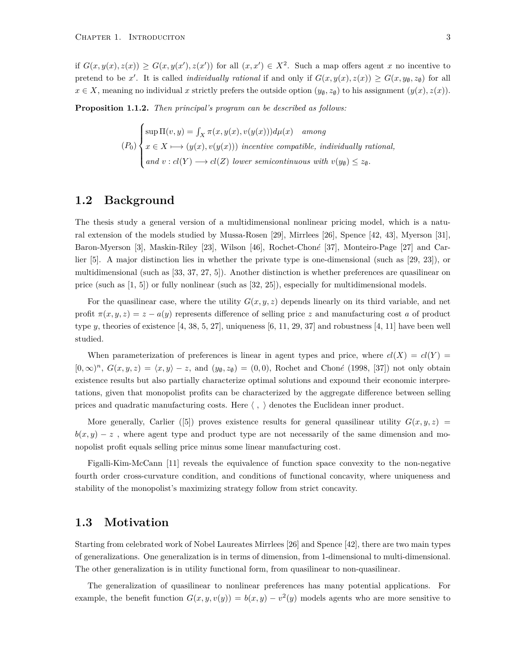if  $G(x,y(x),z(x)) \geq G(x,y(x'),z(x'))$  for all  $(x,x') \in X^2$ . Such a map offers agent x no incentive to pretend to be *x'*. It is called *individually rational* if and only if  $G(x, y(x), z(x)) \ge G(x, y_0, z_0)$  for all  $x \in X$ , meaning no individual *x* strictly prefers the outside option  $(y_0, z_0)$  to his assignment  $(y(x), z(x))$ .

**Proposition 1.1.2.** *Then principal's program can be described as follows:*

$$
(P_0)\begin{cases} \sup \Pi(v,y) = \int_X \pi(x,y(x), v(y(x))) d\mu(x) \quad among\\ x \in X \longmapsto (y(x), v(y(x))) \text{ incentive compatible, individually rational,}\\ \text{and } v: cl(Y) \longrightarrow cl(Z) \text{ lower semicontinuous with } v(y_0) \le z_0. \end{cases}
$$

#### **1.2 Background**

The thesis study a general version of a multidimensional nonlinear pricing model, which is a natural extension of the models studied by Mussa-Rosen [29], Mirrlees [26], Spence [42, 43], Myerson [31], Baron-Myerson [3], Maskin-Riley [23], Wilson [46], Rochet-Chon*e*´ [37], Monteiro-Page [27] and Carlier [5]. A major distinction lies in whether the private type is one-dimensional (such as [29, 23]), or multidimensional (such as [33, 37, 27, 5]). Another distinction is whether preferences are quasilinear on price (such as [1, 5]) or fully nonlinear (such as [32, 25]), especially for multidimensional models.

For the quasilinear case, where the utility  $G(x, y, z)$  depends linearly on its third variable, and net profit  $\pi(x, y, z) = z - a(y)$  represents difference of selling price z and manufacturing cost *a* of product type *y*, theories of existence [4, 38, 5, 27], uniqueness [6, 11, 29, 37] and robustness [4, 11] have been well studied.

When parameterization of preferences is linear in agent types and price, where  $cl(X) = cl(Y)$  $[0, \infty)^n$ ,  $G(x, y, z) = \langle x, y \rangle - z$ , and  $(y_\emptyset, z_\emptyset) = (0, 0)$ , Rochet and Choné (1998, [37]) not only obtain existence results but also partially characterize optimal solutions and expound their economic interpretations, given that monopolist profits can be characterized by the aggregate difference between selling prices and quadratic manufacturing costs. Here *⟨ , ⟩* denotes the Euclidean inner product.

More generally, Carlier ([5]) proves existence results for general quasilinear utility  $G(x, y, z)$  $b(x, y) - z$ , where agent type and product type are not necessarily of the same dimension and monopolist profit equals selling price minus some linear manufacturing cost.

Figalli-Kim-McCann [11] reveals the equivalence of function space convexity to the non-negative fourth order cross-curvature condition, and conditions of functional concavity, where uniqueness and stability of the monopolist's maximizing strategy follow from strict concavity.

#### **1.3 Motivation**

Starting from celebrated work of Nobel Laureates Mirrlees [26] and Spence [42], there are two main types of generalizations. One generalization is in terms of dimension, from 1-dimensional to multi-dimensional. The other generalization is in utility functional form, from quasilinear to non-quasilinear.

The generalization of quasilinear to nonlinear preferences has many potential applications. For example, the benefit function  $G(x, y, v(y)) = b(x, y) - v^2(y)$  models agents who are more sensitive to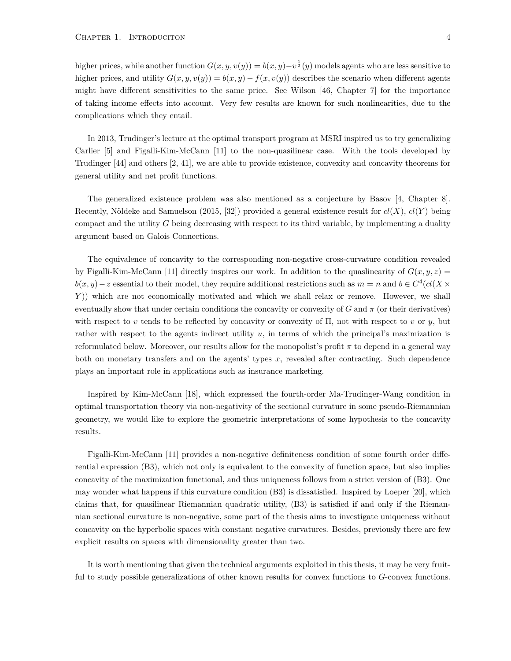higher prices, while another function  $G(x, y, v(y)) = b(x, y) - v^{\frac{1}{2}}(y)$  models agents who are less sensitive to higher prices, and utility  $G(x, y, v(y)) = b(x, y) - f(x, v(y))$  describes the scenario when different agents might have different sensitivities to the same price. See Wilson [46, Chapter 7] for the importance of taking income effects into account. Very few results are known for such nonlinearities, due to the complications which they entail.

In 2013, Trudinger's lecture at the optimal transport program at MSRI inspired us to try generalizing Carlier [5] and Figalli-Kim-McCann [11] to the non-quasilinear case. With the tools developed by Trudinger [44] and others [2, 41], we are able to provide existence, convexity and concavity theorems for general utility and net profit functions.

The generalized existence problem was also mentioned as a conjecture by Basov [4, Chapter 8]. Recently, Nöldeke and Samuelson (2015, [32]) provided a general existence result for  $cl(X)$ ,  $cl(Y)$  being compact and the utility *G* being decreasing with respect to its third variable, by implementing a duality argument based on Galois Connections.

The equivalence of concavity to the corresponding non-negative cross-curvature condition revealed by Figalli-Kim-McCann [11] directly inspires our work. In addition to the quaslinearity of  $G(x, y, z) =$  $b(x, y) - z$  essential to their model, they require additional restrictions such as  $m = n$  and  $b \in C^4(cl(X \times$ *Y*)) which are not economically motivated and which we shall relax or remove. However, we shall eventually show that under certain conditions the concavity or convexity of *G* and  $\pi$  (or their derivatives) with respect to *v* tends to be reflected by concavity or convexity of Π, not with respect to *v* or *y*, but rather with respect to the agents indirect utility *u*, in terms of which the principal's maximization is reformulated below. Moreover, our results allow for the monopolist's profit *π* to depend in a general way both on monetary transfers and on the agents' types *x*, revealed after contracting. Such dependence plays an important role in applications such as insurance marketing.

Inspired by Kim-McCann [18], which expressed the fourth-order Ma-Trudinger-Wang condition in optimal transportation theory via non-negativity of the sectional curvature in some pseudo-Riemannian geometry, we would like to explore the geometric interpretations of some hypothesis to the concavity results.

Figalli-Kim-McCann [11] provides a non-negative definiteness condition of some fourth order differential expression (B3), which not only is equivalent to the convexity of function space, but also implies concavity of the maximization functional, and thus uniqueness follows from a strict version of (B3). One may wonder what happens if this curvature condition (B3) is dissatisfied. Inspired by Loeper [20], which claims that, for quasilinear Riemannian quadratic utility, (B3) is satisfied if and only if the Riemannian sectional curvature is non-negative, some part of the thesis aims to investigate uniqueness without concavity on the hyperbolic spaces with constant negative curvatures. Besides, previously there are few explicit results on spaces with dimensionality greater than two.

It is worth mentioning that given the technical arguments exploited in this thesis, it may be very fruitful to study possible generalizations of other known results for convex functions to *G*-convex functions.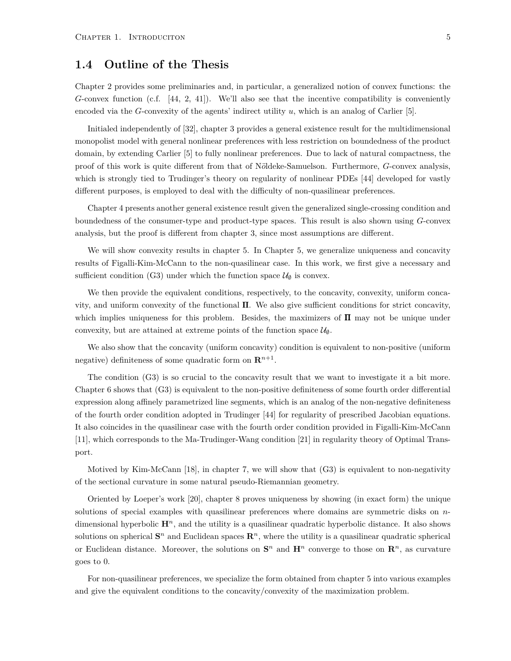#### **1.4 Outline of the Thesis**

Chapter 2 provides some preliminaries and, in particular, a generalized notion of convex functions: the *G*-convex function (c.f. [44, 2, 41]). We'll also see that the incentive compatibility is conveniently encoded via the *G*-convexity of the agents' indirect utility *u*, which is an analog of Carlier [5].

Initialed independently of [32], chapter 3 provides a general existence result for the multidimensional monopolist model with general nonlinear preferences with less restriction on boundedness of the product domain, by extending Carlier [5] to fully nonlinear preferences. Due to lack of natural compactness, the proof of this work is quite different from that of Nöldeke-Samuelson. Furthermore, *G*-convex analysis, which is strongly tied to Trudinger's theory on regularity of nonlinear PDEs [44] developed for vastly different purposes, is employed to deal with the difficulty of non-quasilinear preferences.

Chapter 4 presents another general existence result given the generalized single-crossing condition and boundedness of the consumer-type and product-type spaces. This result is also shown using *G*-convex analysis, but the proof is different from chapter 3, since most assumptions are different.

We will show convexity results in chapter 5. In Chapter 5, we generalize uniqueness and concavity results of Figalli-Kim-McCann to the non-quasilinear case. In this work, we first give a necessary and sufficient condition (G3) under which the function space  $\mathcal{U}_{\emptyset}$  is convex.

We then provide the equivalent conditions, respectively, to the concavity, convexity, uniform concavity, and uniform convexity of the functional  $\Pi$ . We also give sufficient conditions for strict concavity, which implies uniqueness for this problem. Besides, the maximizers of  $\Pi$  may not be unique under convexity, but are attained at extreme points of the function space  $\mathcal{U}_{\emptyset}$ .

We also show that the concavity (uniform concavity) condition is equivalent to non-positive (uniform negative) definiteness of some quadratic form on  $\mathbb{R}^{n+1}$ .

The condition (G3) is so crucial to the concavity result that we want to investigate it a bit more. Chapter 6 shows that (G3) is equivalent to the non-positive definiteness of some fourth order differential expression along affinely parametrized line segments, which is an analog of the non-negative definiteness of the fourth order condition adopted in Trudinger [44] for regularity of prescribed Jacobian equations. It also coincides in the quasilinear case with the fourth order condition provided in Figalli-Kim-McCann [11], which corresponds to the Ma-Trudinger-Wang condition [21] in regularity theory of Optimal Transport.

Motived by Kim-McCann [18], in chapter 7, we will show that (G3) is equivalent to non-negativity of the sectional curvature in some natural pseudo-Riemannian geometry.

Oriented by Loeper's work [20], chapter 8 proves uniqueness by showing (in exact form) the unique solutions of special examples with quasilinear preferences where domains are symmetric disks on *n*dimensional hyperbolic  $\mathbf{H}^n$ , and the utility is a quasilinear quadratic hyperbolic distance. It also shows solutions on spherical  $\mathbf{S}^n$  and Euclidean spaces  $\mathbf{R}^n$ , where the utility is a quasilinear quadratic spherical or Euclidean distance. Moreover, the solutions on  $S<sup>n</sup>$  and  $H<sup>n</sup>$  converge to those on  $\mathbb{R}^n$ , as curvature goes to 0.

For non-quasilinear preferences, we specialize the form obtained from chapter 5 into various examples and give the equivalent conditions to the concavity/convexity of the maximization problem.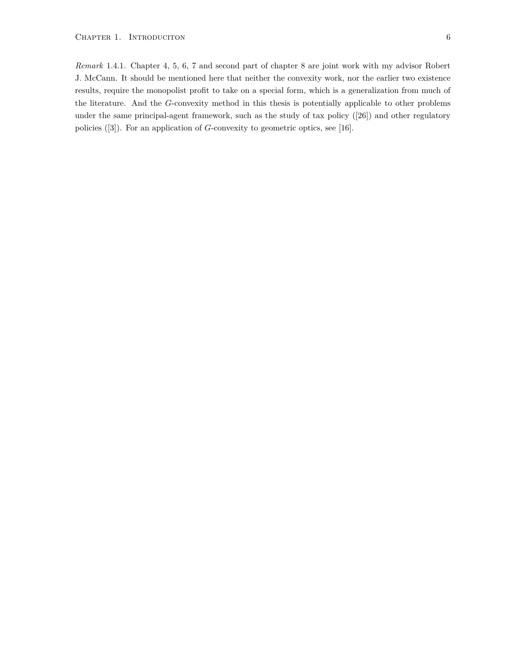*Remark* 1.4.1*.* Chapter 4, 5, 6, 7 and second part of chapter 8 are joint work with my advisor Robert J. McCann. It should be mentioned here that neither the convexity work, nor the earlier two existence results, require the monopolist profit to take on a special form, which is a generalization from much of the literature. And the *G*-convexity method in this thesis is potentially applicable to other problems under the same principal-agent framework, such as the study of tax policy ([26]) and other regulatory policies ([3]). For an application of *G*-convexity to geometric optics, see [16].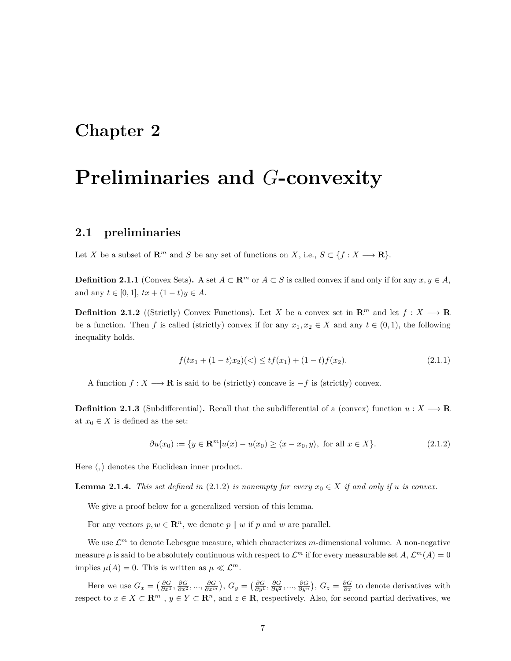## **Chapter 2**

## **Preliminaries and** *G***-convexity**

#### **2.1 preliminaries**

Let *X* be a subset of  $\mathbb{R}^m$  and *S* be any set of functions on *X*, i.e.,  $S \subset \{f : X \longrightarrow \mathbb{R}\}.$ 

**Definition 2.1.1** (Convex Sets). A set  $A \subset \mathbb{R}^m$  or  $A \subset S$  is called convex if and only if for any  $x, y \in A$ , and any  $t \in [0, 1], tx + (1 - t)y \in A$ .

**Definition 2.1.2** ((Strictly) Convex Functions). Let *X* be a convex set in  $\mathbb{R}^m$  and let  $f: X \longrightarrow \mathbb{R}$ be a function. Then *f* is called (strictly) convex if for any  $x_1, x_2 \in X$  and any  $t \in (0,1)$ , the following inequality holds.

$$
f(tx_1 + (1-t)x_2)(<) \le tf(x_1) + (1-t)f(x_2). \tag{2.1.1}
$$

A function *f* : *X −→* **R** is said to be (strictly) concave is *−f* is (strictly) convex.

**Definition 2.1.3** (Subdifferential). Recall that the subdifferential of a (convex) function  $u : X \longrightarrow \mathbf{R}$ at  $x_0 \in X$  is defined as the set:

$$
\partial u(x_0) := \{ y \in \mathbf{R}^m | u(x) - u(x_0) \ge \langle x - x_0, y \rangle, \text{ for all } x \in X \}. \tag{2.1.2}
$$

Here *⟨,⟩* denotes the Euclidean inner product.

**Lemma 2.1.4.** *This set defined in* (2.1.2) *is nonempty for every*  $x_0 \in X$  *if and only if u is convex.* 

We give a proof below for a generalized version of this lemma.

For any vectors  $p, w \in \mathbb{R}^n$ , we denote  $p \parallel w$  if  $p$  and  $w$  are parallel.

We use  $\mathcal{L}^m$  to denote Lebesgue measure, which characterizes  $m$ -dimensional volume. A non-negative measure  $\mu$  is said to be absolutely continuous with respect to  $\mathcal{L}^m$  if for every measurable set  $A, \mathcal{L}^m(A) = 0$ implies  $\mu(A) = 0$ . This is written as  $\mu \ll \mathcal{L}^m$ .

Here we use  $G_x = \left(\frac{\partial G}{\partial x^1}, \frac{\partial G}{\partial x^2}, \dots, \frac{\partial G}{\partial x^m}\right), G_y = \left(\frac{\partial G}{\partial y^1}, \frac{\partial G}{\partial y^2}, \dots, \frac{\partial G}{\partial y^n}\right), G_z = \frac{\partial G}{\partial z}$  to denote derivatives with respect to  $x \in X \subset \mathbb{R}^m$ ,  $y \in Y \subset \mathbb{R}^n$ , and  $z \in \mathbb{R}$ , respectively. Also, for second partial derivatives, we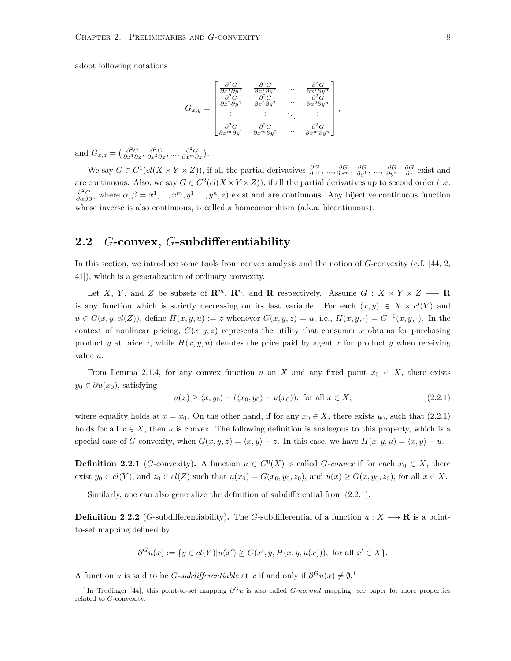adopt following notations

$$
G_{x,y} = \begin{bmatrix} \frac{\partial^2 G}{\partial x^1 \partial y^1} & \frac{\partial^2 G}{\partial x^1 \partial y^2} & \cdots & \frac{\partial^2 G}{\partial x^1 \partial y^n} \\ \frac{\partial^2 G}{\partial x^2 \partial y^1} & \frac{\partial^2 G}{\partial x^2 \partial y^2} & \cdots & \frac{\partial^2 G}{\partial x^2 \partial y^n} \\ \vdots & \vdots & \ddots & \vdots \\ \frac{\partial^2 G}{\partial x^m \partial y^1} & \frac{\partial^2 G}{\partial x^m \partial y^2} & \cdots & \frac{\partial^2 G}{\partial x^m \partial y^n} \end{bmatrix},
$$

and  $G_{x,z} = \left(\frac{\partial^2 G}{\partial x^1 \partial z}, \frac{\partial^2 G}{\partial x^2 \partial z}, ..., \frac{\partial^2 G}{\partial x^m \partial z}\right)$ .

We say  $G \in C^1(cl(X \times Y \times Z))$ , if all the partial derivatives  $\frac{\partial G}{\partial x^1}, \dots, \frac{\partial G}{\partial x^n}, \frac{\partial G}{\partial y^1}, \dots, \frac{\partial G}{\partial y^n}, \frac{\partial G}{\partial z}$  exist and are continuous. Also, we say  $G \in C^2(cl(X \times Y \times Z))$ , if all the partial derivatives up to second order (i.e.  $\frac{\partial^2 G}{\partial \alpha \partial \beta}$ , where  $\alpha, \beta = x^1, ..., x^m, y^1, ..., y^n, z)$  exist and are continuous. Any bijective continuous function whose inverse is also continuous, is called a homeomorphism (a.k.a. bicontinuous).

#### **2.2** *G***-convex,** *G***-subdifferentiability**

In this section, we introduce some tools from convex analysis and the notion of *G*-convexity (c.f. [44, 2, 41]), which is a generalization of ordinary convexity.

Let *X*, *Y*, and *Z* be subsets of  $\mathbb{R}^m$ ,  $\mathbb{R}^n$ , and **R** respectively. Assume  $G: X \times Y \times Z \longrightarrow \mathbb{R}$ is any function which is strictly decreasing on its last variable. For each  $(x, y) \in X \times cl(Y)$  and  $u \in G(x, y, cl(Z))$ , define  $H(x, y, u) := z$  whenever  $G(x, y, z) = u$ , i.e.,  $H(x, y, \cdot) = G^{-1}(x, y, \cdot)$ . In the context of nonlinear pricing,  $G(x, y, z)$  represents the utility that consumer x obtains for purchasing product *y* at price *z*, while  $H(x, y, u)$  denotes the price paid by agent *x* for product *y* when receiving value *u*.

From Lemma 2.1.4, for any convex function *u* on *X* and any fixed point  $x_0 \in X$ , there exists  $y_0 \in \partial u(x_0)$ , satisfying

$$
u(x) \ge \langle x, y_0 \rangle - (\langle x_0, y_0 \rangle - u(x_0)), \text{ for all } x \in X,
$$
\n
$$
(2.2.1)
$$

where equality holds at  $x = x_0$ . On the other hand, if for any  $x_0 \in X$ , there exists  $y_0$ , such that (2.2.1) holds for all  $x \in X$ , then *u* is convex. The following definition is analogous to this property, which is a special case of *G*-convexity, when  $G(x, y, z) = \langle x, y \rangle - z$ . In this case, we have  $H(x, y, u) = \langle x, y \rangle - u$ .

**Definition 2.2.1** (*G*-convexity). A function  $u \in C^0(X)$  is called *G*-convex if for each  $x_0 \in X$ , there exist  $y_0 \in cl(Y)$ , and  $z_0 \in cl(Z)$  such that  $u(x_0) = G(x_0, y_0, z_0)$ , and  $u(x) \geq G(x, y_0, z_0)$ , for all  $x \in X$ .

Similarly, one can also generalize the definition of subdifferential from  $(2.2.1)$ .

**Definition 2.2.2** (*G*-subdifferentiability). The *G*-subdifferential of a function  $u : X \longrightarrow \mathbf{R}$  is a pointto-set mapping defined by

$$
\partial^{G} u(x) := \{ y \in cl(Y) | u(x') \ge G(x', y, H(x, y, u(x))), \text{ for all } x' \in X \}.
$$

A function *u* is said to be *G*-subdifferentiable at *x* if and only if  $\partial^G u(x) \neq \emptyset$ <sup>1</sup>

<sup>1</sup> In Trudinger [44], this point-to-set mapping *∂Gu* is also called *G*-*normal* mapping; see paper for more properties related to *G*-convexity.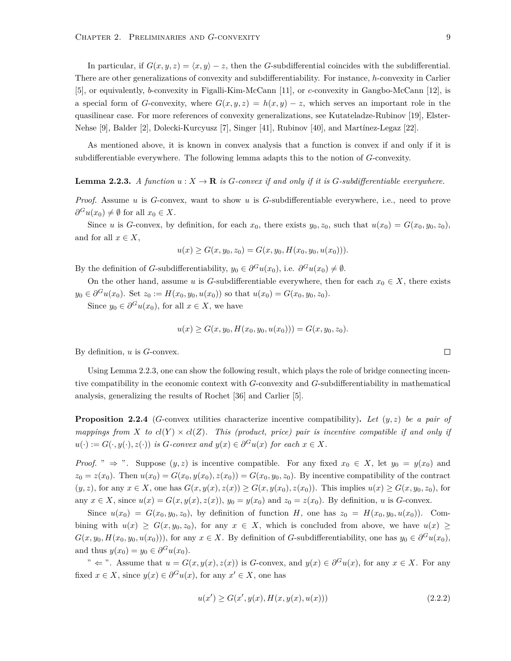In particular, if  $G(x, y, z) = \langle x, y \rangle - z$ , then the *G*-subdifferential coincides with the subdifferential. There are other generalizations of convexity and subdifferentiability. For instance, *h*-convexity in Carlier [5], or equivalently, *b*-convexity in Figalli-Kim-McCann [11], or *c*-convexity in Gangbo-McCann [12], is a special form of *G*-convexity, where  $G(x, y, z) = h(x, y) - z$ , which serves an important role in the quasilinear case. For more references of convexity generalizations, see Kutateladze-Rubinov [19], Elster-Nehse [9], Balder [2], Dolecki-Kurcyusz [7], Singer [41], Rubinov [40], and Martínez-Legaz [22].

As mentioned above, it is known in convex analysis that a function is convex if and only if it is subdifferentiable everywhere. The following lemma adapts this to the notion of *G*-convexity.

**Lemma 2.2.3.** *A function*  $u : X \to \mathbf{R}$  *is G-convex if and only if it is G-subdifferentiable everywhere.* 

*Proof.* Assume *u* is *G*-convex, want to show *u* is *G*-subdifferentiable everywhere, i.e., need to prove  $\partial^G u(x_0) \neq \emptyset$  for all  $x_0 \in X$ .

Since *u* is *G*-convex, by definition, for each  $x_0$ , there exists  $y_0, z_0$ , such that  $u(x_0) = G(x_0, y_0, z_0)$ , and for all  $x \in X$ ,

$$
u(x) \ge G(x, y_0, z_0) = G(x, y_0, H(x_0, y_0, u(x_0))).
$$

By the definition of *G*-subdifferentiability,  $y_0 \in \partial^G u(x_0)$ , i.e.  $\partial^G u(x_0) \neq \emptyset$ .

On the other hand, assume *u* is *G*-subdifferentiable everywhere, then for each  $x_0 \in X$ , there exists  $y_0 \in \partial^G u(x_0)$ . Set  $z_0 := H(x_0, y_0, u(x_0))$  so that  $u(x_0) = G(x_0, y_0, z_0)$ .

Since  $y_0 \in \partial^G u(x_0)$ , for all  $x \in X$ , we have

$$
u(x) \ge G(x, y_0, H(x_0, y_0, u(x_0))) = G(x, y_0, z_0).
$$

By definition, *u* is *G*-convex.

Using Lemma 2.2.3, one can show the following result, which plays the role of bridge connecting incentive compatibility in the economic context with *G*-convexity and *G*-subdifferentiability in mathematical analysis, generalizing the results of Rochet [36] and Carlier [5].

**Proposition 2.2.4** (*G*-convex utilities characterize incentive compatibility)**.** *Let* (*y, z*) *be a pair of mappings from X to*  $cl(Y) \times cl(Z)$ *. This (product, price) pair is incentive compatible if and only if*  $u(\cdot) := G(\cdot, y(\cdot), z(\cdot))$  is G-convex and  $y(x) \in \partial^G u(x)$  for each  $x \in X$ .

*Proof.* "  $\Rightarrow$  ". Suppose  $(y, z)$  is incentive compatible. For any fixed  $x_0 \in X$ , let  $y_0 = y(x_0)$  and  $z_0 = z(x_0)$ . Then  $u(x_0) = G(x_0, y(x_0), z(x_0)) = G(x_0, y_0, z_0)$ . By incentive compatibility of the contract  $(y, z)$ , for any  $x \in X$ , one has  $G(x, y(x), z(x)) \geq G(x, y(x_0), z(x_0))$ . This implies  $u(x) \geq G(x, y_0, z_0)$ , for any  $x \in X$ , since  $u(x) = G(x, y(x), z(x))$ ,  $y_0 = y(x_0)$  and  $z_0 = z(x_0)$ . By definition, *u* is *G*-convex.

Since  $u(x_0) = G(x_0, y_0, z_0)$ , by definition of function *H*, one has  $z_0 = H(x_0, y_0, u(x_0))$ . Combining with  $u(x) \ge G(x, y_0, z_0)$ , for any  $x \in X$ , which is concluded from above, we have  $u(x) \ge$  $G(x, y_0, H(x_0, y_0, u(x_0)))$ , for any  $x \in X$ . By definition of G-subdifferentiability, one has  $y_0 \in \partial^G u(x_0)$ , and thus  $y(x_0) = y_0 \in \partial^G u(x_0)$ .

"  $∈$ ". Assume that  $u = G(x, y(x), z(x))$  is *G*-convex, and  $y(x) ∈ ∂<sup>G</sup>u(x)$ , for any  $x ∈ X$ . For any fixed  $x \in X$ , since  $y(x) \in \partial^G u(x)$ , for any  $x' \in X$ , one has

$$
u(x') \ge G(x', y(x), H(x, y(x), u(x)))\tag{2.2.2}
$$

 $\Box$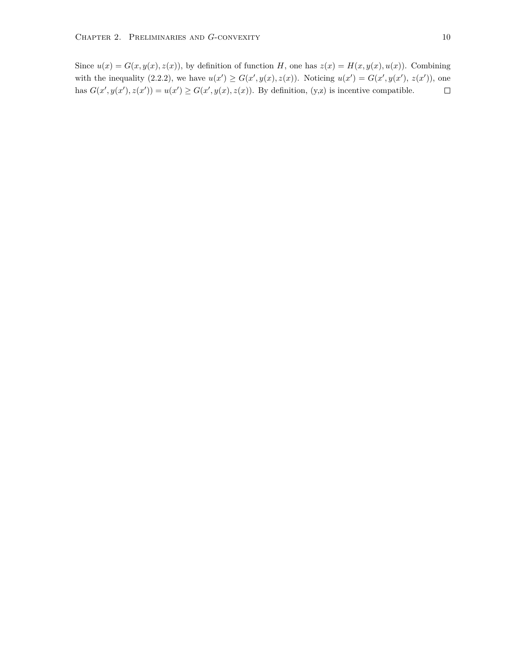Since  $u(x) = G(x, y(x), z(x))$ , by definition of function *H*, one has  $z(x) = H(x, y(x), u(x))$ . Combining with the inequality (2.2.2), we have  $u(x') \ge G(x', y(x), z(x))$ . Noticing  $u(x') = G(x', y(x'), z(x'))$ , one has  $G(x', y(x'), z(x')) = u(x') \ge G(x', y(x), z(x))$ . By definition, (y,z) is incentive compatible.  $\Box$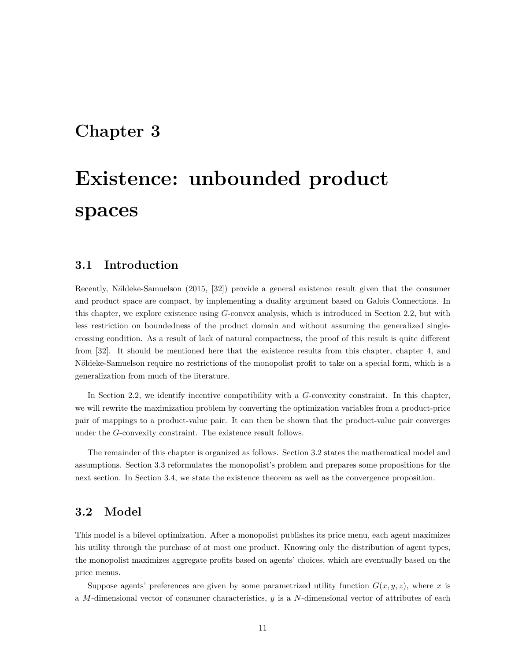## **Chapter 3**

# **Existence: unbounded product spaces**

#### **3.1 Introduction**

Recently, Nöldeke-Samuelson (2015, [32]) provide a general existence result given that the consumer and product space are compact, by implementing a duality argument based on Galois Connections. In this chapter, we explore existence using *G*-convex analysis, which is introduced in Section 2.2, but with less restriction on boundedness of the product domain and without assuming the generalized singlecrossing condition. As a result of lack of natural compactness, the proof of this result is quite different from [32]. It should be mentioned here that the existence results from this chapter, chapter 4, and N<sub>o</sub> Note the Samuelson require no restrictions of the monopolist profit to take on a special form, which is a generalization from much of the literature.

In Section 2.2, we identify incentive compatibility with a *G*-convexity constraint. In this chapter, we will rewrite the maximization problem by converting the optimization variables from a product-price pair of mappings to a product-value pair. It can then be shown that the product-value pair converges under the *G*-convexity constraint. The existence result follows.

The remainder of this chapter is organized as follows. Section 3.2 states the mathematical model and assumptions. Section 3.3 reformulates the monopolist's problem and prepares some propositions for the next section. In Section 3.4, we state the existence theorem as well as the convergence proposition.

#### **3.2 Model**

This model is a bilevel optimization. After a monopolist publishes its price menu, each agent maximizes his utility through the purchase of at most one product. Knowing only the distribution of agent types, the monopolist maximizes aggregate profits based on agents' choices, which are eventually based on the price menus.

Suppose agents' preferences are given by some parametrized utility function  $G(x, y, z)$ , where *x* is a *M*-dimensional vector of consumer characteristics, *y* is a *N*-dimensional vector of attributes of each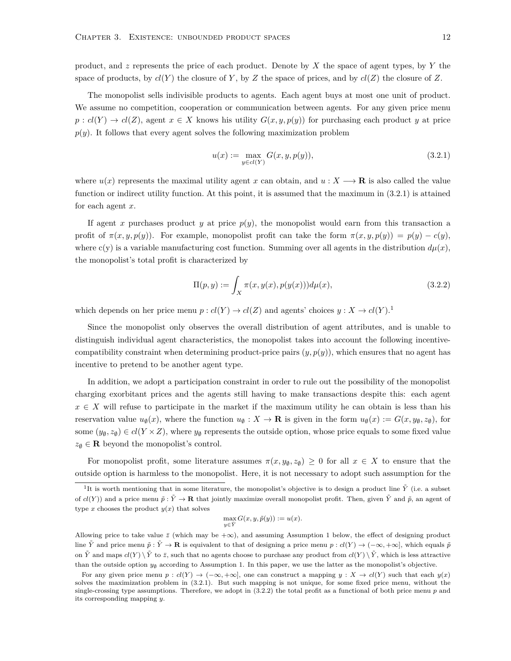product, and *z* represents the price of each product. Denote by *X* the space of agent types, by *Y* the space of products, by  $cl(Y)$  the closure of Y, by Z the space of prices, and by  $cl(Z)$  the closure of Z.

The monopolist sells indivisible products to agents. Each agent buys at most one unit of product. We assume no competition, cooperation or communication between agents. For any given price menu  $p: cl(Y) \to cl(Z)$ , agent  $x \in X$  knows his utility  $G(x, y, p(y))$  for purchasing each product *y* at price  $p(y)$ . It follows that every agent solves the following maximization problem

$$
u(x) := \max_{y \in cl(Y)} G(x, y, p(y)),
$$
\n(3.2.1)

where  $u(x)$  represents the maximal utility agent x can obtain, and  $u: X \longrightarrow \mathbf{R}$  is also called the value function or indirect utility function. At this point, it is assumed that the maximum in (3.2.1) is attained for each agent *x*.

If agent x purchases product y at price  $p(y)$ , the monopolist would earn from this transaction a profit of  $\pi(x, y, p(y))$ . For example, monopolist profit can take the form  $\pi(x, y, p(y)) = p(y) - c(y)$ . where  $c(y)$  is a variable manufacturing cost function. Summing over all agents in the distribution  $d\mu(x)$ , the monopolist's total profit is characterized by

$$
\Pi(p, y) := \int_X \pi(x, y(x), p(y(x))) d\mu(x), \tag{3.2.2}
$$

which depends on her price menu  $p: cl(Y) \to cl(Z)$  and agents' choices  $y: X \to cl(Y)$ .<sup>1</sup>

Since the monopolist only observes the overall distribution of agent attributes, and is unable to distinguish individual agent characteristics, the monopolist takes into account the following incentivecompatibility constraint when determining product-price pairs  $(y, p(y))$ , which ensures that no agent has incentive to pretend to be another agent type.

In addition, we adopt a participation constraint in order to rule out the possibility of the monopolist charging exorbitant prices and the agents still having to make transactions despite this: each agent  $x \in X$  will refuse to participate in the market if the maximum utility he can obtain is less than his reservation value  $u_{\emptyset}(x)$ , where the function  $u_{\emptyset}: X \to \mathbf{R}$  is given in the form  $u_{\emptyset}(x) := G(x, y_{\emptyset}, z_{\emptyset})$ , for some  $(y_0, z_0) \in cl(Y \times Z)$ , where  $y_0$  represents the outside option, whose price equals to some fixed value  $z_{\emptyset} \in \mathbf{R}$  beyond the monopolist's control.

For monopolist profit, some literature assumes  $\pi(x, y_0, z_0) \geq 0$  for all  $x \in X$  to ensure that the outside option is harmless to the monopolist. Here, it is not necessary to adopt such assumption for the

$$
\max_{y \in \tilde{Y}} G(x, y, \tilde{p}(y)) := u(x).
$$

<sup>&</sup>lt;sup>1</sup>It is worth mentioning that in some literature, the monopolist's objective is to design a product line  $\tilde{Y}$  (i.e. a subset of  $cl(Y)$  and a price menu  $\tilde{p}: \tilde{Y} \to \mathbf{R}$  that jointly maximize overall monopolist profit. Then, given  $\tilde{Y}$  and  $\tilde{p}$ , an agent of type *x* chooses the product  $y(x)$  that solves

Allowing price to take value  $\bar{z}$  (which may be  $+\infty$ ), and assuming Assumption 1 below, the effect of designing product line  $\tilde{Y}$  and price menu  $\tilde{p}: \tilde{Y} \to \mathbf{R}$  is equivalent to that of designing a price menu  $p: cl(Y) \to (-\infty, +\infty]$ , which equals  $\tilde{p}$ on  $\tilde{Y}$  and maps  $cl(Y) \setminus \tilde{Y}$  to  $\bar{z}$ , such that no agents choose to purchase any product from  $cl(Y) \setminus \tilde{Y}$ , which is less attractive than the outside option  $y_{\emptyset}$  according to Assumption 1. In this paper, we use the latter as the monopolist's objective.

For any given price menu  $p : cl(Y) \to (-\infty, +\infty]$ , one can construct a mapping  $y : X \to cl(Y)$  such that each  $y(x)$ solves the maximization problem in (3.2.1). But such mapping is not unique, for some fixed price menu, without the single-crossing type assumptions. Therefore, we adopt in  $(3.2.2)$  the total profit as a functional of both price menu  $p$  and its corresponding mapping *y*.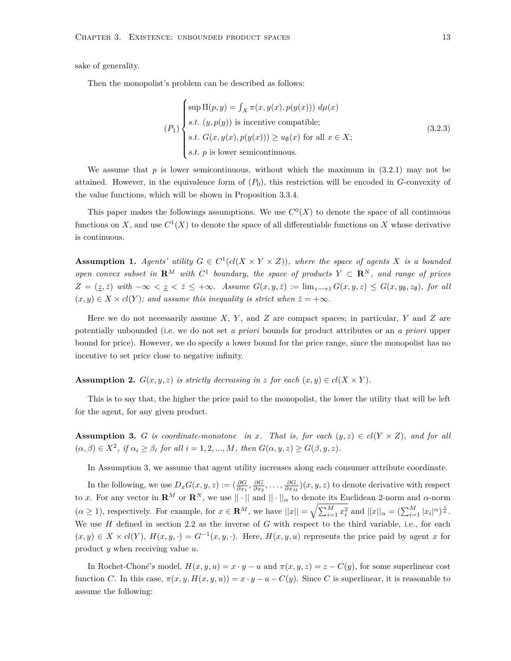sake of generality.

Then the monopolist's problem can be described as follows:

$$
(P_1)\begin{cases} \sup \Pi(p,y) = \int_X \pi(x,y(x),p(y(x))) \ d\mu(x) \\ s.t. \ (y,p(y)) \text{ is incentive compatible;} \\ s.t. \ G(x,y(x),p(y(x))) \ge u_\emptyset(x) \text{ for all } x \in X; \\ s.t. \ p \text{ is lower semicontinuous.} \end{cases} \tag{3.2.3}
$$

We assume that *p* is lower semicontinuous, without which the maximum in (3.2.1) may not be attained. However, in the equivalence form of  $(P_0)$ , this restriction will be encoded in *G*-convexity of the value functions, which will be shown in Proposition 3.3.4.

This paper makes the followings assumptions. We use  $C<sup>0</sup>(X)$  to denote the space of all continuous functions on X, and use  $C^1(X)$  to denote the space of all differentiable functions on X whose derivative is continuous.

**Assumption 1.** *Agents' utility*  $G \in C^1(cl(X \times Y \times Z))$ , where the space of agents X is a bounded *open convex subset in*  $\mathbb{R}^M$  *with*  $C^1$  *boundary, the space of products*  $Y \subset \mathbb{R}^N$ *, and range of prices*  $Z = (\underline{z}, \overline{z})$  with  $-\infty < \underline{z} < \overline{z} \leq +\infty$ . Assume  $G(x, y, \overline{z}) := \lim_{z \to \overline{z}} G(x, y, z) \leq G(x, y_0, z_0)$ , for all  $(x, y) \in X \times cl(Y)$ ; and assume this inequality is strict when  $\overline{z} = +\infty$ .

Here we do not necessarily assume *X*, *Y* , and *Z* are compact spaces; in particular, *Y* and *Z* are potentially unbounded (i.e. we do not set *a priori* bounds for product attributes or an *a priori* upper bound for price). However, we do specify a lower bound for the price range, since the monopolist has no incentive to set price close to negative infinity.

**Assumption 2.**  $G(x, y, z)$  is strictly decreasing in *z* for each  $(x, y) \in cl(X \times Y)$ .

This is to say that, the higher the price paid to the monopolist, the lower the utility that will be left for the agent, for any given product.

**Assumption 3.** *G is coordinate-monotone in x.* That is, for each  $(y, z) \in cl(Y \times Z)$ *, and for all*  $(\alpha, \beta) \in X^2$ , if  $\alpha_i \geq \beta_i$  for all  $i = 1, 2, ..., M$ , then  $G(\alpha, y, z) \geq G(\beta, y, z)$ .

In Assumption 3, we assume that agent utility increases along each consumer attribute coordinate.

In the following, we use  $D_x G(x, y, z) := \left(\frac{\partial G}{\partial x_1}, \frac{\partial G}{\partial x_2}, \dots, \frac{\partial G}{\partial x_M}\right)(x, y, z)$  to denote derivative with respect to *x*. For any vector in  $\mathbf{R}^M$  or  $\mathbf{R}^N$ , we use  $||\cdot||$  and  $||\cdot||_{\alpha}$  to denote its Euclidean 2-norm and  $\alpha$ -norm  $(\alpha \geq 1)$ , respectively. For example, for  $x \in \mathbf{R}^M$ , we have  $||x|| = \sqrt{\sum_{i=1}^M x_i^2}$  and  $||x||_{\alpha} = (\sum_{i=1}^M |x_i|^{\alpha})^{\frac{1}{\alpha}}$ . We use *H* defined in section 2.2 as the inverse of *G* with respect to the third variable, i.e., for each  $(x, y) \in X \times cl(Y)$ ,  $H(x, y, \cdot) = G^{-1}(x, y, \cdot)$ . Here,  $H(x, y, u)$  represents the price paid by agent *x* for product *y* when receiving value *u*.

In Rochet-Choné's model,  $H(x, y, u) = x \cdot y - u$  and  $\pi(x, y, z) = z - C(y)$ , for some superlinear cost function *C*. In this case,  $\pi(x, y, H(x, y, u)) = x \cdot y - u - C(y)$ . Since *C* is superlinear, it is reasonable to assume the following: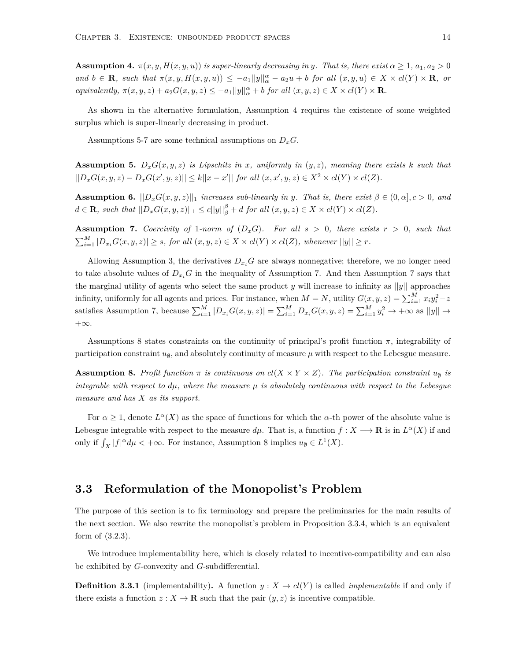**Assumption 4.**  $\pi(x, y, H(x, y, u))$  *is super-linearly decreasing in y. That is, there exist*  $\alpha \geq 1$ ,  $a_1, a_2 > 0$ and  $b \in \mathbf{R}$ , such that  $\pi(x, y, H(x, y, u)) \leq -a_1 ||y||_{\alpha}^{\alpha} - a_2 u + b$  for all  $(x, y, u) \in X \times cl(Y) \times \mathbf{R}$ , or equivalently,  $\pi(x, y, z) + a_2 G(x, y, z) \leq -a_1 ||y||_{\alpha}^{\alpha} + b$  for all  $(x, y, z) \in X \times cl(Y) \times \mathbf{R}$ .

As shown in the alternative formulation, Assumption 4 requires the existence of some weighted surplus which is super-linearly decreasing in product.

Assumptions 5-7 are some technical assumptions on  $D_x G$ .

**Assumption 5.**  $D_xG(x, y, z)$  *is Lipschitz in x, uniformly in*  $(y, z)$ *, meaning there exists*  $k$  *such that*  $||D_xG(x,y,z) - D_xG(x',y,z)|| \le k||x - x'||$  for all  $(x, x', y, z) \in X^2 \times cl(Y) \times cl(Z)$ .

**Assumption 6.**  $||D_xG(x,y,z)||_1$  *increases sub-linearly in y. That is, there exist*  $\beta \in (0,\alpha], c > 0$ *, and*  $d \in \mathbf{R}$ , such that  $||D_xG(x,y,z)||_1 \le c||y||^{\beta}_{\beta} + d$  for all  $(x,y,z) \in X \times cl(Y) \times cl(Z)$ .

**Assumption 7.** Coercivity of 1*-norm of*  $(D_x G)$ *. For all*  $s > 0$ *, there exists*  $r > 0$ *, such that*  $\sum_{i=1}^{M} |D_{x_i}G(x, y, z)| \geq s$ , for all  $(x, y, z) \in X \times cl(Y) \times cl(Z)$ , whenever  $||y|| \geq r$ .

Allowing Assumption 3, the derivatives  $D_{x_i}G$  are always nonnegative; therefore, we no longer need to take absolute values of  $D_{x_i}G$  in the inequality of Assumption 7. And then Assumption 7 says that the marginal utility of agents who select the same product *y* will increase to infinity as *||y||* approaches infinity, uniformly for all agents and prices. For instance, when  $M = N$ , utility  $G(x, y, z) = \sum_{i=1}^{M} x_i y_i^2 - z_i^2$ satisfies Assumption 7, because  $\sum_{i=1}^{M} |D_{x_i}G(x, y, z)| = \sum_{i=1}^{M} D_{x_i}G(x, y, z) = \sum_{i=1}^{M} y_i^2 \to +\infty$  as  $||y|| \to$ +*∞*.

Assumptions 8 states constraints on the continuity of principal's profit function  $\pi$ , integrability of participation constraint  $u_{\emptyset}$ , and absolutely continuity of measure  $\mu$  with respect to the Lebesgue measure.

**Assumption 8.** Profit function  $\pi$  is continuous on  $cl(X \times Y \times Z)$ . The participation constraint  $u_{\emptyset}$  is *integrable with respect to*  $d\mu$ *, where the measure*  $\mu$  *is absolutely continuous with respect to the Lebesgue measure and has X as its support.*

For  $\alpha \geq 1$ , denote  $L^{\alpha}(X)$  as the space of functions for which the  $\alpha$ -th power of the absolute value is Lebesgue integrable with respect to the measure  $d\mu$ . That is, a function  $f: X \longrightarrow \mathbf{R}$  is in  $L^{\alpha}(X)$  if and only if  $\int_X |f|^\alpha d\mu < +\infty$ . For instance, Assumption 8 implies  $u_\emptyset \in L^1(X)$ .

#### **3.3 Reformulation of the Monopolist's Problem**

The purpose of this section is to fix terminology and prepare the preliminaries for the main results of the next section. We also rewrite the monopolist's problem in Proposition 3.3.4, which is an equivalent form of (3.2.3).

We introduce implementability here, which is closely related to incentive-compatibility and can also be exhibited by *G*-convexity and *G*-subdifferential.

**Definition 3.3.1** (implementability). A function  $y: X \to cl(Y)$  is called *implementable* if and only if there exists a function  $z : X \to \mathbf{R}$  such that the pair  $(y, z)$  is incentive compatible.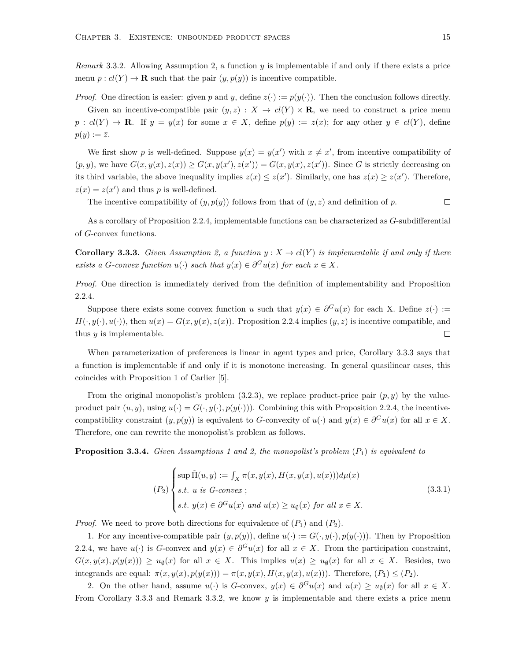*Remark* 3.3.2*.* Allowing Assumption 2, a function *y* is implementable if and only if there exists a price menu  $p: cl(Y) \to \mathbf{R}$  such that the pair  $(y, p(y))$  is incentive compatible.

*Proof.* One direction is easier: given *p* and *y*, define  $z(\cdot) := p(y(\cdot))$ . Then the conclusion follows directly. Given an incentive-compatible pair  $(y, z) : X \to cl(Y) \times \mathbf{R}$ , we need to construct a price menu  $p: cl(Y) \to \mathbf{R}$ . If  $y = y(x)$  for some  $x \in X$ , define  $p(y) := z(x)$ ; for any other  $y \in cl(Y)$ , define  $p(y) := \overline{z}$ .

We first show p is well-defined. Suppose  $y(x) = y(x')$  with  $x \neq x'$ , from incentive compatibility of  $(p, y)$ , we have  $G(x, y(x), z(x)) \ge G(x, y(x'), z(x')) = G(x, y(x), z(x'))$ . Since G is strictly decreasing on its third variable, the above inequality implies  $z(x) \leq z(x')$ . Similarly, one has  $z(x) \geq z(x')$ . Therefore,  $z(x) = z(x')$  and thus *p* is well-defined.

 $\Box$ The incentive compatibility of  $(y, p(y))$  follows from that of  $(y, z)$  and definition of  $p$ .

As a corollary of Proposition 2.2.4, implementable functions can be characterized as *G*-subdifferential of *G*-convex functions.

**Corollary 3.3.3.** *Given Assumption 2, a function*  $y: X \to cl(Y)$  *is implementable if and only if there exists a G*-convex function  $u(\cdot)$  *such that*  $y(x) \in \partial^G u(x)$  for each  $x \in X$ .

*Proof.* One direction is immediately derived from the definition of implementability and Proposition 2.2.4.

Suppose there exists some convex function *u* such that  $y(x) \in \partial^G u(x)$  for each X. Define  $z(\cdot) :=$  $H(\cdot, y(\cdot), u(\cdot))$ , then  $u(x) = G(x, y(x), z(x))$ . Proposition 2.2.4 implies  $(y, z)$  is incentive compatible, and thus *y* is implementable.  $\Box$ 

When parameterization of preferences is linear in agent types and price, Corollary 3.3.3 says that a function is implementable if and only if it is monotone increasing. In general quasilinear cases, this coincides with Proposition 1 of Carlier [5].

From the original monopolist's problem (3.2.3), we replace product-price pair (*p, y*) by the valueproduct pair  $(u, y)$ , using  $u(\cdot) = G(\cdot, y(\cdot), p(y(\cdot)))$ . Combining this with Proposition 2.2.4, the incentivecompatibility constraint  $(y, p(y))$  is equivalent to *G*-convexity of  $u(\cdot)$  and  $y(x) \in \partial^G u(x)$  for all  $x \in X$ . Therefore, one can rewrite the monopolist's problem as follows.

**Proposition 3.3.4.** *Given Assumptions 1 and 2, the monopolist's problem* (*P*1) *is equivalent to*

$$
(P_2)\begin{cases} \sup \tilde{\Pi}(u, y) := \int_X \pi(x, y(x), H(x, y(x), u(x))) d\mu(x) \\ s.t. \ u \ is \ G\text{-convex ;} \\ s.t. \ y(x) \in \partial^G u(x) \ and \ u(x) \ge u_\emptyset(x) \ for \ all \ x \in X. \end{cases} \tag{3.3.1}
$$

*Proof.* We need to prove both directions for equivalence of  $(P_1)$  and  $(P_2)$ .

1. For any incentive-compatible pair  $(y, p(y))$ , define  $u(\cdot) := G(\cdot, y(\cdot), p(y(\cdot)))$ . Then by Proposition 2.2.4, we have  $u(\cdot)$  is *G*-convex and  $y(x) \in \partial^G u(x)$  for all  $x \in X$ . From the participation constraint,  $G(x,y(x),p(y(x))) \geq u_{\emptyset}(x)$  for all  $x \in X$ . This implies  $u(x) \geq u_{\emptyset}(x)$  for all  $x \in X$ . Besides, two integrands are equal:  $\pi(x, y(x), p(y(x))) = \pi(x, y(x), H(x, y(x), u(x)))$ . Therefore,  $(P_1) \leq (P_2)$ .

2. On the other hand, assume  $u(\cdot)$  is G-convex,  $y(x) \in \partial^G u(x)$  and  $u(x) \geq u_{\emptyset}(x)$  for all  $x \in X$ . From Corollary 3.3.3 and Remark 3.3.2, we know *y* is implementable and there exists a price menu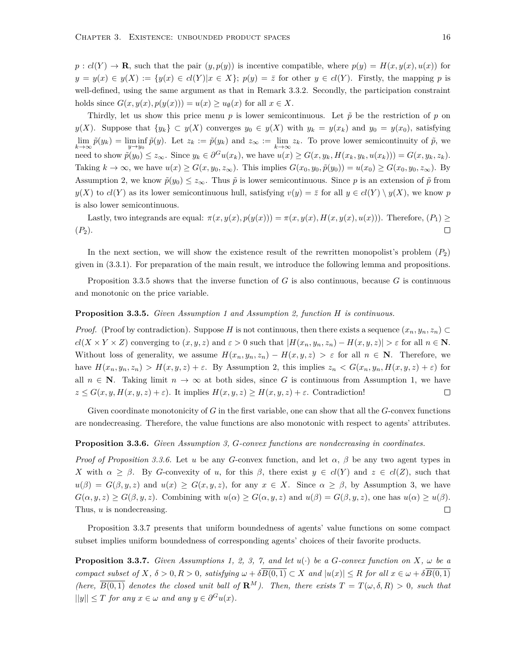$p : cl(Y) \to \mathbf{R}$ , such that the pair  $(y, p(y))$  is incentive compatible, where  $p(y) = H(x, y(x), u(x))$  for  $y = y(x) \in y(X) := \{y(x) \in cl(Y)|x \in X\};$   $p(y) = \overline{z}$  for other  $y \in cl(Y)$ . Firstly, the mapping p is well-defined, using the same argument as that in Remark 3.3.2. Secondly, the participation constraint holds since  $G(x, y(x), p(y(x))) = u(x) \ge u_{\emptyset}(x)$  for all  $x \in X$ .

Thirdly, let us show this price menu  $p$  is lower semicontinuous. Let  $\tilde{p}$  be the restriction of  $p$  on  $y(X)$ . Suppose that  $\{y_k\} \subset y(X)$  converges  $y_0 \in y(X)$  with  $y_k = y(x_k)$  and  $y_0 = y(x_0)$ , satisfying  $\lim_{k\to\infty}\tilde{p}(y_k)=\liminf_{y\to y_0}\tilde{p}(y)$ . Let  $z_k:=\tilde{p}(y_k)$  and  $z_\infty:=\lim_{k\to\infty}z_k$ . To prove lower semicontinuity of  $\tilde{p}$ , we need to show  $\tilde{p}(y_0) \leq z_\infty$ . Since  $y_k \in \partial^G u(x_k)$ , we have  $u(x) \geq G(x, y_k, H(x_k, y_k, u(x_k))) = G(x, y_k, z_k)$ . Taking  $k \to \infty$ , we have  $u(x) \ge G(x, y_0, z_\infty)$ . This implies  $G(x_0, y_0, \tilde{p}(y_0)) = u(x_0) \ge G(x_0, y_0, z_\infty)$ . By Assumption 2, we know  $\tilde{p}(y_0) \leq z_{\infty}$ . Thus  $\tilde{p}$  is lower semicontinuous. Since p is an extension of  $\tilde{p}$  from  $y(X)$  to  $cl(Y)$  as its lower semicontinuous hull, satisfying  $v(y) = \overline{z}$  for all  $y \in cl(Y) \setminus y(X)$ , we know *p* is also lower semicontinuous.

Lastly, two integrands are equal:  $\pi(x, y(x), p(y(x))) = \pi(x, y(x), H(x, y(x), u(x)))$ . Therefore,  $(P_1) \geq$  $(P_2)$ .  $\Box$ 

In the next section, we will show the existence result of the rewritten monopolist's problem  $(P_2)$ given in (3.3.1). For preparation of the main result, we introduce the following lemma and propositions.

Proposition 3.3.5 shows that the inverse function of *G* is also continuous, because *G* is continuous and monotonic on the price variable.

#### **Proposition 3.3.5.** *Given Assumption 1 and Assumption 2, function H is continuous.*

*Proof.* (Proof by contradiction). Suppose *H* is not continuous, then there exists a sequence  $(x_n, y_n, z_n) \subset$  $cl(X \times Y \times Z)$  converging to  $(x, y, z)$  and  $\varepsilon > 0$  such that  $|H(x_n, y_n, z_n) - H(x, y, z)| > \varepsilon$  for all  $n \in \mathbb{N}$ . Without loss of generality, we assume  $H(x_n, y_n, z_n) - H(x, y, z) > \varepsilon$  for all  $n \in \mathbb{N}$ . Therefore, we have  $H(x_n, y_n, z_n) > H(x, y, z) + \varepsilon$ . By Assumption 2, this implies  $z_n < G(x_n, y_n, H(x, y, z) + \varepsilon)$  for all  $n \in \mathbb{N}$ . Taking limit  $n \to \infty$  at both sides, since *G* is continuous from Assumption 1, we have  $z \le G(x, y, H(x, y, z) + \varepsilon)$ . It implies  $H(x, y, z) \ge H(x, y, z) + \varepsilon$ . Contradiction!  $\Box$ 

Given coordinate monotonicity of *G* in the first variable, one can show that all the *G*-convex functions are nondecreasing. Therefore, the value functions are also monotonic with respect to agents' attributes.

#### **Proposition 3.3.6.** *Given Assumption 3, G-convex functions are nondecreasing in coordinates.*

*Proof of Proposition 3.3.6.* Let *u* be any *G*-convex function, and let  $\alpha$ ,  $\beta$  be any two agent types in *X* with  $\alpha \geq \beta$ . By *G*-convexity of *u*, for this  $\beta$ , there exist  $y \in cl(Y)$  and  $z \in cl(Z)$ , such that  $u(\beta) = G(\beta, y, z)$  and  $u(x) \ge G(x, y, z)$ , for any  $x \in X$ . Since  $\alpha \ge \beta$ , by Assumption 3, we have  $G(\alpha, y, z) \ge G(\beta, y, z)$ . Combining with  $u(\alpha) \ge G(\alpha, y, z)$  and  $u(\beta) = G(\beta, y, z)$ , one has  $u(\alpha) \ge u(\beta)$ .  $\Box$ Thus, *u* is nondecreasing.

Proposition 3.3.7 presents that uniform boundedness of agents' value functions on some compact subset implies uniform boundedness of corresponding agents' choices of their favorite products.

**Proposition 3.3.7.** *Given Assumptions 1, 2, 3, 7, and let*  $u(\cdot)$  *be a G-convex function on*  $X$ *,*  $\omega$  *be a* compact subset of X,  $\delta > 0, R > 0$ , satisfying  $\omega + \delta \overline{B(0,1)} \subset X$  and  $|u(x)| \leq R$  for all  $x \in \omega + \delta \overline{B(0,1)}$ *(here,*  $\overline{B(0,1)}$  *denotes the closed unit ball of*  $\mathbb{R}^M$ *). Then, there exists*  $T = T(\omega, \delta, R) > 0$ *, such that*  $||y|| \leq T$  *for any*  $x \in \omega$  *and any*  $y \in \partial^G u(x)$ *.*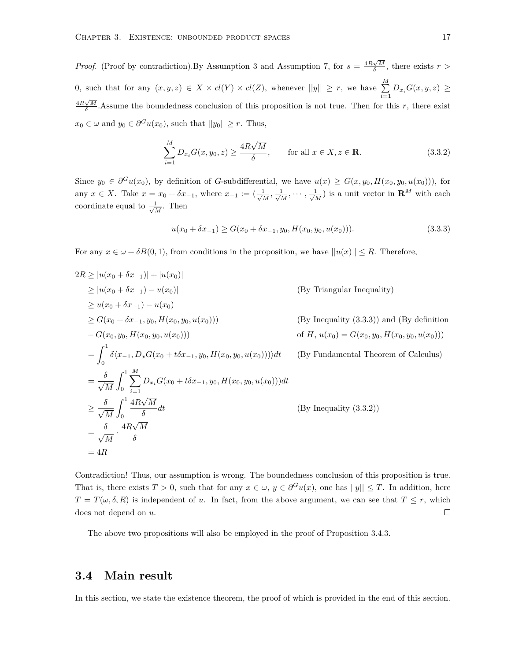*Proof.* (Proof by contradiction).By Assumption 3 and Assumption 7, for  $s = \frac{4R\sqrt{M}}{\delta}$ , there exists  $r >$ 0, such that for any  $(x, y, z) \in X \times cl(Y) \times cl(Z)$ , whenever  $||y|| \geq r$ , we have  $\sum_{i=1}^{M}$  $\sum_{i=1}$   $D_{x_i}$ *G*(*x*, *y*, *z*) ≥  $\frac{4R\sqrt{M}}{\delta}$ . Assume the boundedness conclusion of this proposition is not true. Then for this *r*, there exist *√*  $x_0 \in \omega$  and  $y_0 \in \partial^G u(x_0)$ , such that  $||y_0|| \geq r$ . Thus,

$$
\sum_{i=1}^{M} D_{x_i} G(x, y_0, z) \ge \frac{4R\sqrt{M}}{\delta}, \qquad \text{for all } x \in X, z \in \mathbf{R}.
$$
 (3.3.2)

Since  $y_0 \in \partial^G u(x_0)$ , by definition of *G*-subdifferential, we have  $u(x) \ge G(x, y_0, H(x_0, y_0, u(x_0)))$ , for any  $x \in X$ . Take  $x = x_0 + \delta x_{-1}$ , where  $x_{-1} := (\frac{1}{\sqrt{2}})$  $\frac{1}{M}$ <sup>,</sup>  $\frac{1}{\sqrt{l}}$  $\frac{1}{M}$ <sup>*, ·*··</sup> *,*  $\frac{1}{\sqrt{l}}$  $\frac{1}{M}$ ) is a unit vector in **R**<sup>*M*</sup> with each coordinate equal to *√* 1  $\frac{1}{M}$ . Then

$$
u(x_0 + \delta x_{-1}) \ge G(x_0 + \delta x_{-1}, y_0, H(x_0, y_0, u(x_0))).
$$
\n(3.3.3)

For any  $x \in \omega + \delta \overline{B(0,1)}$ , from conditions in the proposition, we have  $||u(x)|| \leq R$ . Therefore,

$$
2R \ge |u(x_0 + \delta x_{-1})| + |u(x_0)|
$$
  
\n
$$
\ge |u(x_0 + \delta x_{-1}) - u(x_0)|
$$
 (By Triangular Inequality)  
\n
$$
\ge u(x_0 + \delta x_{-1}) - u(x_0)
$$
  
\n
$$
\ge G(x_0 + \delta x_{-1}, y_0, H(x_0, y_0, u(x_0)))
$$
 (By Inequality (3.3.3)) and (By definition  
\n
$$
-G(x_0, y_0, H(x_0, y_0, u(x_0)))
$$
  
\n
$$
= \int_0^1 \delta(x_{-1}, D_x G(x_0 + t \delta x_{-1}, y_0, H(x_0, y_0, u(x_0))))dt
$$
 (By Fundamental Theorem of Calculus)  
\n
$$
= \frac{\delta}{\sqrt{M}} \int_0^1 \sum_{i=1}^M D_{x_i} G(x_0 + t \delta x_{-1}, y_0, H(x_0, y_0, u(x_0)))dt
$$
  
\n
$$
\ge \frac{\delta}{\sqrt{M}} \int_0^1 \frac{4R\sqrt{M}}{\delta} dt
$$
 (By Inequality (3.3.2))  
\n
$$
= \frac{\delta}{\sqrt{M}} \cdot \frac{4R\sqrt{M}}{\delta}
$$
  
\n
$$
= \frac{4R}{\sqrt{M}}
$$

Contradiction! Thus, our assumption is wrong. The boundedness conclusion of this proposition is true. That is, there exists  $T > 0$ , such that for any  $x \in \omega$ ,  $y \in \partial^G u(x)$ , one has  $||y|| \leq T$ . In addition, here  $T = T(\omega, \delta, R)$  is independent of *u*. In fact, from the above argument, we can see that  $T \leq r$ , which does not depend on *u*.  $\Box$ 

The above two propositions will also be employed in the proof of Proposition 3.4.3.

#### **3.4 Main result**

In this section, we state the existence theorem, the proof of which is provided in the end of this section.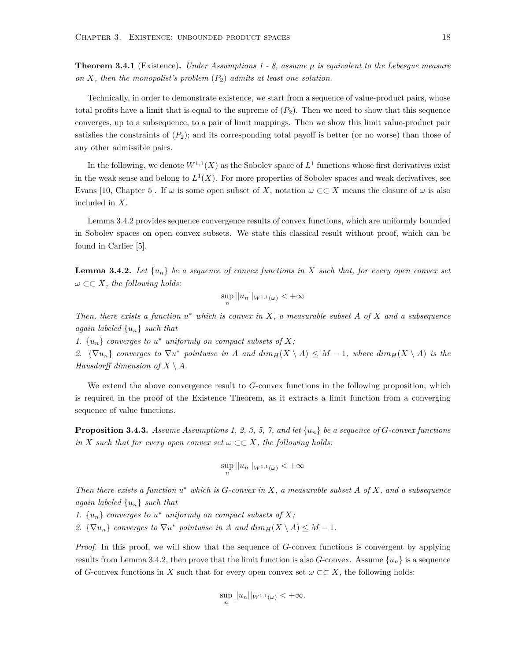**Theorem 3.4.1** (Existence)**.** *Under Assumptions 1 - 8, assume µ is equivalent to the Lebesgue measure on X, then the monopolist's problem* (*P*2) *admits at least one solution.*

Technically, in order to demonstrate existence, we start from a sequence of value-product pairs, whose total profits have a limit that is equal to the supreme of  $(P_2)$ . Then we need to show that this sequence converges, up to a subsequence, to a pair of limit mappings. Then we show this limit value-product pair satisfies the constraints of  $(P_2)$ ; and its corresponding total payoff is better (or no worse) than those of any other admissible pairs.

In the following, we denote  $W^{1,1}(X)$  as the Sobolev space of  $L^1$  functions whose first derivatives exist in the weak sense and belong to  $L^1(X)$ . For more properties of Sobolev spaces and weak derivatives, see Evans [10, Chapter 5]. If  $\omega$  is some open subset of X, notation  $\omega \subset \subset X$  means the closure of  $\omega$  is also included in *X*.

Lemma 3.4.2 provides sequence convergence results of convex functions, which are uniformly bounded in Sobolev spaces on open convex subsets. We state this classical result without proof, which can be found in Carlier [5].

**Lemma 3.4.2.** Let  $\{u_n\}$  be a sequence of convex functions in X such that, for every open convex set *ω ⊂⊂ X, the following holds:*

$$
\sup_n ||u_n||_{W^{1,1}(\omega)} < +\infty
$$

*Then, there exists a function*  $u^*$  *which is convex in*  $X$ *, a measurable subset*  $A$  *of*  $X$  *and a subsequence again labeled {un} such that*

1.  ${u_n}$  *converges to*  $u^*$  *uniformly on compact subsets of*  $X$ ;

2.  $\{\nabla u_n\}$  converges to  $\nabla u^*$  pointwise in A and  $\dim_H(X \setminus A) \leq M-1$ , where  $\dim_H(X \setminus A)$  is the *Hausdorff dimension of*  $X \setminus A$ *.* 

We extend the above convergence result to *G*-convex functions in the following proposition, which is required in the proof of the Existence Theorem, as it extracts a limit function from a converging sequence of value functions.

**Proposition 3.4.3.** Assume Assumptions 1, 2, 3, 5, 7, and let  $\{u_n\}$  be a sequence of  $G$ -convex functions *in X such that for every open convex set*  $\omega \subset \subset X$ *, the following holds:* 

$$
\sup_n ||u_n||_{W^{1,1}(\omega)} < +\infty
$$

*Then there exists a function*  $u^*$  *which is*  $G$ *-convex in*  $X$ *, a measurable subset*  $A$  *of*  $X$ *, and a subsequence again labeled {un} such that*

1.  ${u_n}$  *converges to*  $u^*$  *uniformly on compact subsets of*  $X$ ;

2.  $\{\nabla u_n\}$  converges to  $\nabla u^*$  pointwise in *A* and  $\dim_H(X \setminus A) \leq M - 1$ .

*Proof.* In this proof, we will show that the sequence of *G*-convex functions is convergent by applying results from Lemma 3.4.2, then prove that the limit function is also *G*-convex. Assume  $\{u_n\}$  is a sequence of *G*-convex functions in *X* such that for every open convex set  $\omega \subset \subset X$ , the following holds:

$$
\sup_n ||u_n||_{W^{1,1}(\omega)} < +\infty.
$$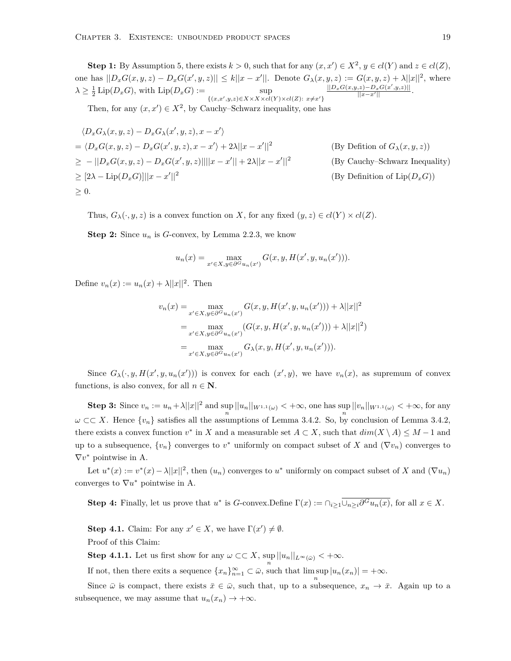**Step 1:** By Assumption 5, there exists  $k > 0$ , such that for any  $(x, x') \in X^2$ ,  $y \in cl(Y)$  and  $z \in cl(Z)$ , one has  $||D_xG(x,y,z) - D_xG(x',y,z)|| \le k||x - x'||$ . Denote  $G_{\lambda}(x,y,z) := G(x,y,z) + \lambda ||x||^2$ , where  $\lambda \geq \frac{1}{2}$  Lip(*D<sub>x</sub>G*), with Lip(*D<sub>x</sub>G*) := supplies *{*(*x,x′ ,y,z*)*∈X×X×cl*(*Y* )*×cl*(*Z*): *x̸*=*x′} ||DxG*(*x,y,z*)*−DxG*(*x ′ ,y,z*)*|| ,z*)−*D*<sub>*x*</sub>G(*x ,y,z*)|| .<br>||*x*−*x'*|| Then, for any  $(x, x') \in X^2$ , by Cauchy–Schwarz inequality, one has

$$
\langle D_x G_\lambda(x, y, z) - D_x G_\lambda(x', y, z), x - x' \rangle
$$
  
\n
$$
= \langle D_x G(x, y, z) - D_x G(x', y, z), x - x' \rangle + 2\lambda ||x - x'||^2
$$
 (By Definition of  $G_\lambda(x, y, z)$ )  
\n
$$
\ge -||D_x G(x, y, z) - D_x G(x', y, z)|| ||x - x'|| + 2\lambda ||x - x'||^2
$$
 (By Cauchy–Schwarz Inequality)  
\n
$$
\ge [2\lambda - \text{Lip}(D_x G)] ||x - x'||^2
$$
 (By Definition of Lip( $D_x G$ ))  
\n
$$
\ge 0.
$$

Thus,  $G_{\lambda}(\cdot, y, z)$  is a convex function on *X*, for any fixed  $(y, z) \in cl(Y) \times cl(Z)$ .

**Step 2:** Since  $u_n$  is *G*-convex, by Lemma 2.2.3, we know

$$
u_n(x) = \max_{x' \in X, y \in \partial^G u_n(x')} G(x, y, H(x', y, u_n(x'))).
$$

Define  $v_n(x) := u_n(x) + \lambda ||x||^2$ . Then

$$
v_n(x) = \max_{x' \in X, y \in \partial^G u_n(x')} G(x, y, H(x', y, u_n(x'))) + \lambda ||x||^2
$$
  
= 
$$
\max_{x' \in X, y \in \partial^G u_n(x')} (G(x, y, H(x', y, u_n(x'))) + \lambda ||x||^2)
$$
  
= 
$$
\max_{x' \in X, y \in \partial^G u_n(x')} G_{\lambda}(x, y, H(x', y, u_n(x'))).
$$

Since  $G_{\lambda}(\cdot, y, H(x', y, u_n(x')))$  is convex for each  $(x', y)$ , we have  $v_n(x)$ , as supremum of convex functions, is also convex, for all  $n \in \mathbb{N}$ .

**Step 3:** Since  $v_n := u_n + \lambda ||x||^2$  and  $\sup ||u_n||_{W^{1,1}(\omega)} < +\infty$ , one has  $\sup ||v_n||_{W^{1,1}(\omega)} < +\infty$ , for any *n n ω ⊂⊂ X*. Hence *{vn}* satisfies all the assumptions of Lemma 3.4.2. So, by conclusion of Lemma 3.4.2, there exists a convex function  $v^*$  in *X* and a measurable set  $A \subset X$ , such that  $dim(X \setminus A) \leq M - 1$  and up to a subsequence,  $\{v_n\}$  converges to  $v^*$  uniformly on compact subset of X and  $(\nabla v_n)$  converges to *∇v <sup>∗</sup>* pointwise in A.

Let  $u^*(x) := v^*(x) - \lambda ||x||^2$ , then  $(u_n)$  converges to  $u^*$  uniformly on compact subset of X and  $(\nabla u_n)$ converges to  $\nabla u^*$  pointwise in A.

**Step 4:** Finally, let us prove that  $u^*$  is G-convex. Define  $\Gamma(x) := \bigcap_{i \geq 1} \overline{\bigcup_{n \geq i} \partial^G u_n(x)}$ , for all  $x \in X$ .

**Step 4.1.** Claim: For any  $x' \in X$ , we have  $\Gamma(x') \neq \emptyset$ . Proof of this Claim:

**Step 4.1.1.** Let us first show for any  $\omega \subset \subset X$ ,  $\sup_{n} ||u_n||_{L^{\infty}(\bar{\omega})} < +\infty$ .

If not, then there exits a sequence  $\{x_n\}_{n=1}^{\infty} \subset \bar{\omega}$ , such that  $\limsup_{n} |u_n(x_n)| = +\infty$ .

Since  $\bar{\omega}$  is compact, there exists  $\bar{x} \in \bar{\omega}$ , such that, up to a subsequence,  $x_n \to \bar{x}$ . Again up to a subsequence, we may assume that  $u_n(x_n) \to +\infty$ .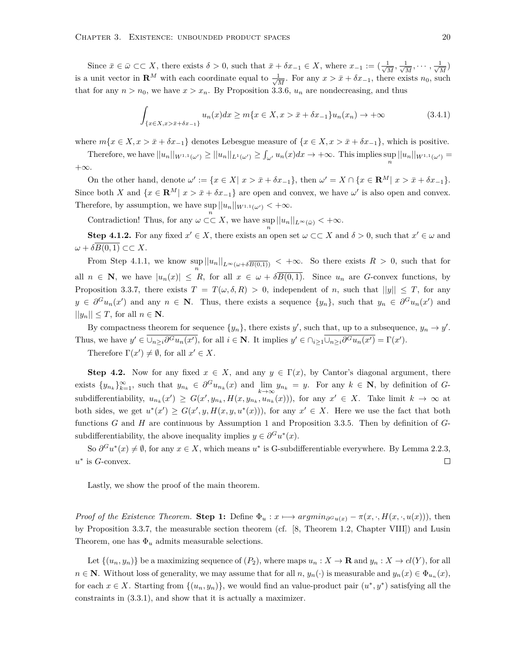Since  $\bar{x} \in \bar{\omega} \subset \subset X$ , there exists  $\delta > 0$ , such that  $\bar{x} + \delta x_{-1} \in X$ , where  $x_{-1} := (\frac{1}{\sqrt{\delta}})$  $\frac{1}{M}$ *,*  $\frac{1}{\sqrt{l}}$  $\frac{1}{M}$ <sup>*, ·*··</sup> *,*  $\frac{1}{\sqrt{l}}$  $\frac{1}{M}$ is a unit vector in **R**<sup>*M*</sup> with each coordinate equal to  $\frac{1}{\sqrt{2}}$  $\frac{1}{M}$ . For any  $x > \bar{x} + \delta x_{-1}$ , there exists  $n_0$ , such that for any  $n > n_0$ , we have  $x > x_n$ . By Proposition 3.3.6,  $u_n$  are nondecreasing, and thus

$$
\int_{\{x \in X, x > \bar{x} + \delta x_{-1}\}} u_n(x) dx \ge m\{x \in X, x > \bar{x} + \delta x_{-1}\} u_n(x_n) \to +\infty
$$
\n(3.4.1)

where  $m\{x \in X, x > \bar{x} + \delta x_{-1}\}\)$  denotes Lebesgue measure of  $\{x \in X, x > \bar{x} + \delta x_{-1}\}\)$ , which is positive.

Therefore, we have  $||u_n||_{W^{1,1}(\omega')}\geq ||u_n||_{L^1(\omega')}\geq \int_{\omega'} u_n(x)dx\to +\infty$ . This implies  $\sup_n ||u_n||_{W^{1,1}(\omega')}=$ +*∞*.

On the other hand, denote  $\omega' := \{x \in X | x > \bar{x} + \delta x_{-1}\}\$ , then  $\omega' = X \cap \{x \in \mathbb{R}^M | x > \bar{x} + \delta x_{-1}\}\$ . Since both *X* and  $\{x \in \mathbf{R}^M | x > \bar{x} + \delta x_{-1}\}$  are open and convex, we have  $\omega'$  is also open and convex. Therefore, by assumption, we have  $\sup ||u_n||_{W^{1,1}(\omega')} < +\infty$ .

Contradiction! Thus, for any  $\omega \subset \subset X$ , we have  $\sup ||u_n||_{L^{\infty}(\bar{\omega})} < +\infty$ .

**Step 4.1.2.** For any fixed  $x' \in X$ , there exists an open set  $\omega \subset \subset X$  and  $\delta > 0$ , such that  $x' \in \omega$  and  $\omega + \delta \overline{B(0,1)}$  ⊂⊂ *X*.

From Step 4.1.1, we know  $\sup_{n} ||u_n||_{L^{\infty}(\omega + \delta \overline{B(0,1)})} < +\infty$ . So there exists  $R > 0$ , such that for all  $n \in \mathbb{N}$ , we have  $|u_n(x)| \leq R$ , for all  $x \in \omega + \delta \overline{B(0,1)}$ . Since  $u_n$  are *G*-convex functions, by Proposition 3.3.7, there exists  $T = T(\omega, \delta, R) > 0$ , independent of *n*, such that  $||y|| \leq T$ , for any  $y \in \partial^G u_n(x')$  and any  $n \in \mathbb{N}$ . Thus, there exists a sequence  $\{y_n\}$ , such that  $y_n \in \partial^G u_n(x')$  and  $||y_n|| \leq T$ , for all  $n \in \mathbb{N}$ .

By compactness theorem for sequence  $\{y_n\}$ , there exists  $y'$ , such that, up to a subsequence,  $y_n \to y'$ . Thus, we have  $y' \in \overline{\bigcup_{n \geq i} \partial^G u_n(x')}$ , for all  $i \in \mathbb{N}$ . It implies  $y' \in \bigcap_{i \geq 1} \overline{\bigcup_{n \geq i} \partial^G u_n(x')} = \Gamma(x')$ .

Therefore  $\Gamma(x') \neq \emptyset$ , for all  $x' \in X$ .

**Step 4.2.** Now for any fixed  $x \in X$ , and any  $y \in \Gamma(x)$ , by Cantor's diagonal argument, there exists  $\{y_{n_k}\}_{k=1}^{\infty}$ , such that  $y_{n_k} \in \partial^G u_{n_k}(x)$  and  $\lim_{k \to \infty} y_{n_k} = y$ . For any  $k \in \mathbb{N}$ , by definition of Gsubdifferentiability,  $u_{n_k}(x') \ge G(x', y_{n_k}, H(x, y_{n_k}, u_{n_k}(x)))$ , for any  $x' \in X$ . Take limit  $k \to \infty$  at both sides, we get  $u^*(x') \ge G(x', y, H(x, y, u^*(x)))$ , for any  $x' \in X$ . Here we use the fact that both functions *G* and *H* are continuous by Assumption 1 and Proposition 3.3.5. Then by definition of *G*subdifferentiability, the above inequality implies  $y \in \partial^G u^*(x)$ .

So  $\partial^G u^*(x) \neq \emptyset$ , for any  $x \in X$ , which means  $u^*$  is G-subdifferentiable everywhere. By Lemma 2.2.3, *u ∗* is *G*-convex.  $\Box$ 

Lastly, we show the proof of the main theorem.

*Proof of the Existence Theorem.* Step 1: Define  $\Phi_u : x \mapsto argmin_{\partial^G u(x)} - \pi(x, \cdot, H(x, \cdot, u(x))),$  then by Proposition 3.3.7, the measurable section theorem (cf. [8, Theorem 1.2, Chapter VIII]) and Lusin Theorem, one has  $\Phi_u$  admits measurable selections.

Let  $\{(u_n, y_n)\}\$ be a maximizing sequence of  $(P_2)$ , where maps  $u_n: X \to \mathbf{R}$  and  $y_n: X \to cl(Y)$ , for all  $n \in \mathbb{N}$ . Without loss of generality, we may assume that for all  $n, y_n(\cdot)$  is measurable and  $y_n(x) \in \Phi_{u_n}(x)$ , for each  $x \in X$ . Starting from  $\{(u_n, y_n)\}$ , we would find an value-product pair  $(u^*, y^*)$  satisfying all the constraints in (3.3.1), and show that it is actually a maximizer.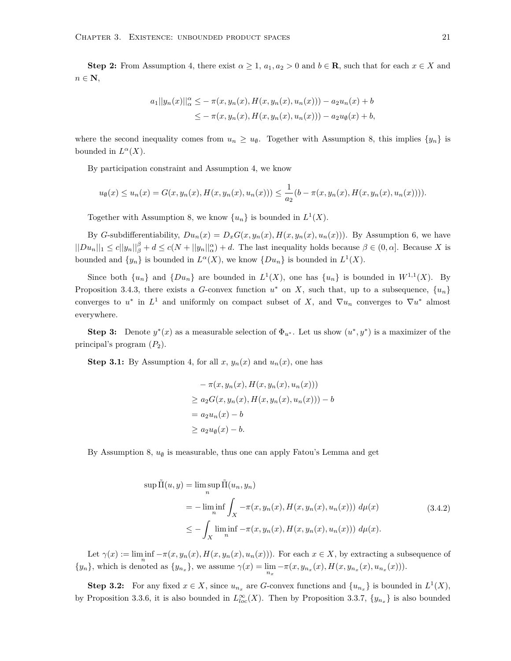**Step 2:** From Assumption 4, there exist  $\alpha \geq 1$ ,  $a_1, a_2 > 0$  and  $b \in \mathbb{R}$ , such that for each  $x \in X$  and *n ∈* **N**,

$$
a_1||y_n(x)||^{\alpha}_{\alpha} \leq -\pi(x, y_n(x), H(x, y_n(x), u_n(x))) - a_2u_n(x) + b
$$
  

$$
\leq -\pi(x, y_n(x), H(x, y_n(x), u_n(x))) - a_2u_{\emptyset}(x) + b,
$$

where the second inequality comes from  $u_n \geq u_{\emptyset}$ . Together with Assumption 8, this implies  $\{y_n\}$  is bounded in  $L^{\alpha}(X)$ .

By participation constraint and Assumption 4, we know

$$
u_{\emptyset}(x) \le u_n(x) = G(x, y_n(x), H(x, y_n(x), u_n(x))) \le \frac{1}{a_2}(b - \pi(x, y_n(x), H(x, y_n(x), u_n(x))))
$$

Together with Assumption 8, we know  $\{u_n\}$  is bounded in  $L^1(X)$ .

By *G*-subdifferentiability,  $Du_n(x) = D_x G(x, y_n(x), H(x, y_n(x), u_n(x)))$ . By Assumption 6, we have  $||Du_n||_1 \le c||y_n||_\beta^{\beta} + d \le c(N+||y_n||_\alpha^{\alpha}) + d$ . The last inequality holds because  $\beta \in (0, \alpha]$ . Because X is bounded and  $\{y_n\}$  is bounded in  $L^{\alpha}(X)$ , we know  $\{Du_n\}$  is bounded in  $L^1(X)$ .

Since both  $\{u_n\}$  and  $\{Du_n\}$  are bounded in  $L^1(X)$ , one has  $\{u_n\}$  is bounded in  $W^{1,1}(X)$ . By Proposition 3.4.3, there exists a *G*-convex function  $u^*$  on *X*, such that, up to a subsequence,  $\{u_n\}$ converges to  $u^*$  in  $L^1$  and uniformly on compact subset of *X*, and  $\nabla u_n$  converges to  $\nabla u^*$  almost everywhere.

**Step 3:** Denote  $y^*(x)$  as a measurable selection of  $\Phi_{u^*}$ . Let us show  $(u^*, y^*)$  is a maximizer of the principal's program (*P*2).

**Step 3.1:** By Assumption 4, for all  $x$ ,  $y_n(x)$  and  $u_n(x)$ , one has

$$
- \pi(x, y_n(x), H(x, y_n(x), u_n(x)))
$$
  
\n
$$
\ge a_2 G(x, y_n(x), H(x, y_n(x), u_n(x))) - b
$$
  
\n
$$
= a_2 u_n(x) - b
$$
  
\n
$$
\ge a_2 u_\emptyset(x) - b.
$$

By Assumption 8,  $u_{\emptyset}$  is measurable, thus one can apply Fatou's Lemma and get

$$
\sup \tilde{\Pi}(u, y) = \limsup_{n} \tilde{\Pi}(u_n, y_n)
$$
  
= 
$$
-\liminf_{n} \int_X -\pi(x, y_n(x), H(x, y_n(x), u_n(x))) d\mu(x)
$$
  

$$
\leq -\int_X \liminf_{n} -\pi(x, y_n(x), H(x, y_n(x), u_n(x))) d\mu(x).
$$
 (3.4.2)

Let  $\gamma(x) := \liminf_{n} -\pi(x, y_n(x), H(x, y_n(x), u_n(x)))$ . For each  $x \in X$ , by extracting a subsequence of  $\{y_n\}$ , which is denoted as  $\{y_{n_x}\}$ , we assume  $\gamma(x) = \lim_{n_x} -\pi(x, y_{n_x}(x), H(x, y_{n_x}(x), u_{n_x}(x))).$ 

**Step 3.2:** For any fixed  $x \in X$ , since  $u_{n_x}$  are *G*-convex functions and  $\{u_{n_x}\}$  is bounded in  $L^1(X)$ , by Proposition 3.3.6, it is also bounded in  $L_{loc}^{\infty}(X)$ . Then by Proposition 3.3.7,  $\{y_{n_x}\}$  is also bounded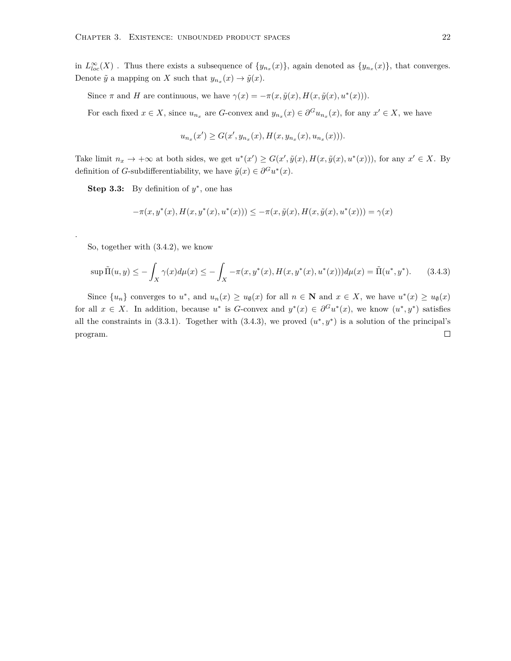in  $L_{loc}^{\infty}(X)$ . Thus there exists a subsequence of  $\{y_{n_x}(x)\}$ , again denoted as  $\{y_{n_x}(x)\}$ , that converges. Denote  $\tilde{y}$  a mapping on *X* such that  $y_{n_x}(x) \to \tilde{y}(x)$ .

Since  $\pi$  and  $H$  are continuous, we have  $\gamma(x) = -\pi(x, \tilde{y}(x), H(x, \tilde{y}(x), u^*(x)))$ .

For each fixed  $x \in X$ , since  $u_{n_x}$  are G-convex and  $y_{n_x}(x) \in \partial^G u_{n_x}(x)$ , for any  $x' \in X$ , we have

$$
u_{n_x}(x') \ge G(x', y_{n_x}(x), H(x, y_{n_x}(x), u_{n_x}(x))).
$$

Take limit  $n_x \to +\infty$  at both sides, we get  $u^*(x') \ge G(x', \tilde{y}(x), H(x, \tilde{y}(x), u^*(x)))$ , for any  $x' \in X$ . By definition of *G*-subdifferentiability, we have  $\tilde{y}(x) \in \partial^G u^*(x)$ .

**Step 3.3:** By definition of  $y^*$ , one has

$$
-\pi(x, y^*(x), H(x, y^*(x), u^*(x))) \le -\pi(x, \tilde{y}(x), H(x, \tilde{y}(x), u^*(x))) = \gamma(x)
$$

So, together with (3.4.2), we know

.

$$
\sup \tilde{\Pi}(u, y) \le -\int_X \gamma(x) d\mu(x) \le -\int_X -\pi(x, y^*(x), H(x, y^*(x), u^*(x))) d\mu(x) = \tilde{\Pi}(u^*, y^*). \tag{3.4.3}
$$

Since  $\{u_n\}$  converges to  $u^*$ , and  $u_n(x) \ge u_\emptyset(x)$  for all  $n \in \mathbb{N}$  and  $x \in X$ , we have  $u^*(x) \ge u_\emptyset(x)$ for all  $x \in X$ . In addition, because  $u^*$  is G-convex and  $y^*(x) \in \partial^G u^*(x)$ , we know  $(u^*, y^*)$  satisfies all the constraints in (3.3.1). Together with (3.4.3), we proved  $(u^*, y^*)$  is a solution of the principal's  $\Box$ program.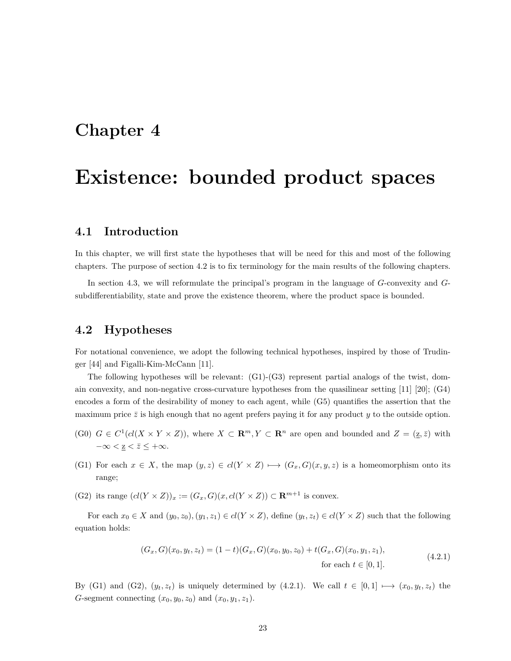## **Chapter 4**

## **Existence: bounded product spaces**

#### **4.1 Introduction**

In this chapter, we will first state the hypotheses that will be need for this and most of the following chapters. The purpose of section 4.2 is to fix terminology for the main results of the following chapters.

In section 4.3, we will reformulate the principal's program in the language of *G*-convexity and *G*subdifferentiability, state and prove the existence theorem, where the product space is bounded.

#### **4.2 Hypotheses**

For notational convenience, we adopt the following technical hypotheses, inspired by those of Trudinger [44] and Figalli-Kim-McCann [11].

The following hypotheses will be relevant: (G1)-(G3) represent partial analogs of the twist, domain convexity, and non-negative cross-curvature hypotheses from the quasilinear setting [11] [20]; (G4) encodes a form of the desirability of money to each agent, while (G5) quantifies the assertion that the maximum price  $\bar{z}$  is high enough that no agent prefers paying it for any product *y* to the outside option.

- (G0)  $G \in C^1(cl(X \times Y \times Z))$ , where  $X \subset \mathbb{R}^m$ ,  $Y \subset \mathbb{R}^n$  are open and bounded and  $Z = (\underline{z}, \overline{z})$  with *−∞ <* z *< z*¯ *≤* +*∞*.
- (G1) For each  $x \in X$ , the map  $(y, z) \in cl(Y \times Z) \longmapsto (G_x, G)(x, y, z)$  is a homeomorphism onto its range;
- (G2) its range  $(cl(Y \times Z))_x := (G_x, G)(x, cl(Y \times Z)) \subset \mathbf{R}^{m+1}$  is convex.

For each  $x_0 \in X$  and  $(y_0, z_0), (y_1, z_1) \in cl(Y \times Z)$ , define  $(y_t, z_t) \in cl(Y \times Z)$  such that the following equation holds:

$$
(G_x, G)(x_0, y_t, z_t) = (1 - t)(G_x, G)(x_0, y_0, z_0) + t(G_x, G)(x_0, y_1, z_1),
$$
  
for each  $t \in [0, 1].$  (4.2.1)

By (G1) and (G2),  $(y_t, z_t)$  is uniquely determined by (4.2.1). We call  $t \in [0,1] \mapsto (x_0, y_t, z_t)$  the *G*-segment connecting  $(x_0, y_0, z_0)$  and  $(x_0, y_1, z_1)$ .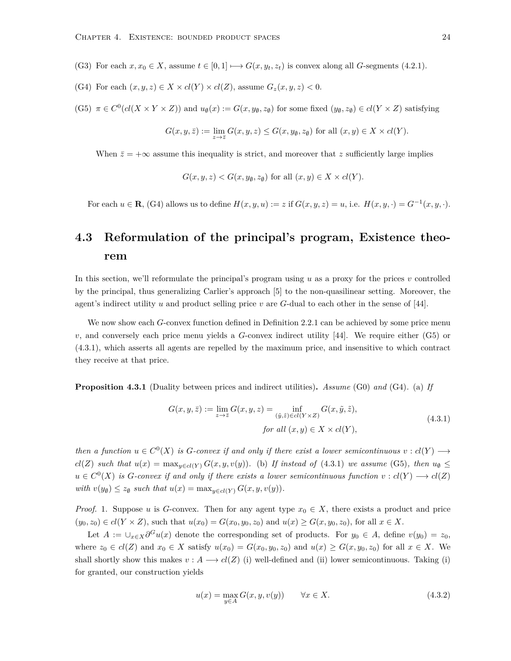- (G3) For each  $x, x_0 \in X$ , assume  $t \in [0, 1] \mapsto G(x, y_t, z_t)$  is convex along all *G*-segments (4.2.1).
- (G4) For each  $(x, y, z) \in X \times cl(Y) \times cl(Z)$ , assume  $G_z(x, y, z) < 0$ .

(G5)  $\pi \in C^0(cl(X \times Y \times Z))$  and  $u_{\emptyset}(x) := G(x, y_{\emptyset}, z_{\emptyset})$  for some fixed  $(y_{\emptyset}, z_{\emptyset}) \in cl(Y \times Z)$  satisfying

$$
G(x, y, \bar{z}) := \lim_{z \to \bar{z}} G(x, y, z) \le G(x, y_{\emptyset}, z_{\emptyset})
$$
 for all  $(x, y) \in X \times cl(Y)$ .

When  $\bar{z} = +\infty$  assume this inequality is strict, and moreover that *z* sufficiently large implies

$$
G(x, y, z) < G(x, y_{\emptyset}, z_{\emptyset}) \text{ for all } (x, y) \in X \times cl(Y).
$$

For each  $u \in \mathbf{R}$ , (G4) allows us to define  $H(x, y, u) := z$  if  $G(x, y, z) = u$ , i.e.  $H(x, y, \cdot) = G^{-1}(x, y, \cdot)$ .

### **4.3 Reformulation of the principal's program, Existence theorem**

In this section, we'll reformulate the principal's program using *u* as a proxy for the prices *v* controlled by the principal, thus generalizing Carlier's approach [5] to the non-quasilinear setting. Moreover, the agent's indirect utility *u* and product selling price *v* are *G*-dual to each other in the sense of [44].

We now show each *G*-convex function defined in Definition 2.2.1 can be achieved by some price menu *v*, and conversely each price menu yields a *G*-convex indirect utility [44]. We require either (G5) or (4.3.1), which asserts all agents are repelled by the maximum price, and insensitive to which contract they receive at that price.

**Proposition 4.3.1** (Duality between prices and indirect utilities)**.** *Assume* (G0) *and* (G4)*.* (a) *If*

$$
G(x, y, \bar{z}) := \lim_{z \to \bar{z}} G(x, y, z) = \inf_{(\tilde{y}, \tilde{z}) \in cl(Y \times Z)} G(x, \tilde{y}, \tilde{z}),
$$
  
for all  $(x, y) \in X \times cl(Y)$ , (4.3.1)

*then a function*  $u \in C^0(X)$  *is G-convex if and only if there exist a lower semicontinuous*  $v : cl(Y) \longrightarrow$  $cl(Z)$  such that  $u(x) = \max_{y \in cl(Y)} G(x, y, v(y))$ . (b) If instead of (4.3.1) we assume (G5), then  $u_{\emptyset} \leq$  $u \in C^0(X)$  *is G-convex if and only if there exists a lower semicontinuous function*  $v : cl(Y) \longrightarrow cl(Z)$ *with*  $v(y_0) \leq z_0$  *such that*  $u(x) = \max_{y \in cl(Y)} G(x, y, v(y))$ .

*Proof.* 1. Suppose *u* is *G*-convex. Then for any agent type  $x_0 \in X$ , there exists a product and price  $(y_0, z_0) \in cl(Y \times Z)$ , such that  $u(x_0) = G(x_0, y_0, z_0)$  and  $u(x) \ge G(x, y_0, z_0)$ , for all  $x \in X$ .

Let  $A := \bigcup_{x \in X} \partial^G u(x)$  denote the corresponding set of products. For  $y_0 \in A$ , define  $v(y_0) = z_0$ , where  $z_0 \in cl(Z)$  and  $x_0 \in X$  satisfy  $u(x_0) = G(x_0, y_0, z_0)$  and  $u(x) \geq G(x, y_0, z_0)$  for all  $x \in X$ . We shall shortly show this makes  $v : A \longrightarrow cl(Z)$  (i) well-defined and (ii) lower semicontinuous. Taking (i) for granted, our construction yields

$$
u(x) = \max_{y \in A} G(x, y, v(y)) \qquad \forall x \in X.
$$
\n(4.3.2)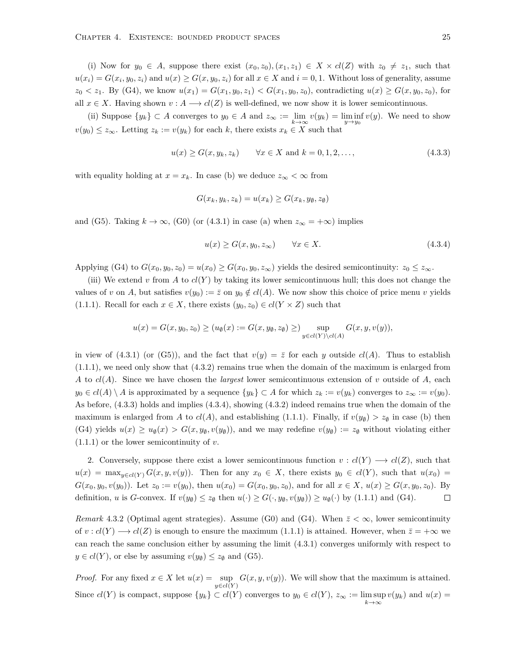(i) Now for  $y_0 \in A$ , suppose there exist  $(x_0, z_0), (x_1, z_1) \in X \times cl(Z)$  with  $z_0 \neq z_1$ , such that  $u(x_i) = G(x_i, y_0, z_i)$  and  $u(x) \ge G(x, y_0, z_i)$  for all  $x \in X$  and  $i = 0, 1$ . Without loss of generality, assume  $z_0 < z_1$ . By (G4), we know  $u(x_1) = G(x_1, y_0, z_1) < G(x_1, y_0, z_0)$ , contradicting  $u(x) \ge G(x, y_0, z_0)$ , for all  $x \in X$ . Having shown  $v : A \longrightarrow cl(Z)$  is well-defined, we now show it is lower semicontinuous.

(ii) Suppose  $\{y_k\} \subset A$  converges to  $y_0 \in A$  and  $z_\infty := \lim_{k \to \infty} v(y_k) = \liminf_{y \to y_0} v(y)$ . We need to show *v*(*y*<sub>0</sub>) ≤ *z*<sub>∞</sub>. Letting *z*<sub>*k*</sub> := *v*(*y*<sub>*k*</sub>) for each *k*, there exists *x*<sub>*k*</sub> ∈ *X* such that

$$
u(x) \ge G(x, y_k, z_k)
$$
  $\forall x \in X \text{ and } k = 0, 1, 2, ...,$  (4.3.3)

with equality holding at  $x = x_k$ . In case (b) we deduce  $z_\infty < \infty$  from

$$
G(x_k, y_k, z_k) = u(x_k) \ge G(x_k, y_{\emptyset}, z_{\emptyset})
$$

and (G5). Taking  $k \to \infty$ , (G0) (or (4.3.1) in case (a) when  $z_{\infty} = +\infty$ ) implies

$$
u(x) \ge G(x, y_0, z_{\infty}) \qquad \forall x \in X. \tag{4.3.4}
$$

Applying (G4) to  $G(x_0, y_0, z_0) = u(x_0) \ge G(x_0, y_0, z_\infty)$  yields the desired semicontinuity:  $z_0 \le z_\infty$ .

(iii) We extend *v* from *A* to  $cl(Y)$  by taking its lower semicontinuous hull; this does not change the values of *v* on *A*, but satisfies  $v(y_0) := \overline{z}$  on  $y_0 \notin cl(A)$ . We now show this choice of price menu *v* yields (1.1.1). Recall for each  $x \in X$ , there exists  $(y_0, z_0) \in cl(Y \times Z)$  such that

$$
u(x) = G(x, y_0, z_0) \ge (u_\emptyset(x) := G(x, y_\emptyset, z_\emptyset) \ge) \sup_{y \in cl(Y) \setminus cl(A)} G(x, y, v(y)),
$$

in view of (4.3.1) (or (G5)), and the fact that  $v(y) = \overline{z}$  for each *y* outside  $c l(A)$ . Thus to establish  $(1.1.1)$ , we need only show that  $(4.3.2)$  remains true when the domain of the maximum is enlarged from *A* to *cl*(*A*). Since we have chosen the *largest* lower semicontinuous extension of *v* outside of *A*, each  $y_0 \in cl(A) \setminus A$  is approximated by a sequence  $\{y_k\} \subset A$  for which  $z_k := v(y_k)$  converges to  $z_\infty := v(y_0)$ . As before, (4.3.3) holds and implies (4.3.4), showing (4.3.2) indeed remains true when the domain of the maximum is enlarged from *A* to  $cl(A)$ , and establishing (1.1.1). Finally, if  $v(y_0) > z_0$  in case (b) then (G4) yields  $u(x) \geq u_{\emptyset}(x) > G(x, y_{\emptyset}, v(y_{\emptyset}))$ , and we may redefine  $v(y_{\emptyset}) := z_{\emptyset}$  without violating either (1.1.1) or the lower semicontinuity of *v*.

2. Conversely, suppose there exist a lower semicontinuous function  $v : cl(Y) \longrightarrow cl(Z)$ , such that  $u(x) = \max_{y \in cl(Y)} G(x, y, v(y))$ . Then for any  $x_0 \in X$ , there exists  $y_0 \in cl(Y)$ , such that  $u(x_0) =$  $G(x_0, y_0, v(y_0))$ . Let  $z_0 := v(y_0)$ , then  $u(x_0) = G(x_0, y_0, z_0)$ , and for all  $x \in X$ ,  $u(x) \ge G(x, y_0, z_0)$ . By definition, u is G-convex. If  $v(y_\emptyset) \le z_\emptyset$  then  $u(\cdot) \ge G(\cdot, y_\emptyset, v(y_\emptyset)) \ge u_\emptyset(\cdot)$  by (1.1.1) and (G4).  $\Box$ 

*Remark* 4.3.2 (Optimal agent strategies). Assume (G0) and (G4). When  $\bar{z} < \infty$ , lower semicontinuity of  $v : cl(Y) \longrightarrow cl(Z)$  is enough to ensure the maximum (1.1.1) is attained. However, when  $\overline{z} = +\infty$  we can reach the same conclusion either by assuming the limit (4.3.1) converges uniformly with respect to  $y \in cl(Y)$ , or else by assuming  $v(y_{\emptyset}) \leq z_{\emptyset}$  and (G5).

*Proof.* For any fixed  $x \in X$  let  $u(x) = \sup G(x, y, v(y))$ . We will show that the maximum is attained. *y∈cl*(*Y* ) Since  $cl(Y)$  is compact, suppose  $\{y_k\} \subset cl(Y)$  converges to  $y_0 \in cl(Y)$ ,  $z_{\infty} := \limsup_{k \to \infty} v(y_k)$  and  $u(x) =$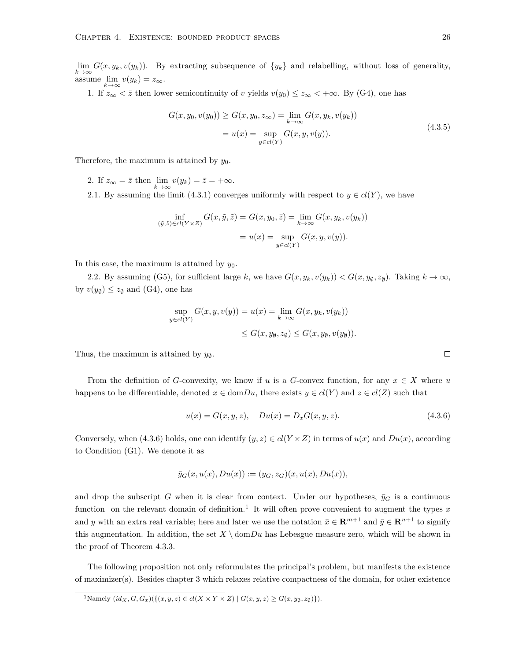$\lim_{k\to\infty} G(x, y_k, v(y_k))$ . By extracting subsequence of  $\{y_k\}$  and relabelling, without loss of generality, assume  $\lim_{k \to \infty} v(y_k) = z_{\infty}$ .

1. If  $z_{\infty} < \bar{z}$  then lower semicontinuity of *v* yields  $v(y_0) \leq z_{\infty} < +\infty$ . By (G4), one has

$$
G(x, y_0, v(y_0)) \ge G(x, y_0, z_{\infty}) = \lim_{k \to \infty} G(x, y_k, v(y_k))
$$
  
=  $u(x) = \sup_{y \in cl(Y)} G(x, y, v(y)).$  (4.3.5)

Therefore, the maximum is attained by  $y_0$ .

2. If  $z_{\infty} = \overline{z}$  then  $\lim_{k \to \infty} v(y_k) = \overline{z} = +\infty$ .

2.1. By assuming the limit (4.3.1) converges uniformly with respect to  $y \in cl(Y)$ , we have

$$
\inf_{(\tilde{y},\tilde{z}) \in cl(Y \times Z)} G(x,\tilde{y},\tilde{z}) = G(x,y_0,\bar{z}) = \lim_{k \to \infty} G(x,y_k,v(y_k))
$$

$$
= u(x) = \sup_{y \in cl(Y)} G(x,y,v(y)).
$$

In this case, the maximum is attained by  $y_0$ .

2.2. By assuming (G5), for sufficient large *k*, we have  $G(x, y_k, v(y_k)) < G(x, y_\emptyset, z_\emptyset)$ . Taking  $k \to \infty$ , by  $v(y_0) \leq z_0$  and (G4), one has

$$
\sup_{y \in cl(Y)} G(x, y, v(y)) = u(x) = \lim_{k \to \infty} G(x, y_k, v(y_k))
$$
  

$$
\leq G(x, y_{\emptyset}, z_{\emptyset}) \leq G(x, y_{\emptyset}, v(y_{\emptyset})).
$$

Thus, the maximum is attained by  $y_{\emptyset}$ .

From the definition of *G*-convexity, we know if *u* is a *G*-convex function, for any  $x \in X$  where *u* happens to be differentiable, denoted  $x \in \text{dom}Du$ , there exists  $y \in cl(Y)$  and  $z \in cl(Z)$  such that

$$
u(x) = G(x, y, z), \quad Du(x) = D_x G(x, y, z). \tag{4.3.6}
$$

Conversely, when (4.3.6) holds, one can identify  $(y, z) \in cl(Y \times Z)$  in terms of  $u(x)$  and  $Du(x)$ , according to Condition (G1). We denote it as

$$
\bar{y}_G(x, u(x), Du(x)) := (y_G, z_G)(x, u(x), Du(x)),
$$

and drop the subscript *G* when it is clear from context. Under our hypotheses,  $\bar{y}_G$  is a continuous function on the relevant domain of definition.<sup>1</sup> It will often prove convenient to augment the types  $x$ and *y* with an extra real variable; here and later we use the notation  $\bar{x} \in \mathbb{R}^{m+1}$  and  $\bar{y} \in \mathbb{R}^{n+1}$  to signify this augmentation. In addition, the set  $X \setminus \text{dom}Du$  has Lebesgue measure zero, which will be shown in the proof of Theorem 4.3.3.

The following proposition not only reformulates the principal's problem, but manifests the existence of maximizer(s). Besides chapter 3 which relaxes relative compactness of the domain, for other existence

 $\Box$ 

<sup>&</sup>lt;sup>1</sup>Namely  $(id_X, G, G_x)(\{(x, y, z) \in cl(X \times Y \times Z) \mid G(x, y, z) \ge G(x, y_0, z_0)\}).$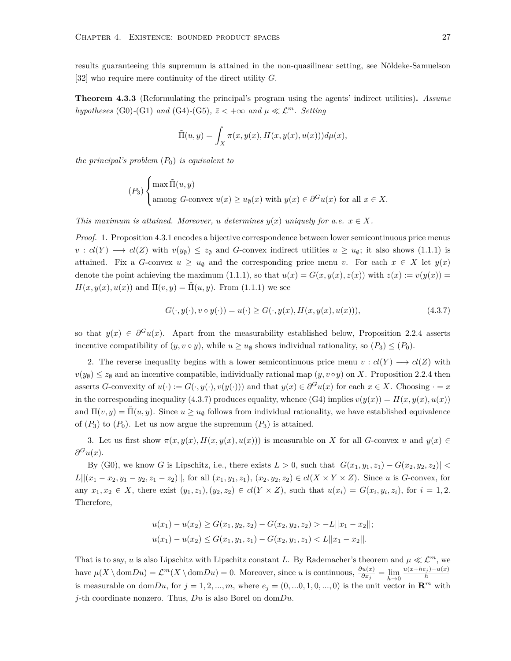results guaranteeing this supremum is attained in the non-quasilinear setting, see Nöldeke-Samuelson [32] who require mere continuity of the direct utility *G*.

**Theorem 4.3.3** (Reformulating the principal's program using the agents' indirect utilities)**.** *Assume hypotheses* (G0)-(G1) *and* (G4)-(G5)*,*  $\bar{z}$  < + $\infty$  *and*  $\mu \ll L^m$ *. Setting* 

$$
\tilde{\Pi}(u, y) = \int_X \pi(x, y(x), H(x, y(x), u(x))) d\mu(x),
$$

*the principal's problem*  $(P_0)$  *is equivalent to* 

$$
(P_3)\begin{cases} \max \tilde{\Pi}(u, y) \\ \text{among } G\text{-convex } u(x) \ge u_{\emptyset}(x) \text{ with } y(x) \in \partial^G u(x) \text{ for all } x \in X. \end{cases}
$$

*This maximum is attained. Moreover, <i>u determines*  $y(x)$  *uniquely for a.e.*  $x \in X$ .

*Proof.* 1. Proposition 4.3.1 encodes a bijective correspondence between lower semicontinuous price menus  $v: cl(Y) \longrightarrow cl(Z)$  with  $v(y_{\emptyset}) \leq z_{\emptyset}$  and *G*-convex indirect utilities  $u \geq u_{\emptyset}$ ; it also shows (1.1.1) is attained. Fix a *G*-convex  $u \geq u_{\emptyset}$  and the corresponding price menu *v*. For each  $x \in X$  let  $y(x)$ denote the point achieving the maximum (1.1.1), so that  $u(x) = G(x, y(x), z(x))$  with  $z(x) := v(y(x)) =$  $H(x, y(x), u(x))$  and  $\Pi(v, y) = \Pi(u, y)$ . From (1.1.1) we see

$$
G(\cdot, y(\cdot), v \circ y(\cdot)) = u(\cdot) \ge G(\cdot, y(x), H(x, y(x), u(x))),\tag{4.3.7}
$$

so that  $y(x) \in \partial^G u(x)$ . Apart from the measurability established below, Proposition 2.2.4 asserts incentive compatibility of  $(y, v \circ y)$ , while  $u \geq u_{\emptyset}$  shows individual rationality, so  $(P_3) \leq (P_0)$ .

2. The reverse inequality begins with a lower semicontinuous price menu  $v : cl(Y) \longrightarrow cl(Z)$  with  $v(y_{\emptyset}) \leq z_{\emptyset}$  and an incentive compatible, individually rational map  $(y, v \circ y)$  on *X*. Proposition 2.2.4 then asserts G-convexity of  $u(\cdot) := G(\cdot, y(\cdot), v(y(\cdot)))$  and that  $y(x) \in \partial^G u(x)$  for each  $x \in X$ . Choosing  $\cdot = x$ in the corresponding inequality (4.3.7) produces equality, whence (G4) implies  $v(y(x)) = H(x, y(x), u(x))$ and  $\Pi(v, y) = \Pi(u, y)$ . Since  $u \geq u_{\emptyset}$  follows from individual rationality, we have established equivalence of  $(P_3)$  to  $(P_0)$ . Let us now argue the supremum  $(P_3)$  is attained.

3. Let us first show  $\pi(x, y(x), H(x, y(x), u(x)))$  is measurable on X for all *G*-convex *u* and  $y(x) \in$ *∂ <sup>G</sup>u*(*x*).

By (G0), we know *G* is Lipschitz, i.e., there exists  $L > 0$ , such that  $|G(x_1, y_1, z_1) - G(x_2, y_2, z_2)|$  $L||(x_1-x_2,y_1-y_2,z_1-z_2)||$ , for all  $(x_1,y_1,z_1), (x_2,y_2,z_2) \in cl(X \times Y \times Z)$ . Since u is G-convex, for any  $x_1, x_2 \in X$ , there exist  $(y_1, z_1), (y_2, z_2) \in cl(Y \times Z)$ , such that  $u(x_i) = G(x_i, y_i, z_i)$ , for  $i = 1, 2$ . Therefore,

$$
u(x_1) - u(x_2) \ge G(x_1, y_2, z_2) - G(x_2, y_2, z_2) > -L||x_1 - x_2||;
$$
  

$$
u(x_1) - u(x_2) \le G(x_1, y_1, z_1) - G(x_2, y_1, z_1) < L||x_1 - x_2||.
$$

That is to say, *u* is also Lipschitz with Lipschitz constant *L*. By Rademacher's theorem and  $\mu \ll \mathcal{L}^m$ , we have  $\mu(X \setminus \text{dom}Du) = \mathcal{L}^m(X \setminus \text{dom}Du) = 0$ . Moreover, since *u* is continuous,  $\frac{\partial u(x)}{\partial x_j} = \lim_{h \to 0}$ *u*(*x*+*he<sup>j</sup>* )*−u*(*x*) *h* is measurable on dom $Du$ , for  $j = 1, 2, ..., m$ , where  $e_j = (0, ..., 0, 1, 0, ..., 0)$  is the unit vector in  $\mathbb{R}^m$  with *j*-th coordinate nonzero. Thus, *Du* is also Borel on dom*Du*.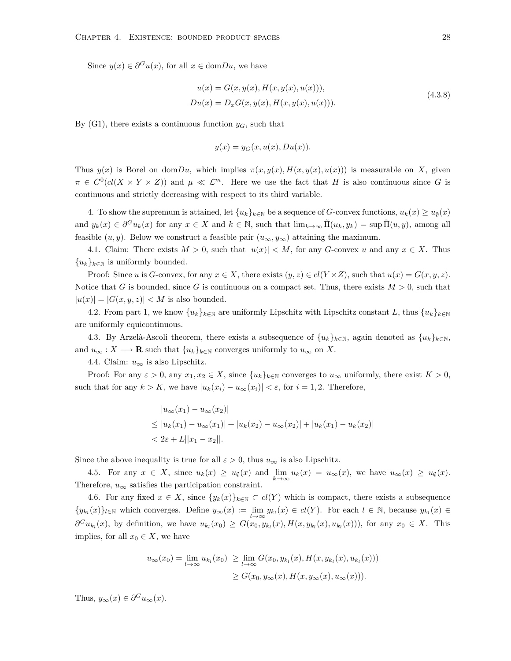Since  $y(x) \in \partial^G u(x)$ , for all  $x \in \text{dom}Du$ , we have

$$
u(x) = G(x, y(x), H(x, y(x), u(x))),
$$
  
\n
$$
Du(x) = D_x G(x, y(x), H(x, y(x), u(x))).
$$
\n(4.3.8)

By (G1), there exists a continuous function  $y_G$ , such that

$$
y(x) = y_G(x, u(x), Du(x)).
$$

Thus  $y(x)$  is Borel on dom $Du$ , which implies  $\pi(x, y(x), H(x, y(x), u(x)))$  is measurable on *X*, given  $\pi \in C^0(cl(X \times Y \times Z))$  and  $\mu \ll \mathcal{L}^m$ . Here we use the fact that *H* is also continuous since *G* is continuous and strictly decreasing with respect to its third variable.

4. To show the supremum is attained, let  ${u_k}_{k \in \mathbb{N}}$  be a sequence of *G*-convex functions,  $u_k(x) \geq u_\emptyset(x)$ and  $y_k(x) \in \partial^G u_k(x)$  for any  $x \in X$  and  $k \in \mathbb{N}$ , such that  $\lim_{k \to \infty} \tilde{\Pi}(u_k, y_k) = \sup \tilde{\Pi}(u, y)$ , among all feasible  $(u, y)$ . Below we construct a feasible pair  $(u_{\infty}, y_{\infty})$  attaining the maximum.

4.1. Claim: There exists  $M > 0$ , such that  $|u(x)| < M$ , for any *G*-convex *u* and any  $x \in X$ . Thus  ${u_k}_{k \in \mathbb{N}}$  is uniformly bounded.

Proof: Since *u* is *G*-convex, for any  $x \in X$ , there exists  $(y, z) \in cl(Y \times Z)$ , such that  $u(x) = G(x, y, z)$ . Notice that *G* is bounded, since *G* is continuous on a compact set. Thus, there exists  $M > 0$ , such that  $|u(x)| = |G(x, y, z)| < M$  is also bounded.

4.2. From part 1, we know  $\{u_k\}_{k\in\mathbb{N}}$  are uniformly Lipschitz with Lipschitz constant *L*, thus  $\{u_k\}_{k\in\mathbb{N}}$ are uniformly equicontinuous.

4.3. By Arzelà-Ascoli theorem, there exists a subsequence of  $\{u_k\}_{k\in\mathbb{N}}$ , again denoted as  $\{u_k\}_{k\in\mathbb{N}}$ , and  $u_{\infty}: X \longrightarrow \mathbf{R}$  such that  $\{u_k\}_{k \in \mathbb{N}}$  converges uniformly to  $u_{\infty}$  on X.

4.4. Claim:  $u_{\infty}$  is also Lipschitz.

Proof: For any  $\varepsilon > 0$ , any  $x_1, x_2 \in X$ , since  $\{u_k\}_{k \in \mathbb{N}}$  converges to  $u_\infty$  uniformly, there exist  $K > 0$ , such that for any  $k > K$ , we have  $|u_k(x_i) - u_\infty(x_i)| < \varepsilon$ , for  $i = 1, 2$ . Therefore,

$$
|u_{\infty}(x_1) - u_{\infty}(x_2)|
$$
  
\n
$$
\leq |u_k(x_1) - u_{\infty}(x_1)| + |u_k(x_2) - u_{\infty}(x_2)| + |u_k(x_1) - u_k(x_2)|
$$
  
\n
$$
< 2\varepsilon + L||x_1 - x_2||.
$$

Since the above inequality is true for all  $\varepsilon > 0$ , thus  $u_{\infty}$  is also Lipschitz.

4.5. For any  $x \in X$ , since  $u_k(x) \ge u_\emptyset(x)$  and  $\lim_{k \to \infty} u_k(x) = u_\infty(x)$ , we have  $u_\infty(x) \ge u_\emptyset(x)$ . Therefore,  $u_{\infty}$  satisfies the participation constraint.

4.6. For any fixed  $x \in X$ , since  $\{y_k(x)\}_{k \in \mathbb{N}} \subset cl(Y)$  which is compact, there exists a subsequence  $\{y_{k_l}(x)\}_{l\in\mathbb{N}}$  which converges. Define  $y_\infty(x) := \lim_{l\to\infty} y_{k_l}(x) \in cl(Y)$ . For each  $l \in \mathbb{N}$ , because  $y_{k_l}(x) \in cl(Y)$ .  $\partial^G u_{k_l}(x)$ , by definition, we have  $u_{k_l}(x_0) \geq G(x_0, y_{k_l}(x), H(x, y_{k_l}(x), u_{k_l}(x)))$ , for any  $x_0 \in X$ . This implies, for all  $x_0 \in X$ , we have

$$
u_{\infty}(x_0) = \lim_{l \to \infty} u_{k_l}(x_0) \ge \lim_{l \to \infty} G(x_0, y_{k_l}(x), H(x, y_{k_l}(x), u_{k_l}(x)))
$$
  

$$
\ge G(x_0, y_{\infty}(x), H(x, y_{\infty}(x), u_{\infty}(x))).
$$

Thus,  $y_{\infty}(x) \in \partial^{G} u_{\infty}(x)$ .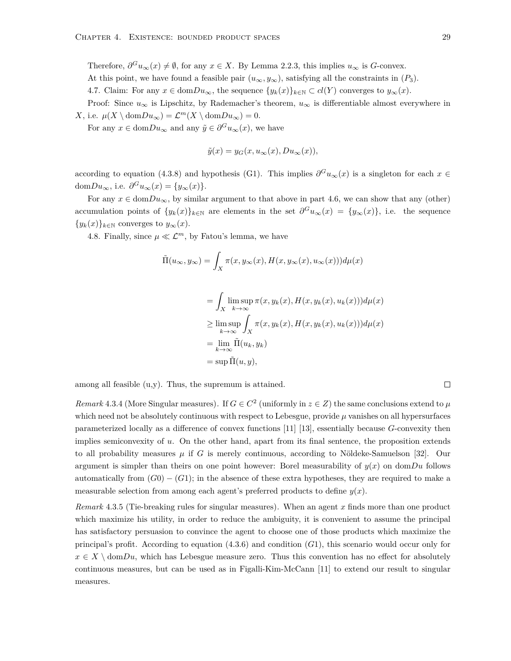Therefore,  $\partial^G u_{\infty}(x) \neq \emptyset$ , for any  $x \in X$ . By Lemma 2.2.3, this implies  $u_{\infty}$  is *G*-convex. At this point, we have found a feasible pair  $(u_{\infty}, y_{\infty})$ , satisfying all the constraints in  $(P_3)$ . 4.7. Claim: For any  $x \in \text{dom}Du_{\infty}$ , the sequence  $\{y_k(x)\}_{k \in \mathbb{N}} \subset cl(Y)$  converges to  $y_{\infty}(x)$ . Proof: Since  $u_{\infty}$  is Lipschitz, by Rademacher's theorem,  $u_{\infty}$  is differentiable almost everywhere in

 $X$ , i.e.  $\mu(X \setminus \text{dom}Du_{\infty}) = \mathcal{L}^m(X \setminus \text{dom}Du_{\infty}) = 0.$ 

For any  $x \in \text{dom}Du_{\infty}$  and any  $\tilde{y} \in \partial^G u_{\infty}(x)$ , we have

$$
\tilde{y}(x) = y_G(x, u_{\infty}(x), Du_{\infty}(x)),
$$

according to equation (4.3.8) and hypothesis (G1). This implies  $\partial^G u_{\infty}(x)$  is a singleton for each  $x \in$ dom $Du_{\infty}$ , i.e.  $\partial^G u_{\infty}(x) = \{y_{\infty}(x)\}.$ 

For any  $x \in \text{dom}Du_{\infty}$ , by similar argument to that above in part 4.6, we can show that any (other) accumulation points of  $\{y_k(x)\}_{k\in\mathbb{N}}$  are elements in the set  $\partial^G u_\infty(x) = \{y_\infty(x)\}\$ , i.e. the sequence  ${y_k(x)}_{k \in \mathbb{N}}$  converges to  $y_\infty(x)$ .

4.8. Finally, since  $\mu \ll \mathcal{L}^m$ , by Fatou's lemma, we have

$$
\tilde{\Pi}(u_{\infty}, y_{\infty}) = \int_X \pi(x, y_{\infty}(x), H(x, y_{\infty}(x), u_{\infty}(x))) d\mu(x)
$$

$$
= \int_X \limsup_{k \to \infty} \pi(x, y_k(x), H(x, y_k(x), u_k(x))) d\mu(x)
$$
  
\n
$$
\geq \limsup_{k \to \infty} \int_X \pi(x, y_k(x), H(x, y_k(x), u_k(x))) d\mu(x)
$$
  
\n
$$
= \lim_{k \to \infty} \tilde{\Pi}(u_k, y_k)
$$
  
\n
$$
= \sup \tilde{\Pi}(u, y),
$$

among all feasible (u,y). Thus, the supremum is attained.

*Remark* 4.3.4 (More Singular measures). If  $G \in C^2$  (uniformly in  $z \in Z$ ) the same conclusions extend to  $\mu$ which need not be absolutely continuous with respect to Lebesgue, provide  $\mu$  vanishes on all hypersurfaces parameterized locally as a difference of convex functions [11] [13], essentially because *G*-convexity then implies semiconvexity of *u*. On the other hand, apart from its final sentence, the proposition extends to all probability measures  $\mu$  if  $G$  is merely continuous, according to Nöldeke-Samuelson [32]. Our argument is simpler than theirs on one point however: Borel measurability of  $y(x)$  on dom $Du$  follows automatically from  $(G0) - (G1)$ ; in the absence of these extra hypotheses, they are required to make a measurable selection from among each agent's preferred products to define  $y(x)$ .

*Remark* 4.3.5 (Tie-breaking rules for singular measures)*.* When an agent *x* finds more than one product which maximize his utility, in order to reduce the ambiguity, it is convenient to assume the principal has satisfactory persuasion to convince the agent to choose one of those products which maximize the principal's profit. According to equation (4.3.6) and condition (*G*1), this scenario would occur only for  $x \in X \setminus \text{dom}Du$ , which has Lebesgue measure zero. Thus this convention has no effect for absolutely continuous measures, but can be used as in Figalli-Kim-McCann [11] to extend our result to singular measures.

 $\Box$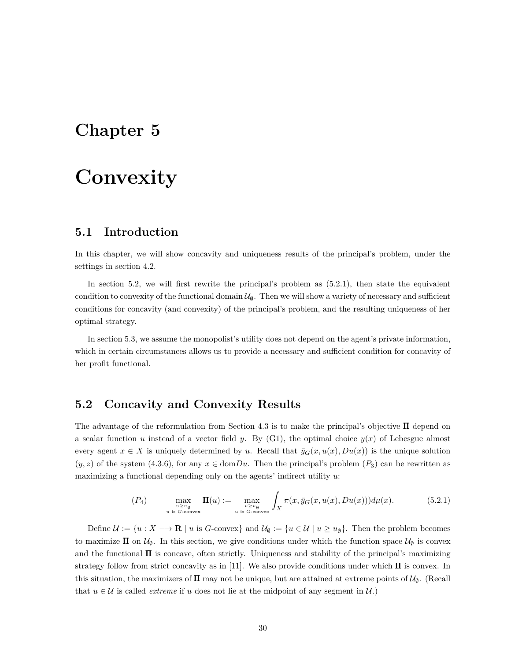## **Chapter 5**

# **Convexity**

#### **5.1 Introduction**

In this chapter, we will show concavity and uniqueness results of the principal's problem, under the settings in section 4.2.

In section 5.2, we will first rewrite the principal's problem as (5.2.1), then state the equivalent condition to convexity of the functional domain  $\mathcal{U}_{\emptyset}$ . Then we will show a variety of necessary and sufficient conditions for concavity (and convexity) of the principal's problem, and the resulting uniqueness of her optimal strategy.

In section 5.3, we assume the monopolist's utility does not depend on the agent's private information, which in certain circumstances allows us to provide a necessary and sufficient condition for concavity of her profit functional.

#### **5.2 Concavity and Convexity Results**

The advantage of the reformulation from Section 4.3 is to make the principal's objective Π depend on a scalar function *u* instead of a vector field *y*. By (G1), the optimal choice  $y(x)$  of Lebesgue almost every agent  $x \in X$  is uniquely determined by *u*. Recall that  $\bar{y}_G(x, u(x), Du(x))$  is the unique solution  $(y, z)$  of the system (4.3.6), for any  $x \in \text{dom}Du$ . Then the principal's problem ( $P_3$ ) can be rewritten as maximizing a functional depending only on the agents' indirect utility *u*:

$$
(P_4) \qquad \max_{\substack{u \ge u_{\emptyset} \\ u \text{ is } G\text{-convex}}} \Pi(u) := \max_{\substack{u \ge u_{\emptyset} \\ u \text{ is } G\text{-convex}}} \int_X \pi(x, \bar{y}_G(x, u(x), Du(x))) d\mu(x). \tag{5.2.1}
$$

Define  $\mathcal{U} := \{u : X \longrightarrow \mathbf{R} \mid u \text{ is } G\text{-convex}\}\$  and  $\mathcal{U}_{\emptyset} := \{u \in \mathcal{U} \mid u \geq u_{\emptyset}\}\.$  Then the problem becomes to maximize  $\Pi$  on  $\mathcal{U}_{\emptyset}$ . In this section, we give conditions under which the function space  $\mathcal{U}_{\emptyset}$  is convex and the functional  $\Pi$  is concave, often strictly. Uniqueness and stability of the principal's maximizing strategy follow from strict concavity as in [11]. We also provide conditions under which  $\Pi$  is convex. In this situation, the maximizers of  $\Pi$  may not be unique, but are attained at extreme points of  $\mathcal{U}_{\emptyset}$ . (Recall that  $u \in \mathcal{U}$  is called *extreme* if  $u$  does not lie at the midpoint of any segment in  $\mathcal{U}$ .)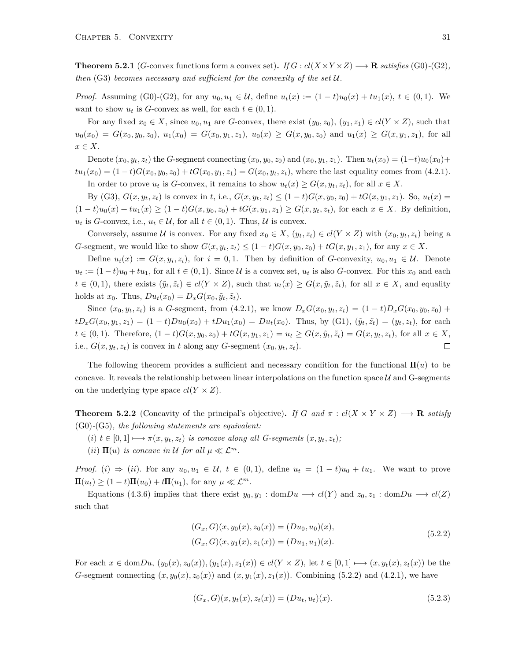**Theorem 5.2.1** (*G*-convex functions form a convex set). *If*  $G : cl(X \times Y \times Z) \longrightarrow \mathbf{R}$  *satisfies* (G0) $\text{-}$ (G2)*, then* (G3) *becomes necessary and sufficient for the convexity of the set U.*

*Proof.* Assuming (G0)-(G2), for any  $u_0, u_1 \in \mathcal{U}$ , define  $u_t(x) := (1-t)u_0(x) + tu_1(x), t \in (0,1)$ . We want to show  $u_t$  is *G*-convex as well, for each  $t \in (0, 1)$ .

For any fixed  $x_0 \in X$ , since  $u_0, u_1$  are *G*-convex, there exist  $(y_0, z_0), (y_1, z_1) \in cl(Y \times Z)$ , such that  $u_0(x_0) = G(x_0, y_0, z_0), u_1(x_0) = G(x_0, y_1, z_1), u_0(x) \ge G(x, y_0, z_0)$  and  $u_1(x) \ge G(x, y_1, z_1)$ , for all *x ∈ X*.

Denote  $(x_0, y_t, z_t)$  the G-segment connecting  $(x_0, y_0, z_0)$  and  $(x_0, y_1, z_1)$ . Then  $u_t(x_0) = (1-t)u_0(x_0) +$  $tu_1(x_0) = (1-t)G(x_0, y_0, z_0) + tG(x_0, y_1, z_1) = G(x_0, y_t, z_t)$ , where the last equality comes from (4.2.1). In order to prove  $u_t$  is *G*-convex, it remains to show  $u_t(x) \ge G(x, y_t, z_t)$ , for all  $x \in X$ .

By (G3),  $G(x, y_t, z_t)$  is convex in t, i.e.,  $G(x, y_t, z_t) \leq (1-t)G(x, y_0, z_0) + tG(x, y_1, z_1)$ . So,  $u_t(x) =$  $(1-t)u_0(x) + tu_1(x) \ge (1-t)G(x, y_0, z_0) + tG(x, y_1, z_1) \ge G(x, y_t, z_t)$ , for each  $x \in X$ . By definition,  $u_t$  is *G*-convex, i.e.,  $u_t \in \mathcal{U}$ , for all  $t \in (0,1)$ . Thus,  $\mathcal{U}$  is convex.

Conversely, assume U is convex. For any fixed  $x_0 \in X$ ,  $(y_t, z_t) \in cl(Y \times Z)$  with  $(x_0, y_t, z_t)$  being a G-segment, we would like to show  $G(x, y_t, z_t) \leq (1-t)G(x, y_0, z_0) + tG(x, y_1, z_1)$ , for any  $x \in X$ .

Define  $u_i(x) := G(x, y_i, z_i)$ , for  $i = 0, 1$ . Then by definition of *G*-convexity,  $u_0, u_1 \in \mathcal{U}$ . Denote  $u_t := (1-t)u_0 + tu_1$ , for all  $t \in (0,1)$ . Since *U* is a convex set,  $u_t$  is also *G*-convex. For this  $x_0$  and each  $t \in (0,1)$ , there exists  $(\tilde{y}_t, \tilde{z}_t) \in cl(Y \times Z)$ , such that  $u_t(x) \ge G(x, \tilde{y}_t, \tilde{z}_t)$ , for all  $x \in X$ , and equality holds at  $x_0$ . Thus,  $Du_t(x_0) = D_x G(x_0, \tilde{y}_t, \tilde{z}_t)$ .

Since  $(x_0, y_t, z_t)$  is a G-segment, from (4.2.1), we know  $D_xG(x_0, y_t, z_t) = (1-t)D_xG(x_0, y_0, z_0) +$  $tD_xG(x_0, y_1, z_1) = (1-t)Du_0(x_0) + tDu_1(x_0) = Du_t(x_0)$ . Thus, by (G1),  $(\tilde{y}_t, \tilde{z}_t) = (y_t, z_t)$ , for each  $t \in (0,1)$ . Therefore,  $(1-t)G(x, y_0, z_0) + tG(x, y_1, z_1) = u_t \geq G(x, \tilde{y}_t, \tilde{z}_t) = G(x, y_t, z_t)$ , for all  $x \in X$ , i.e.,  $G(x, y_t, z_t)$  is convex in *t* along any *G*-segment  $(x_0, y_t, z_t)$ .  $\Box$ 

The following theorem provides a sufficient and necessary condition for the functional  $\Pi(u)$  to be concave. It reveals the relationship between linear interpolations on the function space  $U$  and  $G$ -segments on the underlying type space  $cl(Y \times Z)$ .

**Theorem 5.2.2** (Concavity of the principal's objective). If G and  $\pi$  :  $cl(X \times Y \times Z) \longrightarrow \mathbb{R}$  satisfy (G0)*-*(G5)*, the following statements are equivalent:*

- $(i)$   $t \in [0,1] \rightarrow \pi(x, y_t, z_t)$  *is concave along all G-segments*  $(x, y_t, z_t)$ ;
- (*ii*)  $\Pi(u)$  *is concave in U for all*  $\mu \ll L^m$ .

*Proof.* (*i*)  $\Rightarrow$  (*ii*). For any  $u_0, u_1 \in \mathcal{U}$ ,  $t \in (0,1)$ , define  $u_t = (1-t)u_0 + tu_1$ . We want to prove  $\Pi(u_t) \geq (1-t)\Pi(u_0) + t\Pi(u_1)$ , for any  $\mu \ll \mathcal{L}^m$ .

Equations (4.3.6) implies that there exist  $y_0, y_1$  : dom $Du \longrightarrow cl(Y)$  and  $z_0, z_1$  : dom $Du \longrightarrow cl(Z)$ such that

$$
(G_x, G)(x, y_0(x), z_0(x)) = (Du_0, u_0)(x),(G_x, G)(x, y_1(x), z_1(x)) = (Du_1, u_1)(x).
$$
\n(5.2.2)

For each  $x \in \text{dom}Du$ ,  $(y_0(x), z_0(x)), (y_1(x), z_1(x)) \in cl(Y \times Z)$ , let  $t \in [0, 1] \mapsto (x, y_t(x), z_t(x))$  be the *G*-segment connecting  $(x, y_0(x), z_0(x))$  and  $(x, y_1(x), z_1(x))$ . Combining (5.2.2) and (4.2.1), we have

$$
(G_x, G)(x, y_t(x), z_t(x)) = (Du_t, u_t)(x).
$$
\n(5.2.3)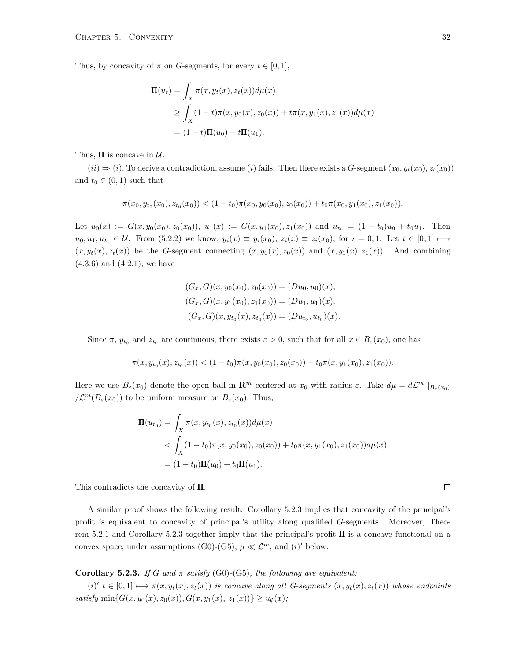Thus, by concavity of  $\pi$  on *G*-segments, for every  $t \in [0, 1]$ ,

$$
\Pi(u_t) = \int_X \pi(x, y_t(x), z_t(x)) d\mu(x)
$$
  
\n
$$
\geq \int_X (1-t) \pi(x, y_0(x), z_0(x)) + t \pi(x, y_1(x), z_1(x)) d\mu(x)
$$
  
\n
$$
= (1-t) \Pi(u_0) + t \Pi(u_1).
$$

Thus,  $\Pi$  is concave in  $\mathcal{U}$ .

 $(i) \Rightarrow (i)$ . To derive a contradiction, assume (*i*) fails. Then there exists a *G*-segment  $(x_0, y_t(x_0), z_t(x_0))$ and  $t_0 \in (0,1)$  such that

$$
\pi(x_0, y_{t_0}(x_0), z_{t_0}(x_0)) < (1-t_0)\pi(x_0, y_0(x_0), z_0(x_0)) + t_0\pi(x_0, y_1(x_0), z_1(x_0)).
$$

Let  $u_0(x) := G(x, y_0(x_0), z_0(x_0))$ ,  $u_1(x) := G(x, y_1(x_0), z_1(x_0))$  and  $u_{t_0} = (1 - t_0)u_0 + t_0u_1$ . Then  $u_0, u_1, u_{t_0} \in \mathcal{U}$ . From (5.2.2) we know,  $y_i(x) \equiv y_i(x_0), z_i(x) \equiv z_i(x_0)$ , for  $i = 0, 1$ . Let  $t \in [0, 1] \mapsto$  $(x, y_t(x), z_t(x))$  be the *G*-segment connecting  $(x, y_0(x), z_0(x))$  and  $(x, y_1(x), z_1(x))$ . And combining (4*.*3*.*6) and (4*.*2*.*1), we have

$$
(G_x, G)(x, y_0(x_0), z_0(x_0)) = (Du_0, u_0)(x),
$$
  
\n
$$
(G_x, G)(x, y_1(x_0), z_1(x_0)) = (Du_1, u_1)(x).
$$
  
\n
$$
(G_x, G)(x, y_{t_0}(x), z_{t_0}(x)) = (Du_{t_0}, u_{t_0})(x).
$$

Since  $\pi$ ,  $y_{t_0}$  and  $z_{t_0}$  are continuous, there exists  $\varepsilon > 0$ , such that for all  $x \in B_{\varepsilon}(x_0)$ , one has

$$
\pi(x, y_{t_0}(x), z_{t_0}(x)) < (1-t_0)\pi(x, y_0(x_0), z_0(x_0)) + t_0\pi(x, y_1(x_0), z_1(x_0)).
$$

Here we use  $B_{\varepsilon}(x_0)$  denote the open ball in  $\mathbb{R}^m$  centered at  $x_0$  with radius  $\varepsilon$ . Take  $d\mu = d\mathcal{L}^m|_{B_{\varepsilon}(x_0)}$  $\ell^m(B_\varepsilon(x_0))$  to be uniform measure on  $B_\varepsilon(x_0)$ . Thus,

$$
\Pi(u_{t_0}) = \int_X \pi(x, y_{t_0}(x), z_{t_0}(x)) d\mu(x)
$$
  
< 
$$
< \int_X (1 - t_0) \pi(x, y_0(x_0), z_0(x_0)) + t_0 \pi(x, y_1(x_0), z_1(x_0)) d\mu(x)
$$
  

$$
= (1 - t_0) \Pi(u_0) + t_0 \Pi(u_1).
$$

This contradicts the concavity of Π.

A similar proof shows the following result. Corollary 5*.*2*.*3 implies that concavity of the principal's profit is equivalent to concavity of principal's utility along qualified *G*-segments. Moreover, Theorem 5.2.1 and Corollary 5.2.3 together imply that the principal's profit  $\Pi$  is a concave functional on a convex space, under assumptions (G0)-(G5),  $\mu \ll \mathcal{L}^m$ , and (*i*)' below.

#### **Corollary 5.2.3.** *If G* and  $\pi$  *satisfy* (G0)-(G5)*, the following are equivalent:*

 $(i)'$   $t \in [0,1] \longmapsto \pi(x, y_t(x), z_t(x))$  is concave along all G-segments  $(x, y_t(x), z_t(x))$  whose endpoints  $satisfy \min\{G(x,y_0(x),z_0(x)), G(x,y_1(x),z_1(x))\} \geq u_{\emptyset}(x);$ 

 $\Box$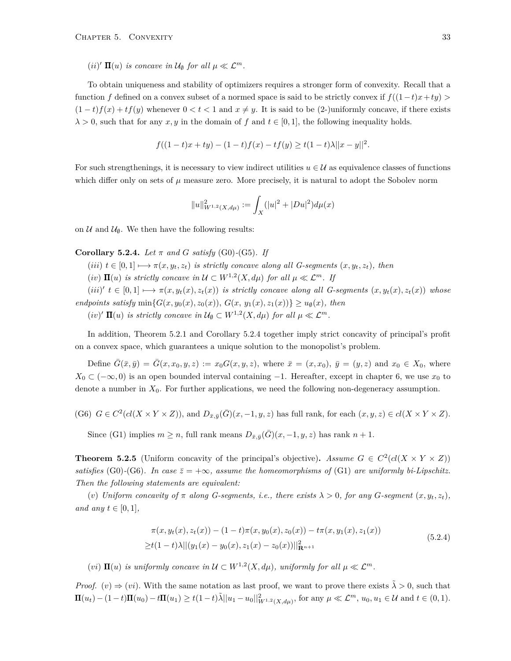$(iii)'$  **II** $(u)$  *is concave in*  $\mathcal{U}_{\emptyset}$  *for all*  $\mu \ll \mathcal{L}^m$ *.* 

To obtain uniqueness and stability of optimizers requires a stronger form of convexity. Recall that a function *f* defined on a convex subset of a normed space is said to be strictly convex if  $f((1-t)x+ty)$  $(1-t)f(x) + tf(y)$  whenever  $0 < t < 1$  and  $x \neq y$ . It is said to be  $(2-)$ uniformly concave, if there exists  $\lambda > 0$ , such that for any *x, y* in the domain of *f* and  $t \in [0,1]$ , the following inequality holds.

$$
f((1-t)x + ty) - (1-t)f(x) - tf(y) \ge t(1-t)\lambda ||x - y||^2.
$$

For such strengthenings, it is necessary to view indirect utilities  $u \in \mathcal{U}$  as equivalence classes of functions which differ only on sets of  $\mu$  measure zero. More precisely, it is natural to adopt the Sobolev norm

$$
||u||_{W^{1,2}(X,d\mu)}^2 := \int_X (|u|^2 + |Du|^2) d\mu(x)
$$

on  $U$  and  $U$ <sup> $\emptyset$ </sup>. We then have the following results:

#### **Corollary 5.2.4.** *Let*  $\pi$  *and*  $G$  *satisfy* (G0) $-(G5)$ *. If*

 $(iii)$   $t \in [0,1] \rightarrow \pi(x, y_t, z_t)$  *is strictly concave along all G-segments*  $(x, y_t, z_t)$ *, then* 

 $(iv)$   $\Pi(u)$  *is strictly concave in*  $\mathcal{U} \subset W^{1,2}(X, d\mu)$  *for all*  $\mu \ll \mathcal{L}^m$ *. If* 

 $(iii)'$   $t \in [0,1] \longmapsto \pi(x,y_t(x),z_t(x))$  is strictly concave along all G-segments  $(x,y_t(x),z_t(x))$  whose *endpoints satisfy* min ${G(x, y_0(x), z_0(x))}, G(x, y_1(x), z_1(x)) \ge u_\emptyset(x), \text{ then}$ 

 $(iv)'$   $\Pi(u)$  is strictly concave in  $\mathcal{U}_{\emptyset} \subset W^{1,2}(X, d\mu)$  for all  $\mu \ll \mathcal{L}^m$ .

In addition, Theorem 5*.*2*.*1 and Corollary 5*.*2*.*4 together imply strict concavity of principal's profit on a convex space, which guarantees a unique solution to the monopolist's problem.

Define  $\bar{G}(\bar{x}, \bar{y}) = \bar{G}(x, x_0, y, z) := x_0 G(x, y, z)$ , where  $\bar{x} = (x, x_0), \bar{y} = (y, z)$  and  $x_0 \in X_0$ , where *X*<sub>0</sub>  $\subset$  ( $-\infty$ , 0) is an open bounded interval containing  $-1$ . Hereafter, except in chapter 6, we use *x*<sub>0</sub> to denote a number in *X*0. For further applications, we need the following non-degeneracy assumption.

(G6)  $G \in C^2(cl(X \times Y \times Z))$ , and  $D_{\bar{x}, \bar{y}}(\bar{G})(x, -1, y, z)$  has full rank, for each  $(x, y, z) \in cl(X \times Y \times Z)$ .

Since (G1) implies  $m \ge n$ , full rank means  $D_{\bar{x}, \bar{y}}(\bar{G})(x, -1, y, z)$  has rank  $n + 1$ .

**Theorem 5.2.5** (Uniform concavity of the principal's objective). Assume  $G \in C^2(cl(X \times Y \times Z))$ *satisfies* (G0)-(G6)*.* In case  $\bar{z} = +\infty$ , assume the homeomorphisms of (G1) are uniformly bi-Lipschitz. *Then the following statements are equivalent:*

(*v*) *Uniform concavity of*  $\pi$  *along G*-segments, *i.e.*, *there exists*  $\lambda > 0$ *, for any G*-segment  $(x, y_t, z_t)$ *, and any*  $t \in [0, 1]$ *,* 

$$
\pi(x, y_t(x), z_t(x)) - (1 - t)\pi(x, y_0(x), z_0(x)) - t\pi(x, y_1(x), z_1(x))
$$
  
\n
$$
\geq t(1 - t)\lambda ||(y_1(x) - y_0(x), z_1(x) - z_0(x))||^2_{\mathbf{R}^{n+1}}
$$
\n(5.2.4)

(*vi*)  $\mathbf{\Pi}(u)$  *is uniformly concave in*  $\mathcal{U} \subset W^{1,2}(X, d\mu)$ *, uniformly for all*  $\mu \ll \mathcal{L}^m$ *.* 

*Proof.* (*v*)  $\Rightarrow$  (*vi*). With the same notation as last proof, we want to prove there exists  $\lambda > 0$ , such that  $\Pi(u_t) - (1-t)\Pi(u_0) - t\Pi(u_1) \ge t(1-t)\tilde{\lambda}||u_1 - u_0||_{W^{1,2}(X,d\mu)}^2$ , for any  $\mu \ll \mathcal{L}^m$ ,  $u_0, u_1 \in \mathcal{U}$  and  $t \in (0,1)$ .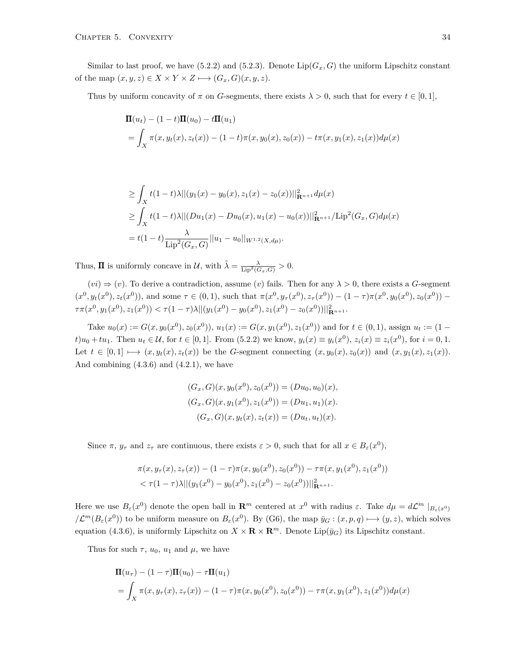Similar to last proof, we have (5.2.2) and (5.2.3). Denote  $\text{Lip}(G_x, G)$  the uniform Lipschitz constant of the map  $(x, y, z) \in X \times Y \times Z \longmapsto (G_x, G)(x, y, z).$ 

Thus by uniform concavity of  $\pi$  on *G*-segments, there exists  $\lambda > 0$ , such that for every  $t \in [0, 1]$ ,

$$
\Pi(u_t) - (1 - t)\Pi(u_0) - t\Pi(u_1)
$$
  
=  $\int_X \pi(x, y_t(x), z_t(x)) - (1 - t)\pi(x, y_0(x), z_0(x)) - t\pi(x, y_1(x), z_1(x))d\mu(x)$ 

$$
\geq \int_X t(1-t)\lambda ||(y_1(x) - y_0(x), z_1(x) - z_0(x))||^2_{\mathbf{R}^{n+1}} d\mu(x)
$$
  
\n
$$
\geq \int_X t(1-t)\lambda ||(Du_1(x) - Du_0(x), u_1(x) - u_0(x))||^2_{\mathbf{R}^{n+1}} / \mathrm{Lip}^2(G_x, G) d\mu(x)
$$
  
\n
$$
= t(1-t) \frac{\lambda}{\mathrm{Lip}^2(G_x, G)} ||u_1 - u_0||_{W^{1,2}(X, d\mu)}.
$$

Thus, **Π** is uniformly concave in  $\mathcal{U}$ , with  $\tilde{\lambda} = \frac{\lambda}{\text{Lip}^2(G_x, G)} > 0$ .

 $(vi) \Rightarrow (v)$ . To derive a contradiction, assume  $(v)$  fails. Then for any  $\lambda > 0$ , there exists a *G*-segment  $(x^0, y_t(x^0), z_t(x^0))$ , and some  $\tau \in (0, 1)$ , such that  $\pi(x^0, y_\tau(x^0), z_\tau(x^0)) - (1 - \tau)\pi(x^0, y_0(x^0), z_0(x^0))$  $\tau\pi(x^0, y_1(x^0), z_1(x^0)) < \tau(1-\tau)\lambda ||(y_1(x^0) - y_0(x^0), z_1(x^0) - z_0(x^0))||^2_{\mathbf{R}^{n+1}}.$ 

Take  $u_0(x) := G(x, y_0(x^0), z_0(x^0))$ ,  $u_1(x) := G(x, y_1(x^0), z_1(x^0))$  and for  $t \in (0, 1)$ , assign  $u_t := (1$  $t)u_0 + tu_1$ . Then  $u_t \in \mathcal{U}$ , for  $t \in [0,1]$ . From  $(5.2.2)$  we know,  $y_i(x) \equiv y_i(x^0)$ ,  $z_i(x) \equiv z_i(x^0)$ , for  $i = 0,1$ . Let  $t \in [0,1] \mapsto (x, y_t(x), z_t(x))$  be the G-segment connecting  $(x, y_0(x), z_0(x))$  and  $(x, y_1(x), z_1(x))$ . And combining (4*.*3*.*6) and (4*.*2*.*1), we have

$$
(G_x, G)(x, y_0(x^0), z_0(x^0)) = (Du_0, u_0)(x),
$$
  
\n
$$
(G_x, G)(x, y_1(x^0), z_1(x^0)) = (Du_1, u_1)(x).
$$
  
\n
$$
(G_x, G)(x, y_t(x), z_t(x)) = (Du_t, u_t)(x).
$$

Since  $\pi$ ,  $y_{\tau}$  and  $z_{\tau}$  are continuous, there exists  $\varepsilon > 0$ , such that for all  $x \in B_{\varepsilon}(x^0)$ ,

$$
\pi(x, y_{\tau}(x), z_{\tau}(x)) - (1 - \tau)\pi(x, y_0(x^0), z_0(x^0)) - \tau\pi(x, y_1(x^0), z_1(x^0))
$$
  

$$
< \tau(1 - \tau)\lambda||(y_1(x^0) - y_0(x^0), z_1(x^0) - z_0(x^0))||_{\mathbf{R}^{n+1}}^2.
$$

Here we use  $B_{\varepsilon}(x^0)$  denote the open ball in  $\mathbf{R}^m$  centered at  $x^0$  with radius  $\varepsilon$ . Take  $d\mu = d\mathcal{L}^m|_{B_{\varepsilon}(x^0)}$  $/ \mathcal{L}^m(B_\varepsilon(x^0))$  to be uniform measure on  $B_\varepsilon(x^0)$ . By (G6), the map  $\bar{y}_G : (x, p, q) \longmapsto (y, z)$ , which solves equation (4.3.6), is uniformly Lipschitz on  $X \times \mathbf{R} \times \mathbf{R}^m$ . Denote Lip( $\bar{y}_G$ ) its Lipschitz constant.

Thus for such  $\tau$ ,  $u_0$ ,  $u_1$  and  $\mu$ , we have

$$
\Pi(u_{\tau}) - (1 - \tau)\Pi(u_0) - \tau\Pi(u_1)
$$
\n
$$
= \int_X \pi(x, y_{\tau}(x), z_{\tau}(x)) - (1 - \tau)\pi(x, y_0(x^0), z_0(x^0)) - \tau\pi(x, y_1(x^0), z_1(x^0))d\mu(x)
$$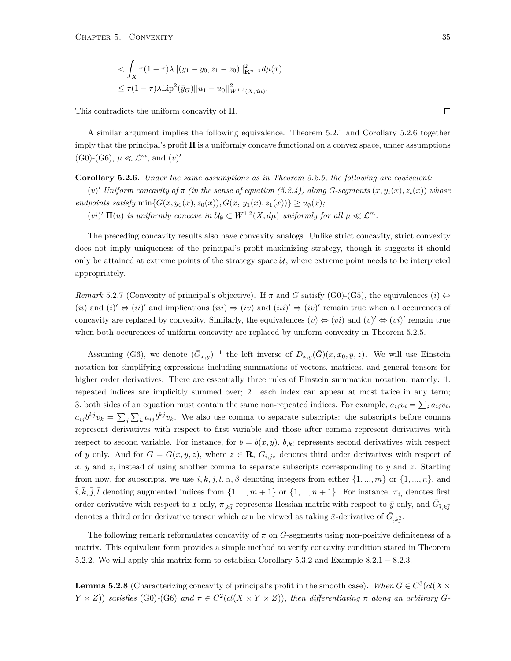$$
\begin{aligned} &< \int_X \tau (1-\tau)\lambda ||(y_1 - y_0, z_1 - z_0)||^2_{\mathbf{R}^{n+1}} d\mu(x) \\ &< \tau (1-\tau)\lambda \text{Lip}^2(\bar{y}_G) ||u_1 - u_0||^2_{W^{1,2}(X, d\mu)}.\end{aligned}
$$

This contradicts the uniform concavity of  $\Pi$ .

A similar argument implies the following equivalence. Theorem 5*.*2*.*1 and Corollary 5*.*2*.*6 together imply that the principal's profit  $\Pi$  is a uniformly concave functional on a convex space, under assumptions  $(G0)$ - $(G6)$ ,  $\mu \ll \mathcal{L}^m$ , and  $(v)'$ .

**Corollary 5.2.6.** *Under the same assumptions as in Theorem 5.2.5, the following are equivalent:*

 $(v)'$  *Uniform concavity of*  $\pi$  *(in the sense of equation (5.2.4)) along G-segments*  $(x, y_t(x), z_t(x))$  *whose*  $\{ \text{endpoints satisfy } \min \{ G(x, y_0(x), z_0(x)), G(x, y_1(x), z_1(x)) \} \geq u_{\emptyset}(x);$ 

 $(vi)'$   $\Pi(u)$  *is uniformly concave in*  $\mathcal{U}_{\emptyset} \subset W^{1,2}(X, d\mu)$  *uniformly for all*  $\mu \ll \mathcal{L}^m$ .

The preceding concavity results also have convexity analogs. Unlike strict concavity, strict convexity does not imply uniqueness of the principal's profit-maximizing strategy, though it suggests it should only be attained at extreme points of the strategy space  $U$ , where extreme point needs to be interpreted appropriately.

*Remark* 5.2.7 (Convexity of principal's objective). If  $\pi$  and *G* satisfy (G0)-(G5), the equivalences  $(i) \Leftrightarrow$  $(ii)$  and  $(i)' \Leftrightarrow (ii)'$  and implications  $(iii) \Rightarrow (iv)$  and  $(iii)' \Rightarrow (iv)'$  remain true when all occurences of concavity are replaced by convexity. Similarly, the equivalences  $(v) \Leftrightarrow (vi)$  and  $(v)' \Leftrightarrow (vi)'$  remain true when both occurences of uniform concavity are replaced by uniform convexity in Theorem 5.2.5.

Assuming (G6), we denote  $(\bar{G}_{\bar{x},\bar{y}})^{-1}$  the left inverse of  $D_{\bar{x},\bar{y}}(\bar{G})(x,x_0,y,z)$ . We will use Einstein notation for simplifying expressions including summations of vectors, matrices, and general tensors for higher order derivatives. There are essentially three rules of Einstein summation notation, namely: 1. repeated indices are implicitly summed over; 2. each index can appear at most twice in any term; 3. both sides of an equation must contain the same non-repeated indices. For example,  $a_{ij}v_i = \sum_i a_{ij}v_i$ ,  $a_{ij}b^{kj}v_k = \sum_j \sum_k a_{ij}b^{kj}v_k$ . We also use comma to separate subscripts: the subscripts before comma represent derivatives with respect to first variable and those after comma represent derivatives with respect to second variable. For instance, for  $b = b(x, y)$ ,  $b_{k}l$  represents second derivatives with respect of *y* only. And for  $G = G(x, y, z)$ , where  $z \in \mathbf{R}$ ,  $G_{i, iz}$  denotes third order derivatives with respect of *x*, *y* and *z*, instead of using another comma to separate subscripts corresponding to *y* and *z*. Starting from now, for subscripts, we use  $i, k, j, l, \alpha, \beta$  denoting integers from either  $\{1, ..., m\}$  or  $\{1, ..., n\}$ , and  $\overline{i}, \overline{k}, \overline{j}, \overline{l}$  denoting augmented indices from  $\{1, ..., m+1\}$  or  $\{1, ..., n+1\}$ . For instance,  $\pi_{i}$ , denotes first order derivative with respect to *x* only,  $\pi_{\bar{k}\bar{j}}$  represents Hessian matrix with respect to  $\bar{y}$  only, and  $\bar{G}_{\bar{i},\bar{k}\bar{j}}$ denotes a third order derivative tensor which can be viewed as taking  $\bar{x}$ -derivative of  $\bar{G}_{,\bar{k}\bar{j}}$ .

The following remark reformulates concavity of *π* on *G*-segments using non-positive definiteness of a matrix. This equivalent form provides a simple method to verify concavity condition stated in Theorem 5*.*2*.*2. We will apply this matrix form to establish Corollary 5*.*3*.*2 and Example 8*.*2*.*1 *−* 8*.*2*.*3.

**Lemma 5.2.8** (Characterizing concavity of principal's profit in the smooth case). *When*  $G \in C^3(cl(X \times$  $(Y \times Z)$ ) satisfies (G0)-(G6) and  $\pi \in C^2(cl(X \times Y \times Z))$ , then differentiating  $\pi$  along an arbitrary G-

 $\Box$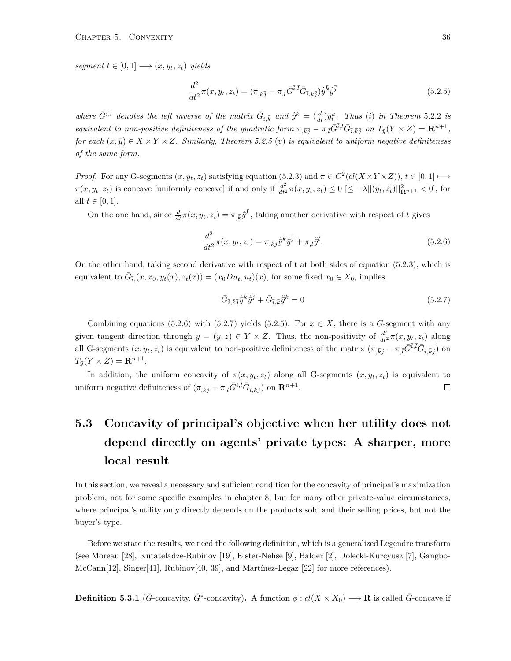$segment t \in [0, 1] \longrightarrow (x, y_t, z_t)$  *yields* 

$$
\frac{d^2}{dt^2}\pi(x, y_t, z_t) = (\pi_{,\bar{k}\bar{j}} - \pi_{,\bar{l}}\bar{G}^{\bar{i},\bar{l}}\bar{G}_{\bar{i},\bar{k}\bar{j}})\dot{\bar{y}}^{\bar{k}}\dot{\bar{y}}^{\bar{j}} \tag{5.2.5}
$$

where  $\bar{G}^{\bar{i},\bar{l}}$  denotes the left inverse of the matrix  $\bar{G}_{\bar{i},\bar{k}}$  and  $\dot{y}^{\bar{k}} = (\frac{d}{dt})\bar{y}^{\bar{k}}_t$ . Thus (i) in Theorem 5.2.2 is equivalent to non-positive definiteness of the quadratic form  $\pi_{,\bar{k} \bar{j}} - \pi_{,\bar{l}} \bar{G}^{\bar{i},\bar{l}} \bar{G}_{\bar{i},\bar{k} \bar{j}}$  on  $T_{\bar{y}}(Y \times Z) = \mathbf{R}^{n+1}$ , *for each*  $(x, \bar{y}) \in X \times Y \times Z$ *. Similarly, Theorem 5.2.5* (*v*) *is equivalent to uniform negative definiteness of the same form.*

*Proof.* For any G-segments  $(x, y_t, z_t)$  satisfying equation (5.2.3) and  $\pi \in C^2(cl(X \times Y \times Z))$ ,  $t \in [0, 1] \mapsto$  $\pi(x, y_t, z_t)$  is concave [uniformly concave] if and only if  $\frac{d^2}{dt^2} \pi(x, y_t, z_t) \leq 0 \leq -\lambda ||(\dot{y}_t, \dot{z}_t)||^2_{\mathbf{R}^{n+1}} < 0$ , for all *t* ∈ [0, 1].

On the one hand, since  $\frac{d}{dt}\pi(x, y_t, z_t) = \pi_{\bar{k}}\dot{\bar{y}}^{\bar{k}}$ , taking another derivative with respect of *t* gives

$$
\frac{d^2}{dt^2}\pi(x, y_t, z_t) = \pi_{,\bar{k}\bar{j}}\dot{\bar{y}}^{\bar{k}}\dot{\bar{y}}^{\bar{j}} + \pi_{,\bar{l}}\ddot{\bar{y}}^{\bar{l}}.\tag{5.2.6}
$$

On the other hand, taking second derivative with respect of t at both sides of equation (5.2.3), which is equivalent to  $\bar{G}_{\bar{i}}(x, x_0, y_t(x), z_t(x)) = (x_0 D u_t, u_t)(x)$ , for some fixed  $x_0 \in X_0$ , implies

$$
\bar{G}_{\bar{i},\bar{k}\bar{j}}\dot{\bar{y}}^{\bar{k}}\dot{\bar{y}}^{\bar{j}} + \bar{G}_{\bar{i},\bar{k}}\ddot{\bar{y}}^{\bar{k}} = 0
$$
\n(5.2.7)

Combining equations (5.2.6) with (5.2.7) yields (5.2.5). For  $x \in X$ , there is a *G*-segment with any given tangent direction through  $\bar{y} = (y, z) \in Y \times Z$ . Thus, the non-positivity of  $\frac{d^2}{dt^2} \pi(x, y_t, z_t)$  along all G-segments  $(x, y_t, z_t)$  is equivalent to non-positive definiteness of the matrix  $(\pi_{,\bar{k}\bar{j}} - \pi_{,\bar{l}}\bar{G}^{\bar{i},\bar{l}}\bar{G}_{\bar{i},\bar{k}\bar{j}})$  on  $T_{\bar{y}}(Y \times Z) = \mathbf{R}^{n+1}$ .

In addition, the uniform concavity of  $\pi(x, y_t, z_t)$  along all G-segments  $(x, y_t, z_t)$  is equivalent to uniform negative definiteness of  $(\pi_{\bar{k}\bar{j}} - \pi_{\bar{j}}\bar{G}^{\bar{i},\bar{l}}\bar{G}_{\bar{i},\bar{k}\bar{j}})$  on  $\mathbf{R}^{n+1}$ .  $\Box$ 

### **5.3 Concavity of principal's objective when her utility does not depend directly on agents' private types: A sharper, more local result**

In this section, we reveal a necessary and sufficient condition for the concavity of principal's maximization problem, not for some specific examples in chapter 8, but for many other private-value circumstances, where principal's utility only directly depends on the products sold and their selling prices, but not the buyer's type.

Before we state the results, we need the following definition, which is a generalized Legendre transform (see Moreau [28], Kutateladze-Rubinov [19], Elster-Nehse [9], Balder [2], Dolecki-Kurcyusz [7], Gangbo-McCann<sup>[12]</sup>, Singer<sup>[41]</sup>, Rubinov<sup>[40</sup>, 39], and Martínez-Legaz [22] for more references).

**Definition 5.3.1** ( $\bar{G}$ -concavity,  $\bar{G}$ <sup>\*</sup>-concavity). A function  $\phi : cl(X \times X_0) \longrightarrow \mathbf{R}$  is called  $\bar{G}$ -concave if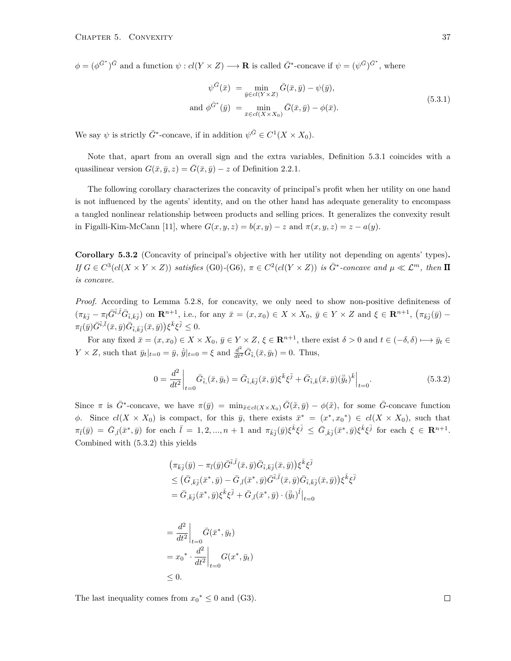$\phi = (\phi^{\bar{G}^*})^{\bar{G}}$  and a function  $\psi : cl(Y \times Z) \longrightarrow \mathbf{R}$  is called  $\bar{G}^*$ -concave if  $\psi = (\psi^{\bar{G}})^{\bar{G}^*}$ , where

$$
\psi^{\bar{G}}(\bar{x}) = \min_{\bar{y} \in cl(Y \times Z)} \bar{G}(\bar{x}, \bar{y}) - \psi(\bar{y}),
$$
  
and 
$$
\phi^{\bar{G}^*}(\bar{y}) = \min_{\bar{x} \in cl(X \times X_0)} \bar{G}(\bar{x}, \bar{y}) - \phi(\bar{x}).
$$
\n(5.3.1)

We say  $\psi$  is strictly  $\bar{G}^*$ -concave, if in addition  $\psi^{\bar{G}} \in C^1(X \times X_0)$ .

Note that, apart from an overall sign and the extra variables, Definition 5.3.1 coincides with a quasilinear version  $G(\bar{x}, \bar{y}, z) = \bar{G}(\bar{x}, \bar{y}) - z$  of Definition 2.2.1.

The following corollary characterizes the concavity of principal's profit when her utility on one hand is not influenced by the agents' identity, and on the other hand has adequate generality to encompass a tangled nonlinear relationship between products and selling prices. It generalizes the convexity result in Figalli-Kim-McCann [11], where  $G(x, y, z) = b(x, y) - z$  and  $\pi(x, y, z) = z - a(y)$ .

**Corollary 5.3.2** (Concavity of principal's objective with her utility not depending on agents' types)**.** If  $G \in C^3(cl(X \times Y \times Z))$  satisfies (G0)-(G6),  $\pi \in C^2(cl(Y \times Z))$  is  $\overline{G}^*$ -concave and  $\mu \ll \mathcal{L}^m$ , then  $\Pi$ *is concave.*

*Proof.* According to Lemma 5.2.8, for concavity, we only need to show non-positive definiteness of  $(\pi_{\bar{k}\bar{j}} - \pi_{\bar{l}}\bar{G}^{\bar{i},\bar{l}}\bar{G}_{\bar{i},\bar{k}\bar{j}})$  on  $\mathbf{R}^{n+1}$ , i.e., for any  $\bar{x} = (x, x_0) \in X \times X_0$ ,  $\bar{y} \in Y \times Z$  and  $\xi \in \mathbf{R}^{n+1}$ ,  $(\pi_{\bar{k}\bar{j}}(\bar{y}) - \pi_{\bar{k}\bar{j}}(\bar{y}))$  $\pi_{\bar{l}}(\bar{y})\bar{G}^{\bar{i},\bar{l}}(\bar{x},\bar{y})\bar{G}_{\bar{i},\bar{k}\bar{j}}(\bar{x},\bar{y})\big)\xi^{\bar{k}}\xi^{\bar{j}}\leq 0.$ 

For any fixed  $\bar{x} = (x, x_0) \in X \times X_0$ ,  $\bar{y} \in Y \times Z$ ,  $\xi \in \mathbb{R}^{n+1}$ , there exist  $\delta > 0$  and  $t \in (-\delta, \delta) \longmapsto \bar{y}_t \in \mathbb{R}$  $Y \times Z$ , such that  $\bar{y}_t|_{t=0} = \bar{y}, \, \dot{\bar{y}}|_{t=0} = \xi$  and  $\frac{d^2}{dt^2} \bar{G}_{\bar{i},\bar{y}}(\bar{x}, \bar{y}_t) = 0$ . Thus,

$$
0 = \frac{d^2}{dt^2} \bigg|_{t=0} \bar{G}_{\bar{i},\bar{t}}(\bar{x}, \bar{y}_t) = \bar{G}_{\bar{i},\bar{k}\bar{j}}(\bar{x}, \bar{y}) \xi^{\bar{k}} \xi^{\bar{j}} + \bar{G}_{\bar{i},\bar{k}}(\bar{x}, \bar{y}) (\ddot{\bar{y}}_t)^{\bar{k}} \bigg|_{t=0}.
$$
 (5.3.2)

Since  $\pi$  is  $\bar{G}^*$ -concave, we have  $\pi(\bar{y}) = \min_{\tilde{x} \in cl(X \times X_0)} \bar{G}(\tilde{x}, \bar{y}) - \phi(\tilde{x})$ , for some  $\bar{G}$ -concave function  $\phi$ . Since  $cl(X \times X_0)$  is compact, for this  $\bar{y}$ , there exists  $\bar{x}^* = (x^*, x_0^*) \in cl(X \times X_0)$ , such that  $\pi_{\bar{l}}(\bar{y}) = \bar{G}_{,\bar{l}}(\bar{x}^*, \bar{y})$  for each  $\bar{l} = 1, 2, ..., n + 1$  and  $\pi_{\bar{k}\bar{j}}(\bar{y})\xi^{\bar{k}}\xi^{\bar{j}} \leq \bar{G}_{,\bar{k}\bar{j}}(\bar{x}^*, \bar{y})\xi^{\bar{k}}\xi^{\bar{j}}$  for each  $\xi \in \mathbb{R}^{n+1}$ . Combined with (5.3.2) this yields

$$
\begin{aligned} & \left( \pi_{\bar{k}\bar{j}}(\bar{y}) - \pi_{\bar{l}}(\bar{y}) \bar{G}^{\bar{i},\bar{l}}(\bar{x},\bar{y}) \bar{G}_{\bar{i},\bar{k}\bar{j}}(\bar{x},\bar{y}) \right) \xi^{\bar{k}} \xi^{\bar{j}} \\ &\leq \left( \bar{G}_{,\bar{k}\bar{j}}(\bar{x}^*,\bar{y}) - \bar{G}_{,\bar{l}}(\bar{x}^*,\bar{y}) \bar{G}^{\bar{i},\bar{l}}(\bar{x},\bar{y}) \bar{G}_{\bar{i},\bar{k}\bar{j}}(\bar{x},\bar{y}) \right) \xi^{\bar{k}} \xi^{\bar{j}} \\ &= \bar{G}_{,\bar{k}\bar{j}}(\bar{x}^*,\bar{y}) \xi^{\bar{k}} \xi^{\bar{j}} + \bar{G}_{,\bar{l}}(\bar{x}^*,\bar{y}) \cdot (\bar{\ddot{y}}_t)^{\bar{l}} \Big|_{t=0} \end{aligned}
$$

$$
= \frac{d^2}{dt^2} \Big|_{t=0} \overline{G}(\bar{x}^*, \bar{y}_t)
$$
  
=  $x_0^* \cdot \frac{d^2}{dt^2} \Big|_{t=0} G(x^*, \bar{y}_t)$   
 $\leq 0.$ 

The last inequality comes from  $x_0^* \leq 0$  and (G3).

 $\Box$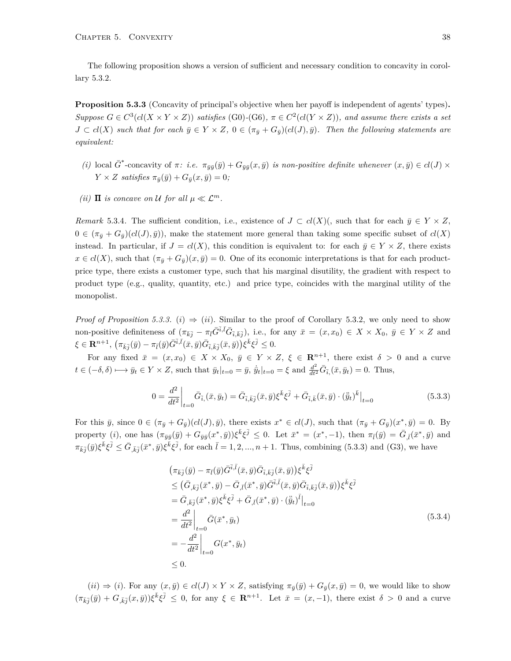The following proposition shows a version of sufficient and necessary condition to concavity in corollary 5.3.2.

**Proposition 5.3.3** (Concavity of principal's objective when her payoff is independent of agents' types)**.** Suppose  $G \in C^3(cl(X \times Y \times Z))$  satisfies (G0)-(G6),  $\pi \in C^2(cl(Y \times Z))$ , and assume there exists a set  $J \subset cl(X)$  such that for each  $\bar{y} \in Y \times Z$ ,  $0 \in (\pi_{\bar{y}} + G_{\bar{y}})(cl(J), \bar{y})$ . Then the following statements are *equivalent:*

- (i) local  $\bar{G}^*$ -concavity of  $\pi$ : *i.e.*  $\pi_{\bar{y}\bar{y}}(\bar{y}) + G_{\bar{y}\bar{y}}(x,\bar{y})$  *is non-positive definite whenever*  $(x,\bar{y}) \in cl(J) \times$  $Y \times Z$  *satisfies*  $\pi_{\bar{y}}(\bar{y}) + G_{\bar{y}}(x, \bar{y}) = 0$ ;
- *(ii)*  $\Pi$  *is concave on U for all*  $\mu \ll L^m$ *.*

*Remark* 5.3.4*.* The sufficient condition, i.e., existence of  $J \subset cl(X)$ , such that for each  $\bar{y} \in Y \times Z$ ,  $0 \in (\pi_{\bar{y}} + G_{\bar{y}})(cl(J), \bar{y}))$ , make the statement more general than taking some specific subset of  $cl(X)$ instead. In particular, if  $J = cl(X)$ , this condition is equivalent to: for each  $\bar{y} \in Y \times Z$ , there exists  $x \in cl(X)$ , such that  $(\pi_{\bar{y}} + G_{\bar{y}})(x, \bar{y}) = 0$ . One of its economic interpretations is that for each productprice type, there exists a customer type, such that his marginal disutility, the gradient with respect to product type (e.g., quality, quantity, etc.) and price type, coincides with the marginal utility of the monopolist.

*Proof of Proposition 5.3.3.* (*i*)  $\Rightarrow$  (*ii*). Similar to the proof of Corollary 5.3.2, we only need to show non-positive definiteness of  $(\pi_{\bar{k}\bar{j}} - \pi_{\bar{l}}\bar{G}^{\bar{i},\bar{l}}\bar{G}_{\bar{i},\bar{k}\bar{j}})$ , i.e., for any  $\bar{x} = (x, x_0) \in X \times X_0$ ,  $\bar{y} \in Y \times Z$  and  $\xi \in \mathbf{R}^{n+1}, \ (\pi_{\bar{k}\bar{j}}(\bar{y}) - \pi_{\bar{l}}(\bar{y}) \bar{G}^{\bar{i},\bar{l}}(\bar{x},\bar{y}) \bar{G}_{\bar{i},\bar{k}\bar{j}}(\bar{x},\bar{y})) \xi^{\bar{k}} \xi^{\bar{j}} \leq 0.$ 

For any fixed  $\bar{x} = (x, x_0) \in X \times X_0$ ,  $\bar{y} \in Y \times Z$ ,  $\xi \in \mathbb{R}^{n+1}$ , there exist  $\delta > 0$  and a curve  $t\in(-\delta,\delta)\longmapsto\bar{y}_t\in Y\times Z$ , such that  $\bar{y}_t|_{t=0}=\bar{y}$ ,  $\dot{\bar{y}}_t|_{t=0}=\xi$  and  $\frac{d^2}{dt^2}\bar{G}_{\bar{i},\bar{y}_t}(\bar{x},\bar{y}_t)=0$ . Thus,

$$
0 = \frac{d^2}{dt^2} \bigg|_{t=0} \bar{G}_{\bar{i},\bar{k}}(\bar{x}, \bar{y}_t) = \bar{G}_{\bar{i},\bar{k}\bar{j}}(\bar{x}, \bar{y}) \xi^{\bar{k}} \xi^{\bar{j}} + \bar{G}_{\bar{i},\bar{k}}(\bar{x}, \bar{y}) \cdot (\ddot{y}_t)^{\bar{k}} \big|_{t=0}
$$
(5.3.3)

For this  $\bar{y}$ , since  $0 \in (\pi_{\bar{y}} + G_{\bar{y}})(cl(J), \bar{y})$ , there exists  $x^* \in cl(J)$ , such that  $(\pi_{\bar{y}} + G_{\bar{y}})(x^*, \bar{y}) = 0$ . By property (*i*), one has  $(\pi_{\bar{y}\bar{y}}(\bar{y}) + G_{\bar{y}\bar{y}}(x^*, \bar{y}))\xi^{\bar{k}}\xi^{\bar{j}} \leq 0$ . Let  $\bar{x}^* = (x^*, -1)$ , then  $\pi_{\bar{l}}(\bar{y}) = \bar{G}_{,\bar{l}}(\bar{x}^*, \bar{y})$  and  $\pi_{\bar{k}\bar{j}}(\bar{y})\xi^{\bar{k}}\xi^{\bar{j}} \leq \bar{G}_{,\bar{k}\bar{j}}(\bar{x}^*,\bar{y})\xi^{\bar{k}}\xi^{\bar{j}}$ , for each  $\bar{l}=1,2,...,n+1$ . Thus, combining (5.3.3) and (G3), we have

$$
(\pi_{\bar{k}_{J}}(\bar{y}) - \pi_{\bar{l}}(\bar{y})\bar{G}^{\bar{i},\bar{l}}(\bar{x},\bar{y})\bar{G}_{\bar{i},\bar{k}\bar{j}}(\bar{x},\bar{y}))\xi^{\bar{k}}\xi^{\bar{j}}\n\leq (\bar{G}_{,\bar{k}_{J}}(\bar{x}^{*},\bar{y}) - \bar{G}_{,\bar{l}}(\bar{x}^{*},\bar{y})\bar{G}^{\bar{i},\bar{l}}(\bar{x},\bar{y})\bar{G}_{\bar{i},\bar{k}\bar{j}}(\bar{x},\bar{y}))\xi^{\bar{k}}\xi^{\bar{j}}\n= \bar{G}_{,\bar{k}\bar{j}}(\bar{x}^{*},\bar{y})\xi^{\bar{k}}\xi^{\bar{j}} + \bar{G}_{,\bar{l}}(\bar{x}^{*},\bar{y}) \cdot (\ddot{y}_{t})^{\bar{l}}|_{t=0}\n= \frac{d^{2}}{dt^{2}}\Big|_{t=0} \bar{G}(\bar{x}^{*},\bar{y}_{t})\n= -\frac{d^{2}}{dt^{2}}\Big|_{t=0} G(x^{*},\bar{y}_{t})\n\leq 0.
$$
\n(5.3.4)

 $(ii) \Rightarrow (i)$ . For any  $(x,\bar{y}) \in cl(J) \times Y \times Z$ , satisfying  $\pi_{\bar{y}}(\bar{y}) + G_{\bar{y}}(x,\bar{y}) = 0$ , we would like to show  $(\pi_{\bar{k}\bar{j}}(\bar{y})+G_{,\bar{k}\bar{j}}(x,\bar{y}))\xi^{\bar{k}}\xi^{\bar{j}}\leq 0$ , for any  $\xi \in \mathbf{R}^{n+1}$ . Let  $\bar{x}=(x,-1)$ , there exist  $\delta>0$  and a curve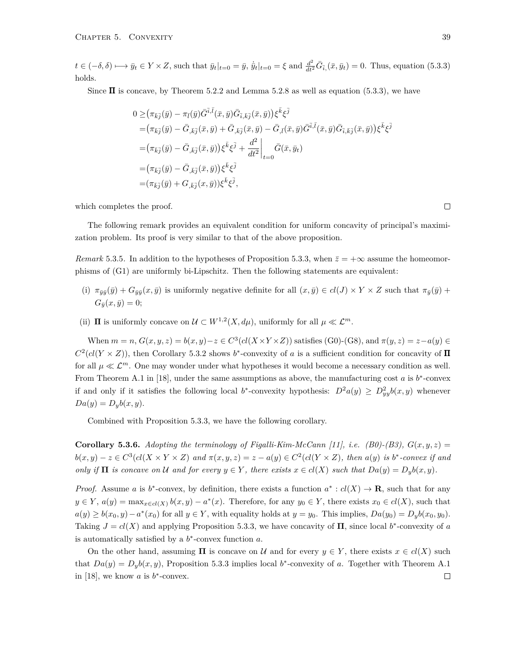$t\in(-\delta,\delta)\longmapsto\bar{y}_t\in Y\times Z$ , such that  $\bar{y}_t|_{t=0}=\bar{y},\dot{\bar{y}}_t|_{t=0}=\xi$  and  $\frac{d^2}{dt^2}\bar{G}_{\bar{i},\bar{y}_t}(\bar{x},\bar{y}_t)=0$ . Thus, equation (5.3.3) holds.

Since Π is concave, by Theorem 5*.*2*.*2 and Lemma 5*.*2*.*8 as well as equation (5.3.3), we have

$$
0 \geq (\pi_{\bar{k}\bar{j}}(\bar{y}) - \pi_{\bar{l}}(\bar{y})\bar{G}^{\bar{i},\bar{l}}(\bar{x},\bar{y})\bar{G}_{\bar{i},\bar{k}\bar{j}}(\bar{x},\bar{y}))\xi^{\bar{k}}\xi^{\bar{j}}
$$
  
\n
$$
= (\pi_{\bar{k}\bar{j}}(\bar{y}) - \bar{G}_{,\bar{k}\bar{j}}(\bar{x},\bar{y}) + \bar{G}_{,\bar{k}\bar{j}}(\bar{x},\bar{y}) - \bar{G}_{,\bar{l}}(\bar{x},\bar{y})\bar{G}^{\bar{i},\bar{l}}(\bar{x},\bar{y})\bar{G}_{\bar{i},\bar{k}\bar{j}}(\bar{x},\bar{y}))\xi^{\bar{k}}\xi^{\bar{j}}
$$
  
\n
$$
= (\pi_{\bar{k}\bar{j}}(\bar{y}) - \bar{G}_{,\bar{k}\bar{j}}(\bar{x},\bar{y}))\xi^{\bar{k}}\xi^{\bar{j}} + \frac{d^2}{dt^2}\Big|_{t=0} \bar{G}(\bar{x},\bar{y}_t)
$$
  
\n
$$
= (\pi_{\bar{k}\bar{j}}(\bar{y}) - \bar{G}_{,\bar{k}\bar{j}}(\bar{x},\bar{y}))\xi^{\bar{k}}\xi^{\bar{j}}
$$
  
\n
$$
= (\pi_{\bar{k}\bar{j}}(\bar{y}) + \bar{G}_{,\bar{k}\bar{j}}(\bar{x},\bar{y}))\xi^{\bar{k}}\xi^{\bar{j}},
$$

which completes the proof.

The following remark provides an equivalent condition for uniform concavity of principal's maximization problem. Its proof is very similar to that of the above proposition.

*Remark* 5.3.5. In addition to the hypotheses of Proposition 5.3.3, when  $\bar{z} = +\infty$  assume the homeomorphisms of (G1) are uniformly bi-Lipschitz. Then the following statements are equivalent:

- (i)  $\pi_{\bar{y}\bar{y}}(\bar{y}) + G_{\bar{y}\bar{y}}(x, \bar{y})$  is uniformly negative definite for all  $(x, \bar{y}) \in cl(J) \times Y \times Z$  such that  $\pi_{\bar{y}}(\bar{y}) +$  $G_{\bar{y}}(x,\bar{y}) = 0;$
- (ii) **Π** is uniformly concave on  $\mathcal{U} \subset W^{1,2}(X, d\mu)$ , uniformly for all  $\mu \ll \mathcal{L}^m$ .

When  $m = n$ ,  $G(x, y, z) = b(x, y) - z \in C^{3}(cl(X \times Y \times Z))$  satisfies (G0)-(G8), and  $\pi(y, z) = z - a(y) \in$  $C^2(cl(Y \times Z))$ , then Corollary 5.3.2 shows *b*<sup>\*</sup>-convexity of *a* is a sufficient condition for concavity of  $\Pi$ for all  $\mu \ll \mathcal{L}^m$ . One may wonder under what hypotheses it would become a necessary condition as well. From Theorem A.1 in [18], under the same assumptions as above, the manufacturing cost *a* is *b ∗* -convex if and only if it satisfies the following local *b*<sup>\*</sup>-convexity hypothesis:  $D^2a(y) \ge D^2_{yy}b(x, y)$  whenever  $Da(y) = D_yb(x, y).$ 

Combined with Proposition 5.3.3, we have the following corollary.

**Corollary 5.3.6.** *Adopting the terminology of Figalli-Kim-McCann [11], i.e.* (B0)-(B3),  $G(x, y, z) =$  $b(x,y) - z \in C^{3}(cl(X \times Y \times Z)$  and  $\pi(x,y,z) = z - a(y) \in C^{2}(cl(Y \times Z)$ , then  $a(y)$  is  $b^{*}$ -convex if and only if  $\Pi$  is concave on U and for every  $y \in Y$ , there exists  $x \in cl(X)$  such that  $Da(y) = D_vb(x, y)$ .

*Proof.* Assume *a* is *b*<sup>\*</sup>-convex, by definition, there exists a function  $a^*$ :  $cl(X) \rightarrow \mathbf{R}$ , such that for any  $y \in Y$ ,  $a(y) = \max_{x \in cl(X)} b(x, y) - a^*(x)$ . Therefore, for any  $y_0 \in Y$ , there exists  $x_0 \in cl(X)$ , such that  $a(y) \ge b(x_0, y) - a^*(x_0)$  for all  $y \in Y$ , with equality holds at  $y = y_0$ . This implies,  $Da(y_0) = D_yb(x_0, y_0)$ . Taking  $J = cl(X)$  and applying Proposition 5.3.3, we have concavity of **Π**, since local  $b^*$ -convexity of *a* is automatically satisfied by a *b ∗* -convex function *a*.

On the other hand, assuming **Π** is concave on *U* and for every  $y \in Y$ , there exists  $x \in cl(X)$  such that  $Da(y) = D_yb(x, y)$ , Proposition 5.3.3 implies local *b*<sup>\*</sup>-convexity of *a*. Together with Theorem A.1 in [18], we know  $a$  is  $b^*$ -convex.  $\Box$ 

 $\Box$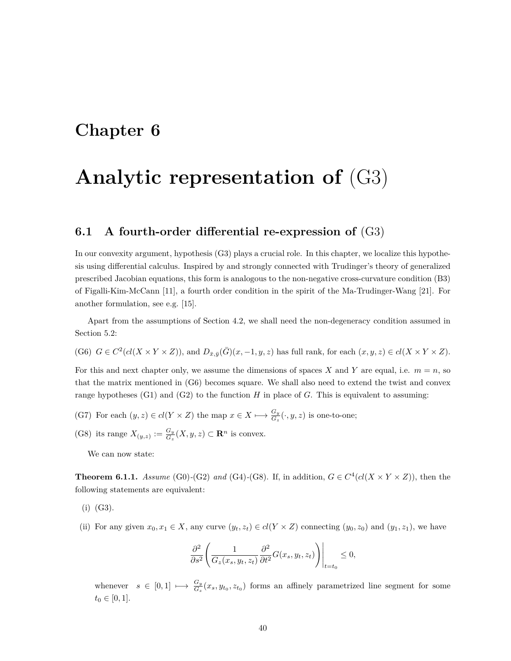## **Chapter 6**

# **Analytic representation of** (G3)

#### **6.1 A fourth-order differential re-expression of** (G3)

In our convexity argument, hypothesis (G3) plays a crucial role. In this chapter, we localize this hypothesis using differential calculus. Inspired by and strongly connected with Trudinger's theory of generalized prescribed Jacobian equations, this form is analogous to the non-negative cross-curvature condition (B3) of Figalli-Kim-McCann [11], a fourth order condition in the spirit of the Ma-Trudinger-Wang [21]. For another formulation, see e.g. [15].

Apart from the assumptions of Section 4.2, we shall need the non-degeneracy condition assumed in Section 5.2:

(G6)  $G \in C^2(cl(X \times Y \times Z))$ , and  $D_{\bar{x}, \bar{y}}(\bar{G})(x, -1, y, z)$  has full rank, for each  $(x, y, z) \in cl(X \times Y \times Z)$ .

For this and next chapter only, we assume the dimensions of spaces *X* and *Y* are equal, i.e.  $m = n$ , so that the matrix mentioned in (G6) becomes square. We shall also need to extend the twist and convex range hypotheses  $(G1)$  and  $(G2)$  to the function *H* in place of *G*. This is equivalent to assuming:

- (G7) For each  $(y, z) \in cl(Y \times Z)$  the map  $x \in X \longmapsto \frac{G_y}{G_z}(\cdot, y, z)$  is one-to-one;
- (G8) its range  $X_{(y,z)} := \frac{G_y}{G_x}$  $\frac{G_y}{G_z}(X, y, z) \subset \mathbf{R}^n$  is convex.

We can now state:

**Theorem 6.1.1.** *Assume* (G0) $-(G2)$  *and* (G4) $-(G8)$ . If, in addition,  $G \in C^4(cl(X \times Y \times Z))$ , then the following statements are equivalent:

- (i) (G3).
- (ii) For any given  $x_0, x_1 \in X$ , any curve  $(y_t, z_t) \in cl(Y \times Z)$  connecting  $(y_0, z_0)$  and  $(y_1, z_1)$ , we have

$$
\frac{\partial^2}{\partial s^2} \left( \frac{1}{G_z(x_s, y_t, z_t)} \frac{\partial^2}{\partial t^2} G(x_s, y_t, z_t) \right) \Big|_{t=t_0} \le 0,
$$

whenever  $s \in [0,1] \longmapsto \frac{G_y}{G_z}(x_s,y_{t_0},z_{t_0})$  forms an affinely parametrized line segment for some  $t_0 \in [0, 1].$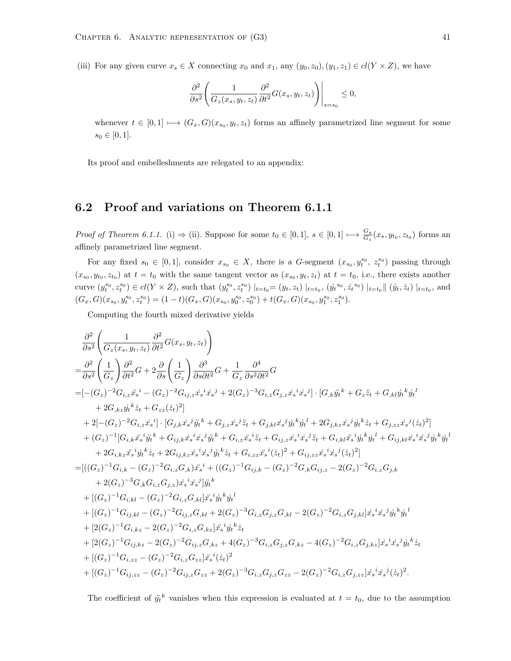(iii) For any given curve  $x_s \in X$  connecting  $x_0$  and  $x_1$ , any  $(y_0, z_0), (y_1, z_1) \in cl(Y \times Z)$ , we have

$$
\left. \frac{\partial^2}{\partial s^2} \left( \frac{1}{G_z(x_s, y_t, z_t)} \frac{\partial^2}{\partial t^2} G(x_s, y_t, z_t) \right) \right|_{s=s_0} \le 0,
$$

whenever  $t \in [0,1] \mapsto (G_x, G)(x_{s_0}, y_t, z_t)$  forms an affinely parametrized line segment for some  $s_0 \in [0, 1].$ 

Its proof and embelleshments are relegated to an appendix:

#### **6.2 Proof and variations on Theorem 6.1.1**

*Proof of Theorem 6.1.1.* (i)  $\Rightarrow$  (ii). Suppose for some  $t_0 \in [0,1]$ ,  $s \in [0,1] \mapsto \frac{G_y}{G_z}(x_s, y_{t_0}, z_{t_0})$  forms an affinely parametrized line segment.

For any fixed  $s_0 \in [0,1]$ , consider  $x_{s_0} \in X$ , there is a *G*-segment  $(x_{s_0}, y_t^{s_0}, z_t^{s_0})$  passing through  $(x_{s_0}, y_{t_0}, z_{t_0})$  at  $t = t_0$  with the same tangent vector as  $(x_{s_0}, y_t, z_t)$  at  $t = t_0$ , i.e., there exists another curve  $(y_t^{s_0}, z_t^{s_0}) \in cl(Y \times Z)$ , such that  $(y_t^{s_0}, z_t^{s_0}) \mid_{t=t_0} = (y_t, z_t) \mid_{t=t_0}$ ,  $(\dot{y}_t^{s_0}, \dot{z}_t^{s_0}) \mid_{t=t_0} ||(\dot{y}_t, \dot{z}_t) \mid_{t=t_0}$ , and  $(G_x,G)(x_{s_0},y_t^{s_0},z_t^{s_0})=(1-t)(G_x,G)(x_{s_0},y_0^{s_0},z_0^{s_0})+t(G_x,G)(x_{s_0},y_1^{s_0},z_1^{s_0}).$ 

Computing the fourth mixed derivative yields

$$
\frac{\partial^2}{\partial s^2} \left( \frac{1}{G_z(x_s,y_t,z_t)} \frac{\partial^2}{\partial t^2} G(x_s,y_t,z_t) \right)
$$
\n
$$
= \frac{\partial^2}{\partial s^2} \left( \frac{1}{G_z} \right) \frac{\partial^2}{\partial t^2} G + 2 \frac{\partial}{\partial s} \left( \frac{1}{G_z} \right) \frac{\partial^3}{\partial s \partial t^2} G + \frac{1}{G_z} \frac{\partial^4}{\partial s^2 \partial t^2} G
$$
\n
$$
= [- (G_z)^{-2} G_{i,z} \dot{x_s}^i - (G_z)^{-2} G_{ij,z} \dot{x_s}^i \dot{x_s}^j + 2(G_z)^{-3} G_{i,z} G_{j,z} \dot{x_s}^i \dot{x_s}^j] \cdot [G_k \ddot{y_t}^k + G_z \ddot{z}_t + G_{,kl} \dot{y_t}^k \dot{y_t}^l + 2G_{,kz} \dot{y_t}^k \dot{y_t}^k + G_{,kz} \ddot{y_t}^k \dot{y_t}^l + 2(G_z)^{-2} G_{i,z} \dot{x_s}^i \dot{y_s}^k + G_{j,z} \dot{x_s}^j \ddot{z}_t + G_{j,kx} \dot{x_s}^j \dot{y_t}^k y_t^l + 2G_{j,kz} \dot{x_s}^j \dot{y_t}^k \dot{z}_t + G_{j,zz} \dot{x_s}^j (z_t)^2 ]
$$
\n
$$
+ (G_z)^{-1} [G_{i,k} \ddot{x_s}^i \ddot{y_t}^k + G_{ij,k} \dot{x_s}^i \dot{x_s}^j \ddot{y_t}^k + G_{i,z} \ddot{x_s}^i \ddot{z}_t + G_{ij,k} \dot{x_s}^i \dot{x_s}^j \dot{z}_t + G_{i,kx} \ddot{x_s}^i \dot{y_t}^k y_t^l + G_{i,kx} \ddot{x_s}^i \dot{y_t}^k y_t^l + G_{i,kx} \ddot{x_s}^i \dot{y_t}^k y_t^l + G_{i,kx} \ddot{x_s}^i \dot{y_t}^j y_t^k \right]
$$
\n
$$
+ 2G_{i,kz} \ddot{x_s}^i \dot{y_t}^k \ddot{z}_t + 2
$$

The coefficient of  $\ddot{y_t}^k$  vanishes when this expression is evaluated at  $t = t_0$ , due to the assumption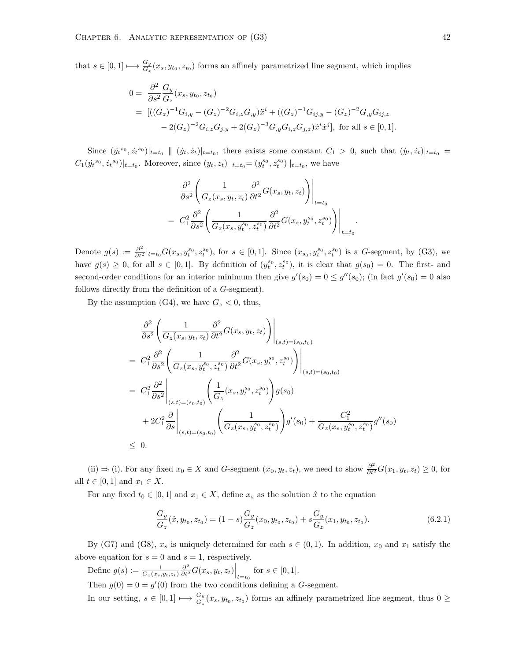that  $s \in [0,1] \longmapsto \frac{G_y}{G_z}(x_s, y_{t_0}, z_{t_0})$  forms an affinely parametrized line segment, which implies

$$
0 = \frac{\partial^2}{\partial s^2} \frac{G_y}{G_z}(x_s, y_{t_0}, z_{t_0})
$$
  
= 
$$
[((G_z)^{-1}G_{i,y} - (G_z)^{-2}G_{i,z}G_{,y})\ddot{x}^i + ((G_z)^{-1}G_{ij,y} - (G_z)^{-2}G_{,y}G_{ij,z}
$$
  

$$
-2(G_z)^{-2}G_{i,z}G_{j,y} + 2(G_z)^{-3}G_{,y}G_{i,z}G_{j,z})\dot{x}^i\dot{x}^j], \text{ for all } s \in [0,1].
$$

Since  $(\dot{y}_t^{s_0}, \dot{z}_t^{s_0})|_{t=t_0} \parallel (\dot{y}_t, \dot{z}_t)|_{t=t_0}$ , there exists some constant  $C_1 > 0$ , such that  $(\dot{y}_t, \dot{z}_t)|_{t=t_0} =$  $C_1(\dot{y}_t^{s_0}, \dot{z}_t^{s_0})|_{t=t_0}$ . Moreover, since  $(y_t, z_t) |_{t=t_0} = (y_t^{s_0}, z_t^{s_0}) |_{t=t_0}$ , we have

$$
\frac{\partial^2}{\partial s^2} \left( \frac{1}{G_z(x_s, y_t, z_t)} \frac{\partial^2}{\partial t^2} G(x_s, y_t, z_t) \right) \Big|_{t=t_0}
$$
\n
$$
= C_1^2 \frac{\partial^2}{\partial s^2} \left( \frac{1}{G_z(x_s, y_t^{s_0}, z_t^{s_0})} \frac{\partial^2}{\partial t^2} G(x_s, y_t^{s_0}, z_t^{s_0}) \right) \Big|_{t=t_0}
$$

*.*

Denote  $g(s) := \frac{\partial^2}{\partial t^2}\big|_{t=t_0} G(x_s, y_t^{s_0}, z_t^{s_0})$ , for  $s \in [0,1]$ . Since  $(x_{s_0}, y_t^{s_0}, z_t^{s_0})$  is a G-segment, by (G3), we have  $g(s) \geq 0$ , for all  $s \in [0,1]$ . By definition of  $(y_t^{s_0}, z_t^{s_0})$ , it is clear that  $g(s_0) = 0$ . The first- and second-order conditions for an interior minimum then give  $g'(s_0) = 0 \le g''(s_0)$ ; (in fact  $g'(s_0) = 0$  also follows directly from the definition of a *G*-segment).

By the assumption (G4), we have  $G_z < 0$ , thus,

$$
\frac{\partial^2}{\partial s^2} \left( \frac{1}{G_z(x_s, y_t, z_t)} \frac{\partial^2}{\partial t^2} G(x_s, y_t, z_t) \right) \Big|_{(s,t)=(s_0, t_0)}
$$
\n
$$
= C_1^2 \frac{\partial^2}{\partial s^2} \left( \frac{1}{G_z(x_s, y_t^{s_0}, z_t^{s_0})} \frac{\partial^2}{\partial t^2} G(x_s, y_t^{s_0}, z_t^{s_0}) \right) \Big|_{(s,t)=(s_0, t_0)}
$$
\n
$$
= C_1^2 \frac{\partial^2}{\partial s^2} \Big|_{(s,t)=(s_0, t_0)} \left( \frac{1}{G_z}(x_s, y_t^{s_0}, z_t^{s_0}) \right) g(s_0)
$$
\n
$$
+ 2C_1^2 \frac{\partial}{\partial s} \Big|_{(s,t)=(s_0, t_0)} \left( \frac{1}{G_z(x_s, y_t^{s_0}, z_t^{s_0})} \right) g'(s_0) + \frac{C_1^2}{G_z(x_s, y_t^{s_0}, z_t^{s_0})} g''(s_0)
$$
\n
$$
\leq 0.
$$

(ii)  $\Rightarrow$  (i). For any fixed  $x_0 \in X$  and G-segment  $(x_0, y_t, z_t)$ , we need to show  $\frac{\partial^2}{\partial t^2} G(x_1, y_t, z_t) \ge 0$ , for all  $t \in [0, 1]$  and  $x_1 \in X$ .

For any fixed  $t_0 \in [0,1]$  and  $x_1 \in X$ , define  $x_s$  as the solution  $\hat{x}$  to the equation

$$
\frac{G_y}{G_z}(\hat{x}, y_{t_0}, z_{t_0}) = (1 - s) \frac{G_y}{G_z}(x_0, y_{t_0}, z_{t_0}) + s \frac{G_y}{G_z}(x_1, y_{t_0}, z_{t_0}).
$$
\n(6.2.1)

By (G7) and (G8),  $x_s$  is uniquely determined for each  $s \in (0,1)$ . In addition,  $x_0$  and  $x_1$  satisfy the above equation for  $s = 0$  and  $s = 1$ , respectively.

Define  $g(s) := \frac{1}{G_z(x_s, y_t, z_t)} \frac{\partial^2}{\partial t^2} G(x_s, y_t, z_t) \Big|_{t=t_0}$  for  $s \in [0, 1]$ .

Then  $g(0) = 0 = g'(0)$  from the two conditions defining a *G*-segment.

In our setting,  $s \in [0,1] \mapsto \frac{G_y}{G_z}(x_s, y_{t_0}, z_{t_0})$  forms an affinely parametrized line segment, thus 0 ≥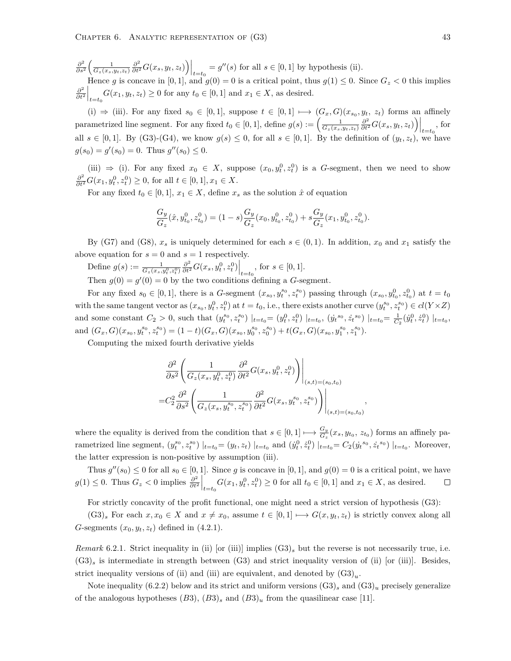*∂* 2  $\frac{\partial^2}{\partial s^2} \left( \frac{1}{G_z(x_s, y_t, z_t)} \frac{\partial^2}{\partial t^2} G(x_s, y_t, z_t) \right) \Big|_{t=t_s} = g''(s)$  for all  $s \in [0, 1]$  by hypothesis (ii). Hence *g* is concave in [0, 1], and  $g(0) = 0$  is a critical point, thus  $g(1) \leq 0$ . Since  $G_z < 0$  this implies *∂* 2  $\left. \frac{\partial^2}{\partial t^2} \right|_{t=t_0} G(x_1, y_t, z_t) \geq 0$  for any  $t_0 \in [0, 1]$  and  $x_1 \in X$ , as desired.

(i)  $\Rightarrow$  (iii). For any fixed  $s_0 \in [0,1]$ , suppose  $t \in [0,1] \mapsto (G_x,G)(x_{s_0},y_t, z_t)$  forms an affinely parametrized line segment. For any fixed  $t_0 \in [0,1]$ , define  $g(s) := \left( \frac{1}{G_z(x_s, y_t, z_t)} \frac{\partial^2}{\partial t^2} G(x_s, y_t, z_t) \right) \Big|_{t=t_0}$ , for  $\overline{\phantom{a}}$ all  $s \in [0,1]$ . By (G3)-(G4), we know  $g(s) \leq 0$ , for all  $s \in [0,1]$ . By the definition of  $(y_t, z_t)$ , we have  $g(s_0) = g'(s_0) = 0$ . Thus  $g''(s_0) \leq 0$ .

(iii)  $\Rightarrow$  (i). For any fixed  $x_0 \in X$ , suppose  $(x_0, y_t^0, z_t^0)$  is a *G*-segment, then we need to show  $\frac{\partial^2}{\partial t^2} G(x_1, y_t^0, z_t^0) \geq 0$ , for all  $t \in [0, 1], x_1 \in X$ .

For any fixed  $t_0 \in [0,1], x_1 \in X$ , define  $x_s$  as the solution  $\hat{x}$  of equation

$$
\frac{G_y}{G_z}(\hat{x}, y_{t_0}^0, z_{t_0}^0) = (1 - s) \frac{G_y}{G_z}(x_0, y_{t_0}^0, z_{t_0}^0) + s \frac{G_y}{G_z}(x_1, y_{t_0}^0, z_{t_0}^0).
$$

By (G7) and (G8),  $x_s$  is uniquely determined for each  $s \in (0,1)$ . In addition,  $x_0$  and  $x_1$  satisfy the above equation for  $s = 0$  and  $s = 1$  respectively.

Define  $g(s) := \frac{1}{G_z(x_s, y_t^0, z_t^0)} \frac{\partial^2}{\partial t^2} G(x_s, y_t^0, z_t^0) \Big|_{t=t_0}$ , for  $s \in [0, 1]$ .

Then  $g(0) = g'(0) = 0$  by the two conditions defining a *G*-segment.

For any fixed  $s_0 \in [0,1]$ , there is a G-segment  $(x_{s_0}, y_t^{s_0}, z_t^{s_0})$  passing through  $(x_{s_0}, y_{t_0}^0, z_{t_0}^0)$  at  $t = t_0$ with the same tangent vector as  $(x_{s_0}, y_t^0, z_t^0)$  at  $t = t_0$ , i.e., there exists another curve  $(y_t^{s_0}, z_t^{s_0}) \in cl(Y \times Z)$ and some constant  $C_2 > 0$ , such that  $(y_t^{s_0}, z_t^{s_0}) |_{t=t_0} = (y_t^0, z_t^0) |_{t=t_0}$ ,  $(\dot{y}_t^{s_0}, \dot{z}_t^{s_0}) |_{t=t_0} = \frac{1}{C_2}(\dot{y}_t^0, \dot{z}_t^0) |_{t=t_0}$ and  $(G_x, G)(x_{s_0}, y_t^{s_0}, z_t^{s_0}) = (1-t)(G_x, G)(x_{s_0}, y_0^{s_0}, z_0^{s_0}) + t(G_x, G)(x_{s_0}, y_1^{s_0}, z_1^{s_0}).$ 

Computing the mixed fourth derivative yields

$$
\frac{\partial^2}{\partial s^2} \left( \frac{1}{G_z(x_s, y_t^0, z_t^0)} \frac{\partial^2}{\partial t^2} G(x_s, y_t^0, z_t^0) \right) \Big|_{(s,t)=(s_0,t_0)} \n= C_2^2 \frac{\partial^2}{\partial s^2} \left( \frac{1}{G_z(x_s, y_t^{s_0}, z_t^{s_0})} \frac{\partial^2}{\partial t^2} G(x_s, y_t^{s_0}, z_t^{s_0}) \right) \Big|_{(s,t)=(s_0,t_0)},
$$

where the equality is derived from the condition that  $s \in [0,1] \mapsto \frac{G_y}{G_z}(x_s, y_{t_0}, z_{t_0})$  forms an affinely parametrized line segment,  $(y_t^{s_0}, z_t^{s_0})|_{t=t_0} = (y_t, z_t)|_{t=t_0}$  and  $(\dot{y}_t^0, \dot{z}_t^0)|_{t=t_0} = C_2(\dot{y}_t^{s_0}, \dot{z}_t^{s_0})|_{t=t_0}$ . Moreover, the latter expression is non-positive by assumption (iii).

Thus  $g''(s_0) \leq 0$  for all  $s_0 \in [0,1]$ . Since g is concave in  $[0,1]$ , and  $g(0) = 0$  is a critical point, we have  $g(1) \leq 0$ . Thus  $G_z < 0$  implies  $\frac{\partial^2}{\partial t^2}$  $\frac{\partial^2}{\partial t^2}\Big|_{t=t_0} G(x_1, y_t^0, z_t^0) \ge 0$  for all  $t_0 \in [0, 1]$  and  $x_1 \in X$ , as desired.  $\Box$ 

For strictly concavity of the profit functional, one might need a strict version of hypothesis (G3):

 $(G3)_s$  For each  $x, x_0 \in X$  and  $x \neq x_0$ , assume  $t \in [0, 1] \longmapsto G(x, y_t, z_t)$  is strictly convex along all *G*-segments  $(x_0, y_t, z_t)$  defined in  $(4.2.1)$ .

*Remark* 6.2.1. Strict inequality in (ii) [or (iii)] implies  $(G3)$ , but the reverse is not necessarily true, i.e.  $(G3)_s$  is intermediate in strength between  $(G3)$  and strict inequality version of (ii) [or (iii)]. Besides, strict inequality versions of (ii) and (iii) are equivalent, and denoted by  $(G3)_u$ .

Note inequality (6.2.2) below and its strict and uniform versions  $(G3)_s$  and  $(G3)_u$  precisely generalize of the analogous hypotheses  $(B3)$ ,  $(B3)$ <sub>s</sub> and  $(B3)$ <sub>u</sub> from the quasilinear case [11].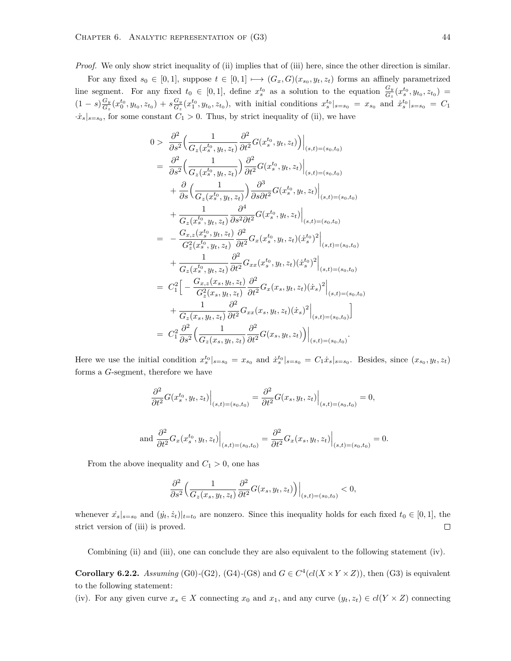*Proof.* We only show strict inequality of (ii) implies that of (iii) here, since the other direction is similar.

For any fixed  $s_0 \in [0,1]$ , suppose  $t \in [0,1] \mapsto (G_x, G)(x_{s_0}, y_t, z_t)$  forms an affinely parametrized line segment. For any fixed  $t_0 \in [0,1]$ , define  $x_s^{t_0}$  as a solution to the equation  $\frac{G_y}{G_z}(x_s^{t_0}, y_{t_0}, z_{t_0}) =$  $(1-s)\frac{G_y}{G}$  $\frac{G_y}{G_z}(x_0^{t_0}, y_{t_0}, z_{t_0}) + s\frac{G_y}{G_z}$  $\frac{G_y}{G_z}(x_1^{t_0}, y_{t_0}, z_{t_0}),$  with initial conditions  $x_s^{t_0}|_{s=s_0} = x_{s_0}$  and  $\dot{x}_s^{t_0}|_{s=s_0} = C_1$  $\cdot \dot{x}_s|_{s=s_0}$ , for some constant  $C_1 > 0$ . Thus, by strict inequality of (ii), we have

$$
0 > \frac{\partial^2}{\partial s^2} \Big( \frac{1}{G_z(x_s^{t_0}, y_t, z_t)} \frac{\partial^2}{\partial t^2} G(x_s^{t_0}, y_t, z_t) \Big) \Big|_{(s,t)=(s_0,t_0)} = \frac{\partial^2}{\partial s^2} \Big( \frac{1}{G_z(x_s^{t_0}, y_t, z_t)} \Big) \frac{\partial^2}{\partial t^2} G(x_s^{t_0}, y_t, z_t) \Big|_{(s,t)=(s_0,t_0)} + \frac{\partial}{\partial s} \Big( \frac{1}{G_z(x_s^{t_0}, y_t, z_t)} \Big) \frac{\partial^3}{\partial s \partial t^2} G(x_s^{t_0}, y_t, z_t) \Big|_{(s,t)=(s_0,t_0)} + \frac{1}{G_z(x_s^{t_0}, y_t, z_t)} \frac{\partial^4}{\partial s^2 \partial t^2} G(x_s^{t_0}, y_t, z_t) \Big|_{(s,t)=(s_0,t_0)} = -\frac{G_{x,z}(x_s^{t_0}, y_t, z_t)}{G_z^2(x_s^{t_0}, y_t, z_t)} \frac{\partial^2}{\partial t^2} G_x(x_s^{t_0}, y_t, z_t) (\dot{x}_s^{t_0})^2 \Big|_{(s,t)=(s_0,t_0)} + \frac{1}{G_z(x_s^{t_0}, y_t, z_t)} \frac{\partial^2}{\partial t^2} G_{xx}(x_s^{t_0}, y_t, z_t) (\dot{x}_s^{t_0})^2 \Big|_{(s,t)=(s_0,t_0)} = C_1^2 \Big[ -\frac{G_{x,z}(x_s, y_t, z_t)}{G_z^2(x_s, y_t, z_t)} \frac{\partial^2}{\partial t^2} G_x(x_s, y_t, z_t) (\dot{x}_s)^2 \Big|_{(s,t)=(s_0,t_0)} + \frac{1}{G_z(x_s, y_t, z_t)} \frac{\partial^2}{\partial t^2} G_{xx}(x_s, y_t, z_t) (\dot{x}_s)^2 \Big|_{(s,t)=(s_0,t_0)} \Big] = C_1^2 \frac{\partial^2}{\partial s^2} \Big( \frac{1}{G_z(x_s, y_t, z_t)} \frac{\partial^2}{\partial t^2} G(x_s, y_t, z_t) \Big) \Big|_{(s,t)=(s_0,t_0)}.
$$

Here we use the initial condition  $x_s^{t_0}|_{s=s_0} = x_{s_0}$  and  $\dot{x}_s^{t_0}|_{s=s_0} = C_1 \dot{x}_s|_{s=s_0}$ . Besides, since  $(x_{s_0}, y_t, z_t)$ forms a *G*-segment, therefore we have

$$
\frac{\partial^2}{\partial t^2} G(x_s^{t_0}, y_t, z_t) \Big|_{(s,t)=(s_0,t_0)} = \frac{\partial^2}{\partial t^2} G(x_s, y_t, z_t) \Big|_{(s,t)=(s_0,t_0)} = 0,
$$
\nand\n
$$
\frac{\partial^2}{\partial t^2} G_x(x_s^{t_0}, y_t, z_t) \Big|_{(s,t)=(s_0,t_0)} = \frac{\partial^2}{\partial t^2} G_x(x_s, y_t, z_t) \Big|_{(s,t)=(s_0,t_0)} = 0.
$$

From the above inequality and  $C_1 > 0$ , one has

$$
\frac{\partial^2}{\partial s^2} \Big( \frac{1}{G_z(x_s, y_t, z_t)} \frac{\partial^2}{\partial t^2} G(x_s, y_t, z_t) \Big) \Big|_{(s,t)=(s_0,t_0)} < 0,
$$

whenever  $\dot{x}_s|_{s=s_0}$  and  $(\dot{y}_t, \dot{z}_t)|_{t=t_0}$  are nonzero. Since this inequality holds for each fixed  $t_0 \in [0, 1]$ , the strict version of (iii) is proved.  $\Box$ 

Combining (ii) and (iii), one can conclude they are also equivalent to the following statement (iv).

**Corollary 6.2.2.** *Assuming* (G0) $-(G2)$ , (G4) $-(G8)$  and  $G \in C^4(cl(X \times Y \times Z))$ , then (G3) is equivalent to the following statement:

(iv). For any given curve  $x_s \in X$  connecting  $x_0$  and  $x_1$ , and any curve  $(y_t, z_t) \in cl(Y \times Z)$  connecting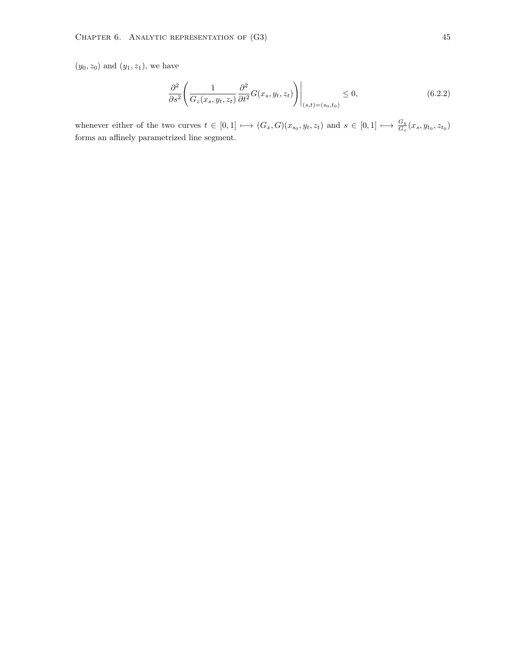$(y_0, z_0)$  and  $(y_1, z_1)$ , we have

$$
\frac{\partial^2}{\partial s^2} \left( \frac{1}{G_z(x_s, y_t, z_t)} \frac{\partial^2}{\partial t^2} G(x_s, y_t, z_t) \right) \Big|_{(s,t)=(s_0,t_0)} \le 0,
$$
\n(6.2.2)

whenever either of the two curves  $t \in [0,1] \longmapsto (G_x, G)(x_{s_0}, y_t, z_t)$  and  $s \in [0,1] \longmapsto \frac{G_y}{G_z}(x_s, y_{t_0}, z_{t_0})$ forms an affinely parametrized line segment.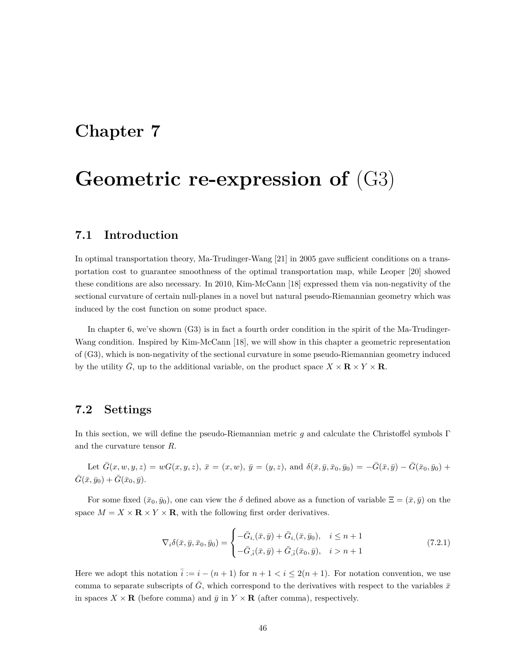### **Chapter 7**

## **Geometric re-expression of** (G3)

#### **7.1 Introduction**

In optimal transportation theory, Ma-Trudinger-Wang [21] in 2005 gave sufficient conditions on a transportation cost to guarantee smoothness of the optimal transportation map, while Leoper [20] showed these conditions are also necessary. In 2010, Kim-McCann [18] expressed them via non-negativity of the sectional curvature of certain null-planes in a novel but natural pseudo-Riemannian geometry which was induced by the cost function on some product space.

In chapter 6, we've shown (G3) is in fact a fourth order condition in the spirit of the Ma-Trudinger-Wang condition. Inspired by Kim-McCann [18], we will show in this chapter a geometric representation of (G3), which is non-negativity of the sectional curvature in some pseudo-Riemannian geometry induced by the utility  $\bar{G}$ , up to the additional variable, on the product space  $X \times \mathbf{R} \times Y \times \mathbf{R}$ .

#### **7.2 Settings**

In this section, we will define the pseudo-Riemannian metric *g* and calculate the Christoffel symbols Γ and the curvature tensor *R*.

Let  $\bar{G}(x, w, y, z) = wG(x, y, z), \ \bar{x} = (x, w), \ \bar{y} = (y, z), \text{ and } \delta(\bar{x}, \bar{y}, \bar{x}_0, \bar{y}_0) = -\bar{G}(\bar{x}, \bar{y}) - \bar{G}(\bar{x}_0, \bar{y}_0) +$  $\bar{G}(\bar{x}, \bar{y}_0) + \bar{G}(\bar{x}_0, \bar{y}).$ 

For some fixed  $(\bar{x}_0, \bar{y}_0)$ , one can view the *δ* defined above as a function of variable  $\Xi = (\bar{x}, \bar{y})$  on the space  $M = X \times \mathbf{R} \times Y \times \mathbf{R}$ , with the following first order derivatives.

$$
\nabla_i \delta(\bar{x}, \bar{y}, \bar{x}_0, \bar{y}_0) = \begin{cases}\n-\bar{G}_{i,}(\bar{x}, \bar{y}) + \bar{G}_{i,}(\bar{x}, \bar{y}_0), & i \leq n+1 \\
-\bar{G}_{\bar{i}}(\bar{x}, \bar{y}) + \bar{G}_{\bar{i}}(\bar{x}_0, \bar{y}), & i > n+1\n\end{cases}
$$
\n(7.2.1)

Here we adopt this notation  $\overline{i} := i - (n + 1)$  for  $n + 1 < i \leq 2(n + 1)$ . For notation convention, we use comma to separate subscripts of  $\bar{G}$ , which correspond to the derivatives with respect to the variables  $\bar{x}$ in spaces  $X \times \mathbf{R}$  (before comma) and  $\bar{y}$  in  $Y \times \mathbf{R}$  (after comma), respectively.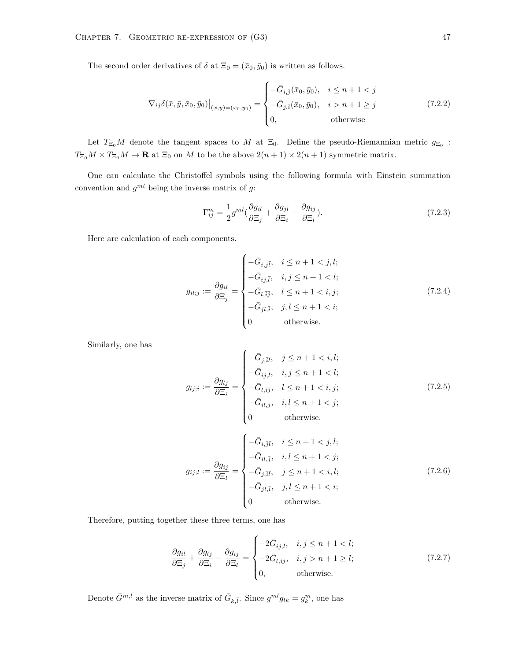The second order derivatives of  $\delta$  at  $\Xi_0 = (\bar{x}_0, \bar{y}_0)$  is written as follows.

$$
\nabla_{ij}\delta(\bar{x},\bar{y},\bar{x}_0,\bar{y}_0)|_{(\bar{x},\bar{y})=(\bar{x}_0,\bar{y}_0)} = \begin{cases}\n-\bar{G}_{i,\bar{j}}(\bar{x}_0,\bar{y}_0), & i \leq n+1 < j \\
-\bar{G}_{j,\bar{i}}(\bar{x}_0,\bar{y}_0), & i > n+1 \geq j \\
0, & \text{otherwise}\n\end{cases}
$$
\n(7.2.2)

Let  $T_{\Xi_0}M$  denote the tangent spaces to  $M$  at  $\Xi_0$ . Define the pseudo-Riemannian metric  $g_{\Xi_0}$ :  $T_{\Xi_0}M \times T_{\Xi_0}M \to \mathbf{R}$  at  $\Xi_0$  on *M* to be the above  $2(n+1) \times 2(n+1)$  symmetric matrix.

One can calculate the Christoffel symbols using the following formula with Einstein summation convention and  $g^{ml}$  being the inverse matrix of  $g$ :

$$
\Gamma_{ij}^{m} = \frac{1}{2} g^{ml} \left( \frac{\partial g_{il}}{\partial \Xi_j} + \frac{\partial g_{jl}}{\partial \Xi_i} - \frac{\partial g_{ij}}{\partial \Xi_l} \right).
$$
\n(7.2.3)

Here are calculation of each components.

$$
g_{il;j} := \frac{\partial g_{il}}{\partial \Xi_j} = \begin{cases} -\bar{G}_{i,\bar{j}l}, & i \le n+1 < j, l; \\ -\bar{G}_{ij,\bar{l}}, & i, j \le n+1 < l; \\ -\bar{G}_{l,\bar{i}\bar{j}}, & l \le n+1 < i, j; \\ -\bar{G}_{j\bar{l},\bar{i}}, & j, l \le n+1 < i; \\ 0 & \text{otherwise.} \end{cases} \tag{7.2.4}
$$

Similarly, one has

$$
g_{lj;i} := \frac{\partial g_{lj}}{\partial \Xi_i} = \begin{cases} -\bar{G}_{j,\bar{i}l}, & j \le n+1 < i, l; \\ -\bar{G}_{ij,\bar{l}}, & i, j \le n+1 < l; \\ -\bar{G}_{l,\bar{i}j}, & l \le n+1 < i, j; \\ -\bar{G}_{il,\bar{j}}, & i, l \le n+1 < j; \\ 0 & \text{otherwise.} \end{cases}
$$
(7.2.5)  

$$
g_{ij;l} := \frac{\partial g_{ij}}{\partial \Xi_l} = \begin{cases} -\bar{G}_{i,\bar{j}l}, & i \le n+1 < j, l; \\ -\bar{G}_{il,\bar{j}}, & i, l \le n+1 < j; \\ -\bar{G}_{il,\bar{j}}, & i, l \le n+1 < j; \\ -\bar{G}_{j,\bar{i}l}, & j \le n+1 < i, l; \\ -\bar{G}_{jl,\bar{i}}, & j, l \le n+1 < i; \\ 0 & \text{otherwise.} \end{cases}
$$
(7.2.6)

$$
0\qquad\qquad\text{otherwise.}
$$

Therefore, putting together these three terms, one has

$$
\frac{\partial g_{il}}{\partial \Xi_j} + \frac{\partial g_{lj}}{\partial \Xi_i} - \frac{\partial g_{ij}}{\partial \Xi_l} = \begin{cases}\n-2\bar{G}_{ij,\bar{l}}, & i, j \le n+1 < l; \\
-2\bar{G}_{l,\bar{i}\bar{j}}, & i, j > n+1 \ge l; \\
0, & \text{otherwise.} \n\end{cases}
$$
\n(7.2.7)

Denote  $\bar{G}^{m,\bar{l}}$  as the inverse matrix of  $\bar{G}_{k,\bar{l}}$ . Since  $g^{ml}g_{lk} = g_k^m$ , one has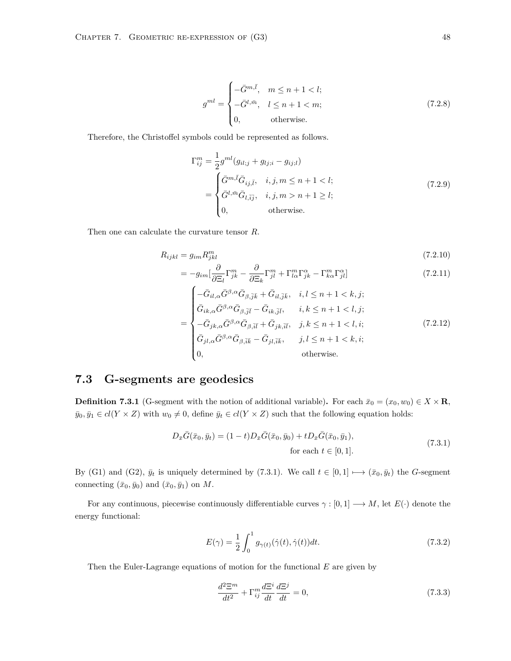$$
g^{ml} = \begin{cases} -\bar{G}^{m,\bar{l}}, & m \le n+1 < l; \\ -\bar{G}^{l,\bar{m}}, & l \le n+1 < m; \\ 0, & \text{otherwise.} \end{cases} \tag{7.2.8}
$$

Therefore, the Christoffel symbols could be represented as follows.

$$
\Gamma_{ij}^{m} = \frac{1}{2} g^{ml} (g_{il;j} + g_{lj;i} - g_{ij;l})
$$
\n
$$
= \begin{cases}\n\bar{G}^{m,\bar{l}} \bar{G}_{ij,\bar{l}}, & i, j, m \le n+1 < l; \\
\bar{G}^{l,\bar{m}} \bar{G}_{l,\bar{i}\bar{j}}, & i, j, m > n+1 \ge l; \\
0, & \text{otherwise.} \n\end{cases}
$$
\n(7.2.9)

Then one can calculate the curvature tensor *R*.

$$
R_{ijkl} = g_{im} R_{jkl}^m \tag{7.2.10}
$$

$$
= -g_{im} \left[ \frac{\partial}{\partial \Xi_l} \Gamma_{jk}^m - \frac{\partial}{\partial \Xi_k} \Gamma_{jl}^m + \Gamma_{l\alpha}^m \Gamma_{jk}^\alpha - \Gamma_{k\alpha}^m \Gamma_{jl}^\alpha \right]
$$
(7.2.11)

$$
= \begin{cases}\n-\bar{G}_{il,\alpha}\bar{G}^{\beta,\alpha}\bar{G}_{\beta,\bar{j}\bar{k}} + \bar{G}_{il,\bar{j}\bar{k}}, & i,l \leq n+1 < k, j; \\
\bar{G}_{ik,\alpha}\bar{G}^{\beta,\alpha}\bar{G}_{\beta,\bar{j}\bar{l}} - \bar{G}_{ik,\bar{j}\bar{l}}, & i,k \leq n+1 < l, j; \\
-\bar{G}_{jk,\alpha}\bar{G}^{\beta,\alpha}\bar{G}_{\beta,\bar{i}\bar{l}} + \bar{G}_{jk,\bar{i}\bar{l}}, & j,k \leq n+1 < l, i; \\
\bar{G}_{jl,\alpha}\bar{G}^{\beta,\alpha}\bar{G}_{\beta,\bar{i}\bar{k}} - \bar{G}_{jl,\bar{i}\bar{k}}, & j,l \leq n+1 < k, i; \\
0, & \text{otherwise.} \n\end{cases} (7.2.12)
$$

### **7.3 G-segments are geodesics**

**Definition 7.3.1** (G-segment with the notion of additional variable). For each  $\bar{x}_0 = (x_0, w_0) \in X \times \mathbf{R}$ ,  $\bar{y}_0, \bar{y}_1 \in cl(Y \times Z)$  with  $w_0 \neq 0$ , define  $\bar{y}_t \in cl(Y \times Z)$  such that the following equation holds:

$$
D_{\bar{x}}\bar{G}(\bar{x}_0, \bar{y}_t) = (1-t)D_{\bar{x}}\bar{G}(\bar{x}_0, \bar{y}_0) + tD_{\bar{x}}\bar{G}(\bar{x}_0, \bar{y}_1),
$$
  
for each  $t \in [0, 1]$ . (7.3.1)

By (G1) and (G2),  $\bar{y}_t$  is uniquely determined by (7.3.1). We call  $t \in [0,1] \mapsto (\bar{x}_0, \bar{y}_t)$  the *G*-segment connecting  $(\bar{x}_0, \bar{y}_0)$  and  $(\bar{x}_0, \bar{y}_1)$  on *M*.

For any continuous, piecewise continuously differentiable curves  $\gamma : [0,1] \longrightarrow M$ , let  $E(\cdot)$  denote the energy functional:

$$
E(\gamma) = \frac{1}{2} \int_0^1 g_{\gamma(t)}(\dot{\gamma}(t), \dot{\gamma}(t)) dt.
$$
\n(7.3.2)

Then the Euler-Lagrange equations of motion for the functional *E* are given by

$$
\frac{d^2\Xi^m}{dt^2} + \Gamma_{ij}^m \frac{d\Xi^i}{dt} \frac{d\Xi^j}{dt} = 0,\tag{7.3.3}
$$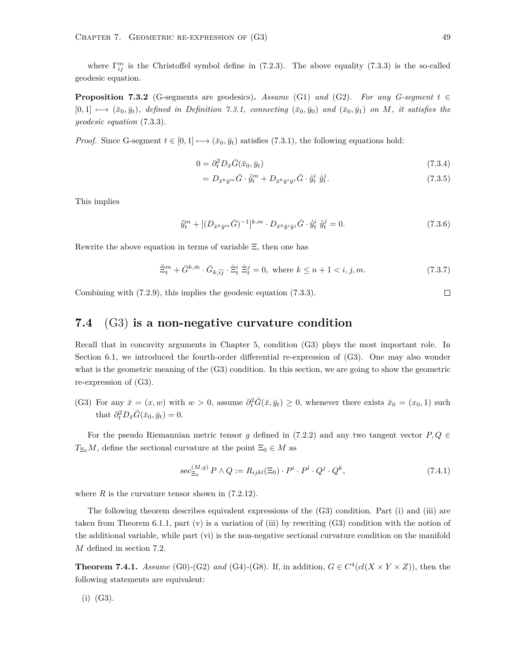where  $\Gamma_{ij}^m$  is the Christoffel symbol define in (7.2.3). The above equality (7.3.3) is the so-called geodesic equation.

**Proposition 7.3.2** (G-segments are geodesics). *Assume* (G1) *and* (G2)*. For any G-segment*  $t \in$  $[0,1] \mapsto (\bar{x}_0, \bar{y}_t)$ , defined in Definition 7.3.1, connecting  $(\bar{x}_0, \bar{y}_0)$  and  $(\bar{x}_0, \bar{y}_1)$  on M, it satisfies the *geodesic equation* (7.3.3)*.*

*Proof.* Since G-segment  $t \in [0, 1] \mapsto (\bar{x}_0, \bar{y}_t)$  satisfies (7.3.1), the following equations hold:

$$
0 = \partial_t^2 D_{\bar{x}} \bar{G}(\bar{x}_0, \bar{y}_t) \tag{7.3.4}
$$

$$
=D_{\bar{x}^k\bar{y}^m}\bar{G}\cdot\ddot{\bar{y}}_t^m+D_{\bar{x}^k\bar{y}^i\bar{y}^j}\bar{G}\cdot\dot{\bar{y}}_t^i\dot{\bar{y}}_t^j.
$$
\n(7.3.5)

This implies

$$
\ddot{\bar{y}}_t^m + [(D_{\bar{x}^k \bar{y}^m} \bar{G})^{-1}]^{k,m} \cdot D_{\bar{x}^k \bar{y}^i \bar{y}^j} \bar{G} \cdot \dot{\bar{y}}_t^i \ \dot{\bar{y}}_t^j = 0. \tag{7.3.6}
$$

Rewrite the above equation in terms of variable Ξ, then one has

$$
\ddot{\Xi}_t^m + \bar{G}^{k,\bar{m}} \cdot \bar{G}_{k,\bar{i}\bar{j}} \cdot \dot{\Xi}_t^i \dot{\Xi}_t^j = 0, \text{ where } k \le n+1 < i, j, m. \tag{7.3.7}
$$

Combining with (7.2.9), this implies the geodesic equation (7.3.3).

### **7.4** (G3) **is a non-negative curvature condition**

Recall that in concavity arguments in Chapter 5, condition (G3) plays the most important role. In Section 6.1, we introduced the fourth-order differential re-expression of (G3). One may also wonder what is the geometric meaning of the (G3) condition. In this section, we are going to show the geometric re-expression of (G3).

(G3) For any  $\bar{x} = (x, w)$  with  $w > 0$ , assume  $\partial_t^2 \bar{G}(\bar{x}, \bar{y}_t) \geq 0$ , whenever there exists  $\bar{x}_0 = (x_0, 1)$  such that  $\partial_t^2 D_{\bar{x}} \bar{G}(\bar{x}_0, \bar{y}_t) = 0.$ 

For the pseudo Riemannian metric tensor *g* defined in (7.2.2) and any two tangent vector  $P, Q \in$  $T_{\Xi_0}M$ , define the sectional curvature at the point  $\Xi_0 \in M$  as

$$
\sec_{\Xi_0}^{(M,g)} P \wedge Q := R_{ijkl}(\Xi_0) \cdot P^i \cdot P^l \cdot Q^j \cdot Q^k,\tag{7.4.1}
$$

where  $R$  is the curvature tensor shown in  $(7.2.12)$ .

The following theorem describes equivalent expressions of the (G3) condition. Part (i) and (iii) are taken from Theorem 6.1.1, part  $(v)$  is a variation of (iii) by rewriting  $(G3)$  condition with the notion of the additional variable, while part (vi) is the non-negative sectional curvature condition on the manifold *M* defined in section 7.2.

**Theorem 7.4.1.** *Assume* (G0) $-(G2)$  *and* (G4) $-(G8)$ . If, in addition,  $G \in C^4(cl(X \times Y \times Z))$ , then the following statements are equivalent:

 $(i)$   $(G3)$ .

 $\Box$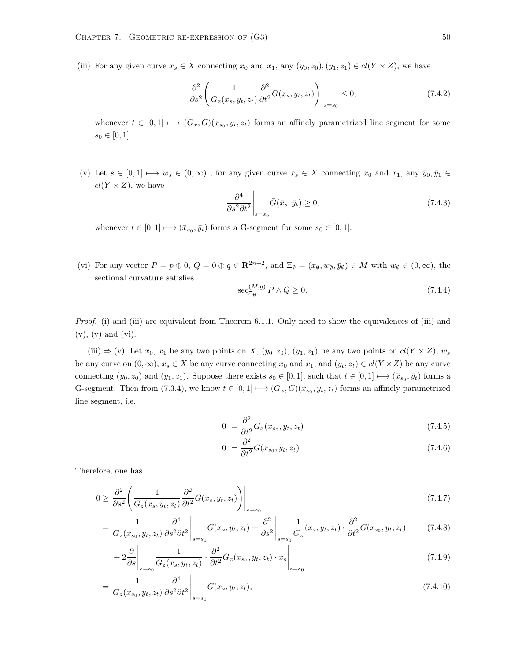(iii) For any given curve  $x_s \in X$  connecting  $x_0$  and  $x_1$ , any  $(y_0, z_0), (y_1, z_1) \in cl(Y \times Z)$ , we have

$$
\left. \frac{\partial^2}{\partial s^2} \left( \frac{1}{G_z(x_s, y_t, z_t)} \frac{\partial^2}{\partial t^2} G(x_s, y_t, z_t) \right) \right|_{s=s_0} \le 0,
$$
\n(7.4.2)

whenever  $t \in [0,1] \mapsto (G_x, G)(x_{s_0}, y_t, z_t)$  forms an affinely parametrized line segment for some  $s_0 \in [0, 1].$ 

(v) Let  $s \in [0,1] \longmapsto w_s \in (0,\infty)$ , for any given curve  $x_s \in X$  connecting  $x_0$  and  $x_1$ , any  $\bar{y}_0, \bar{y}_1 \in$  $cl(Y \times Z)$ , we have

$$
\left. \frac{\partial^4}{\partial s^2 \partial t^2} \right|_{s=s_0} \bar{G}(\bar{x}_s, \bar{y}_t) \ge 0,
$$
\n(7.4.3)

whenever  $t \in [0, 1] \mapsto (\bar{x}_{s_0}, \bar{y}_t)$  forms a G-segment for some  $s_0 \in [0, 1]$ .

(vi) For any vector  $P = p \oplus 0$ ,  $Q = 0 \oplus q \in \mathbb{R}^{2n+2}$ , and  $\Xi_{\emptyset} = (x_{\emptyset}, w_{\emptyset}, \bar{y}_{\emptyset}) \in M$  with  $w_{\emptyset} \in (0, \infty)$ , the sectional curvature satisfies

$$
\sec_{\Xi_{\emptyset}}^{(M,g)} P \wedge Q \ge 0. \tag{7.4.4}
$$

*Proof.* (i) and (iii) are equivalent from Theorem 6.1.1. Only need to show the equivalences of (iii) and  $(v)$ ,  $(v)$  and  $(vi)$ .

(iii)  $\Rightarrow$  (v). Let  $x_0, x_1$  be any two points on  $X, (y_0, z_0), (y_1, z_1)$  be any two points on  $cl(Y \times Z)$ ,  $w_s$ be any curve on  $(0, \infty)$ ,  $x_s \in X$  be any curve connecting  $x_0$  and  $x_1$ , and  $(y_t, z_t) \in cl(Y \times Z)$  be any curve connecting  $(y_0, z_0)$  and  $(y_1, z_1)$ . Suppose there exists  $s_0 \in [0, 1]$ , such that  $t \in [0, 1] \mapsto (\bar{x}_{s_0}, \bar{y}_t)$  forms a G-segment. Then from (7.3.4), we know  $t \in [0,1] \mapsto (G_x, G)(x_{s_0}, y_t, z_t)$  forms an affinely parametrized line segment, i.e.,

$$
0 = \frac{\partial^2}{\partial t^2} G_x(x_{s_0}, y_t, z_t)
$$
\n(7.4.5)

$$
0 = \frac{\partial^2}{\partial t^2} G(x_{s_0}, y_t, z_t)
$$
\n(7.4.6)

Therefore, one has

$$
0 \geq \frac{\partial^2}{\partial s^2} \left( \frac{1}{G_z(x_s, y_t, z_t)} \frac{\partial^2}{\partial t^2} G(x_s, y_t, z_t) \right) \Big|_{s=s_0}
$$
\n(7.4.7)

$$
= \frac{1}{G_z(x_{s_0}, y_t, z_t)} \frac{\partial^4}{\partial s^2 \partial t^2} \bigg|_{s=s_0} G(x_s, y_t, z_t) + \frac{\partial^2}{\partial s^2} \bigg|_{s=s_0} \frac{1}{G_z}(x_s, y_t, z_t) \cdot \frac{\partial^2}{\partial t^2} G(x_{s_0}, y_t, z_t) \tag{7.4.8}
$$

$$
+2\frac{\partial}{\partial s}\Big|_{s=s_0}\frac{1}{G_z(x_s,y_t,z_t)}\cdot\frac{\partial^2}{\partial t^2}G_x(x_{s_0},y_t,z_t)\cdot\dot{x}_s\Big|_{s=s_0} \tag{7.4.9}
$$

$$
=\frac{1}{G_z(x_{s_0},y_t,z_t)}\frac{\partial^4}{\partial s^2\partial t^2}\Big|_{s=s_0}G(x_s,y_t,z_t),\tag{7.4.10}
$$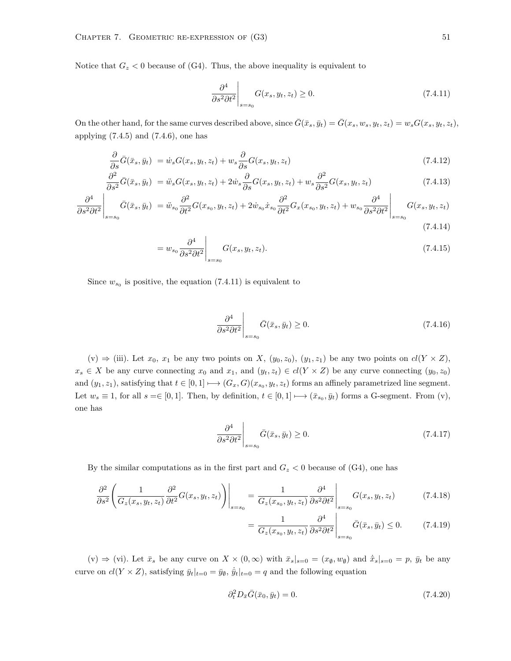Notice that  $G_z < 0$  because of (G4). Thus, the above inequality is equivalent to

$$
\left. \frac{\partial^4}{\partial s^2 \partial t^2} \right|_{s=s_0} G(x_s, y_t, z_t) \ge 0. \tag{7.4.11}
$$

On the other hand, for the same curves described above, since  $\bar{G}(\bar{x}_s, \bar{y}_t) = \bar{G}(x_s, w_s, y_t, z_t) = w_s G(x_s, y_t, z_t)$ , applying  $(7.4.5)$  and  $(7.4.6)$ , one has

$$
\frac{\partial}{\partial s}\bar{G}(\bar{x}_s, \bar{y}_t) = \dot{w}_s G(x_s, y_t, z_t) + w_s \frac{\partial}{\partial s} G(x_s, y_t, z_t)
$$
\n(7.4.12)

$$
\frac{\partial^2}{\partial s^2}\bar{G}(\bar{x}_s, \bar{y}_t) = \ddot{w}_s G(x_s, y_t, z_t) + 2\dot{w}_s \frac{\partial}{\partial s}G(x_s, y_t, z_t) + w_s \frac{\partial^2}{\partial s^2}G(x_s, y_t, z_t)
$$
\n(7.4.13)

$$
\frac{\partial^4}{\partial s^2 \partial t^2} \Big|_{s=s_0} \bar{G}(\bar{x}_s, \bar{y}_t) = \ddot{w}_{s_0} \frac{\partial^2}{\partial t^2} G(x_{s_0}, y_t, z_t) + 2\dot{w}_{s_0} \dot{x}_{s_0} \frac{\partial^2}{\partial t^2} G_x(x_{s_0}, y_t, z_t) + w_{s_0} \frac{\partial^4}{\partial s^2 \partial t^2} \Big|_{s=s_0} G(x_s, y_t, z_t)
$$
\n(7.4.14)

$$
= w_{s_0} \frac{\partial^4}{\partial s^2 \partial t^2} \bigg|_{s=s_0} G(x_s, y_t, z_t). \tag{7.4.15}
$$

Since  $w_{s_0}$  is positive, the equation  $(7.4.11)$  is equivalent to

$$
\left. \frac{\partial^4}{\partial s^2 \partial t^2} \right|_{s=s_0} \bar{G}(\bar{x}_s, \bar{y}_t) \ge 0. \tag{7.4.16}
$$

(v) *⇒* (iii)*.* Let *x*0, *x*<sup>1</sup> be any two points on *X*, (*y*0*, z*0), (*y*1*, z*1) be any two points on *cl*(*Y × Z*),  $x_s \in X$  be any curve connecting  $x_0$  and  $x_1$ , and  $(y_t, z_t) \in cl(Y \times Z)$  be any curve connecting  $(y_0, z_0)$ and  $(y_1, z_1)$ , satisfying that  $t \in [0, 1] \mapsto (G_x, G)(x_{s_0}, y_t, z_t)$  forms an affinely parametrized line segment. Let  $w_s \equiv 1$ , for all  $s = \in [0, 1]$ . Then, by definition,  $t \in [0, 1] \mapsto (\bar{x}_{s_0}, \bar{y}_t)$  forms a G-segment. From (v), one has

$$
\left. \frac{\partial^4}{\partial s^2 \partial t^2} \right|_{s=s_0} \bar{G}(\bar{x}_s, \bar{y}_t) \ge 0. \tag{7.4.17}
$$

By the similar computations as in the first part and  $G_z < 0$  because of (G4), one has

$$
\frac{\partial^2}{\partial s^2} \left( \frac{1}{G_z(x_s, y_t, z_t)} \frac{\partial^2}{\partial t^2} G(x_s, y_t, z_t) \right) \Big|_{s=s_0} = \frac{1}{G_z(x_{s_0}, y_t, z_t)} \frac{\partial^4}{\partial s^2 \partial t^2} \Big|_{s=s_0} G(x_s, y_t, z_t) \tag{7.4.18}
$$

$$
= \frac{1}{G_z(x_{s_0}, y_t, z_t)} \frac{\partial^4}{\partial s^2 \partial t^2} \bigg|_{s=s_0} \bar{G}(\bar{x}_s, \bar{y}_t) \le 0. \tag{7.4.19}
$$

(v)  $\Rightarrow$  (vi). Let  $\bar{x}_s$  be any curve on  $X \times (0, \infty)$  with  $\bar{x}_s|_{s=0} = (x_{\emptyset}, w_{\emptyset})$  and  $\dot{\bar{x}}_s|_{s=0} = p$ ,  $\bar{y}_t$  be any curve on  $cl(Y \times Z)$ , satisfying  $\bar{y}_t|_{t=0} = \bar{y}_\emptyset$ ,  $\dot{\bar{y}}_t|_{t=0} = q$  and the following equation

$$
\partial_t^2 D_{\bar{x}} \bar{G}(\bar{x}_0, \bar{y}_t) = 0. \tag{7.4.20}
$$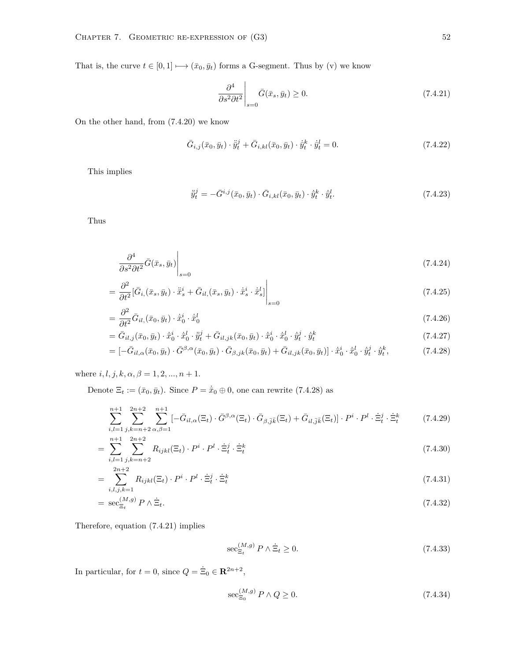That is, the curve  $t \in [0, 1] \longmapsto (\bar{x}_0, \bar{y}_t)$  forms a G-segment. Thus by (v) we know

$$
\left. \frac{\partial^4}{\partial s^2 \partial t^2} \right|_{s=0} \bar{G}(\bar{x}_s, \bar{y}_t) \ge 0. \tag{7.4.21}
$$

On the other hand, from (7.4.20) we know

$$
\bar{G}_{i,j}(\bar{x}_0, \bar{y}_t) \cdot \ddot{\bar{y}}_t^j + \bar{G}_{i,kl}(\bar{x}_0, \bar{y}_t) \cdot \dot{\bar{y}}_t^k \cdot \dot{\bar{y}}_t^l = 0.
$$
\n(7.4.22)

This implies

$$
\ddot{\bar{y}}_t^j = -\bar{G}^{i,j}(\bar{x}_0, \bar{y}_t) \cdot \bar{G}_{i,kl}(\bar{x}_0, \bar{y}_t) \cdot \dot{\bar{y}}_t^k \cdot \dot{\bar{y}}_t^l.
$$
\n(7.4.23)

Thus

$$
\left. \frac{\partial^4}{\partial s^2 \partial t^2} \bar{G}(\bar{x}_s, \bar{y}_t) \right|_{s=0} \tag{7.4.24}
$$

$$
= \frac{\partial^2}{\partial t^2} [\bar{G}_{i,}(\bar{x}_s, \bar{y}_t) \cdot \ddot{\bar{x}}_s^i + \bar{G}_{il,}(\bar{x}_s, \bar{y}_t) \cdot \dot{\bar{x}}_s^i \cdot \dot{\bar{x}}_s^l] \Big|_{s=0}
$$
\n(7.4.25)

$$
=\frac{\partial^2}{\partial t^2}\bar{G}_{il,}(\bar{x}_0,\bar{y}_t)\cdot\dot{\bar{x}}_0^i\cdot\dot{\bar{x}}_0^l\tag{7.4.26}
$$

$$
= \bar{G}_{il,j}(\bar{x}_0, \bar{y}_t) \cdot \dot{\bar{x}}_0^i \cdot \dot{\bar{x}}_0^l \cdot \ddot{\bar{y}}_t^j + \bar{G}_{il,jk}(\bar{x}_0, \bar{y}_t) \cdot \dot{\bar{x}}_0^i \cdot \dot{\bar{x}}_0^l \cdot \dot{\bar{y}}_t^j \cdot \dot{\bar{y}}_t^k \tag{7.4.27}
$$

$$
= [-\bar{G}_{il,\alpha}(\bar{x}_0, \bar{y}_t) \cdot \bar{G}^{\beta,\alpha}(\bar{x}_0, \bar{y}_t) \cdot \bar{G}_{\beta,jk}(\bar{x}_0, \bar{y}_t) + \bar{G}_{il,jk}(\bar{x}_0, \bar{y}_t)] \cdot \dot{\bar{x}}_0^i \cdot \dot{\bar{x}}_0^l \cdot \dot{\bar{y}}_t^j \cdot \dot{\bar{y}}_t^k, \tag{7.4.28}
$$

where  $i, l, j, k, \alpha, \beta = 1, 2, ..., n + 1$ .

Denote  $\Xi_t := (\bar{x}_0, \bar{y}_t)$ . Since  $P = \dot{\bar{x}}_0 \oplus 0$ , one can rewrite (7.4.28) as

$$
\sum_{i,l=1}^{n+1} \sum_{j,k=n+2}^{2n+2} \sum_{\alpha,\beta=1}^{n+1} \left[ -\bar{G}_{il,\alpha}(\Xi_t) \cdot \bar{G}^{\beta,\alpha}(\Xi_t) \cdot \bar{G}_{\beta,\bar{j}\bar{k}}(\Xi_t) + \bar{G}_{il,\bar{j}\bar{k}}(\Xi_t) \right] \cdot P^i \cdot P^l \cdot \dot{\Xi}_t^j \cdot \dot{\Xi}_t^k \tag{7.4.29}
$$

$$
= \sum_{i,l=1}^{n+1} \sum_{j,k=n+2}^{2n+2} R_{ijkl}(\Xi_t) \cdot P^i \cdot P^l \cdot \dot{\Xi}_t^j \cdot \dot{\Xi}_t^k \tag{7.4.30}
$$

$$
= \sum_{i,l,j,k=1}^{2n+2} R_{ijkl}(\Xi_t) \cdot P^i \cdot P^l \cdot \dot{\Xi}_t^j \cdot \dot{\Xi}_t^k \tag{7.4.31}
$$

$$
= \sec_{\Xi_t}^{(M,g)} P \wedge \dot{\Xi}_t. \tag{7.4.32}
$$

Therefore, equation (7.4.21) implies

$$
\sec_{\Xi_t}^{(M,g)} P \wedge \dot{\Xi}_t \ge 0. \tag{7.4.33}
$$

In particular, for  $t = 0$ , since  $Q = \dot{\Xi}_0 \in \mathbb{R}^{2n+2}$ ,

$$
\sec_{\Xi_0}^{(M,g)} P \wedge Q \ge 0. \tag{7.4.34}
$$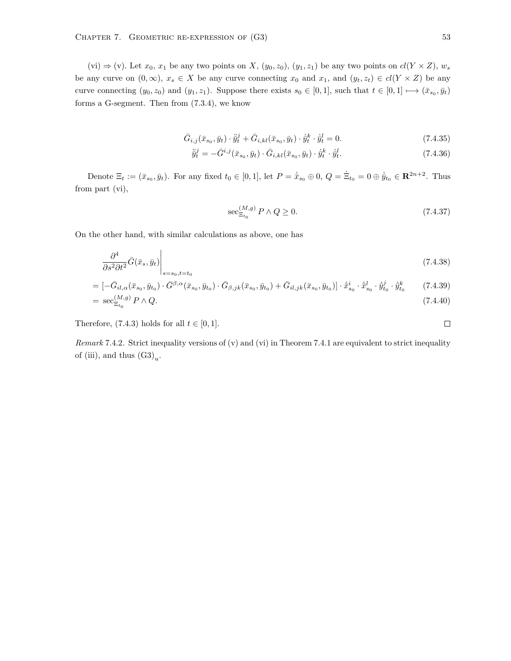(vi)  $\Rightarrow$  (v). Let *x*<sub>0</sub>, *x*<sub>1</sub> be any two points on *X*, (*y*<sub>0</sub>, *z*<sub>0</sub>), (*y*<sub>1</sub>, *z*<sub>1</sub>) be any two points on *cl*(*Y* × *Z*), *w*<sub>*s*</sub> be any curve on  $(0, \infty)$ ,  $x_s \in X$  be any curve connecting  $x_0$  and  $x_1$ , and  $(y_t, z_t) \in cl(Y \times Z)$  be any curve connecting  $(y_0, z_0)$  and  $(y_1, z_1)$ . Suppose there exists  $s_0 \in [0, 1]$ , such that  $t \in [0, 1] \mapsto (\bar{x}_{s_0}, \bar{y}_t)$ forms a G-segment. Then from (7.3.4), we know

$$
\bar{G}_{i,j}(\bar{x}_{s_0}, \bar{y}_t) \cdot \ddot{y}_t^j + \bar{G}_{i,kl}(\bar{x}_{s_0}, \bar{y}_t) \cdot \dot{y}_t^k \cdot \dot{y}_t^l = 0.
$$
\n(7.4.35)

$$
\ddot{\bar{y}}_t^j = -\bar{G}^{i,j}(\bar{x}_{s_0}, \bar{y}_t) \cdot \bar{G}_{i,kl}(\bar{x}_{s_0}, \bar{y}_t) \cdot \dot{\bar{y}}_t^k \cdot \dot{\bar{y}}_t^l. \tag{7.4.36}
$$

Denote  $\Xi_t := (\bar{x}_{s_0}, \bar{y}_t)$ . For any fixed  $t_0 \in [0, 1]$ , let  $P = \dot{\bar{x}}_{s_0} \oplus 0$ ,  $Q = \dot{\Xi}_{t_0} = 0 \oplus \dot{\bar{y}}_{t_0} \in \mathbb{R}^{2n+2}$ . Thus from part (vi),

$$
\sec_{\Xi_{t_0}}^{(M,g)} P \wedge Q \ge 0. \tag{7.4.37}
$$

On the other hand, with similar calculations as above, one has

$$
\left. \frac{\partial^4}{\partial s^2 \partial t^2} \bar{G}(\bar{x}_s, \bar{y}_t) \right|_{s=s_0, t=t_0} \tag{7.4.38}
$$

$$
= [-\bar{G}_{il,\alpha}(\bar{x}_{s_0}, \bar{y}_{t_0}) \cdot \bar{G}^{\beta,\alpha}(\bar{x}_{s_0}, \bar{y}_{t_0}) \cdot \bar{G}_{\beta,jk}(\bar{x}_{s_0}, \bar{y}_{t_0}) + \bar{G}_{il,jk}(\bar{x}_{s_0}, \bar{y}_{t_0})] \cdot \dot{\bar{x}}_{s_0}^i \cdot \dot{\bar{x}}_{s_0}^l \cdot \dot{\bar{y}}_{t_0}^j \cdot \dot{\bar{y}}_{t_0}^k \qquad (7.4.39)
$$
  
=  $\sec_{\varphi}^{(M,g)} P \wedge Q.$  (7.4.40)

$$
= \sec_{\Xi_{t_0}}^{(M,g)} P \wedge Q. \tag{7.4.40}
$$

Therefore,  $(7.4.3)$  holds for all  $t \in [0, 1]$ .

*Remark* 7.4.2*.* Strict inequality versions of (v) and (vi) in Theorem 7.4.1 are equivalent to strict inequality of (iii), and thus  $(G3)_u$ .

 $\Box$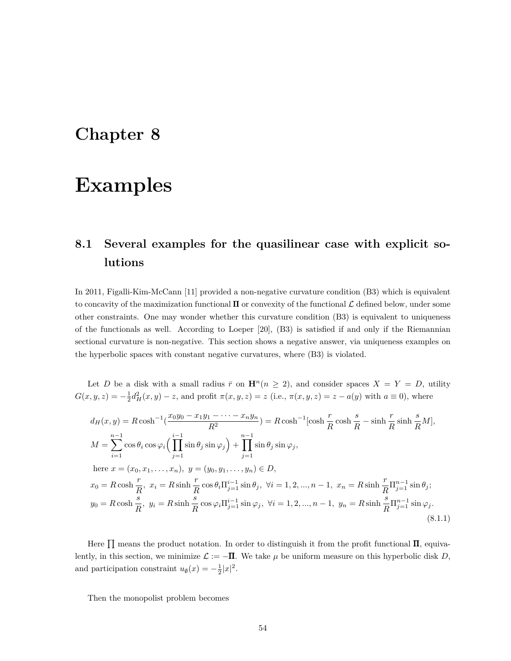## **Chapter 8**

## **Examples**

### **8.1 Several examples for the quasilinear case with explicit solutions**

In 2011, Figalli-Kim-McCann [11] provided a non-negative curvature condition (B3) which is equivalent to concavity of the maximization functional  $\Pi$  or convexity of the functional  $\mathcal L$  defined below, under some other constraints. One may wonder whether this curvature condition (B3) is equivalent to uniqueness of the functionals as well. According to Loeper [20], (B3) is satisfied if and only if the Riemannian sectional curvature is non-negative. This section shows a negative answer, via uniqueness examples on the hyperbolic spaces with constant negative curvatures, where (B3) is violated.

Let *D* be a disk with a small radius  $\bar{r}$  on  $\mathbf{H}^n(n \geq 2)$ , and consider spaces  $X = Y = D$ , utility  $G(x, y, z) = -\frac{1}{2}d_H^2(x, y) - z$ , and profit  $\pi(x, y, z) = z$  (i.e.,  $\pi(x, y, z) = z - a(y)$  with  $a \equiv 0$ ), where

$$
d_H(x, y) = R \cosh^{-1}(\frac{x_0 y_0 - x_1 y_1 - \cdots - x_n y_n}{R^2}) = R \cosh^{-1}[\cosh \frac{r}{R} \cosh \frac{s}{R} - \sinh \frac{r}{R} \sinh \frac{s}{R} M],
$$
  
\n
$$
M = \sum_{i=1}^{n-1} \cos \theta_i \cos \varphi_i \left(\prod_{j=1}^{i-1} \sin \theta_j \sin \varphi_j\right) + \prod_{j=1}^{n-1} \sin \theta_j \sin \varphi_j,
$$
  
\nhere  $x = (x_0, x_1, ..., x_n), y = (y_0, y_1, ..., y_n) \in D,$   
\n
$$
x_0 = R \cosh \frac{r}{R}, x_i = R \sinh \frac{r}{R} \cos \theta_i \Pi_{j=1}^{i-1} \sin \theta_j, \forall i = 1, 2, ..., n-1, x_n = R \sinh \frac{r}{R} \Pi_{j=1}^{n-1} \sin \theta_j;
$$
  
\n
$$
y_0 = R \cosh \frac{s}{R}, y_i = R \sinh \frac{s}{R} \cos \varphi_i \Pi_{j=1}^{i-1} \sin \varphi_j, \forall i = 1, 2, ..., n-1, y_n = R \sinh \frac{s}{R} \Pi_{j=1}^{n-1} \sin \varphi_j.
$$
  
\n(8.1.1)

Here  $\prod$  means the product notation. In order to distinguish it from the profit functional  $\Pi$ , equivalently, in this section, we minimize  $\mathcal{L} := -\Pi$ . We take  $\mu$  be uniform measure on this hyperbolic disk *D*, and participation constraint  $u_{\emptyset}(x) = -\frac{1}{2}|x|^2$ .

Then the monopolist problem becomes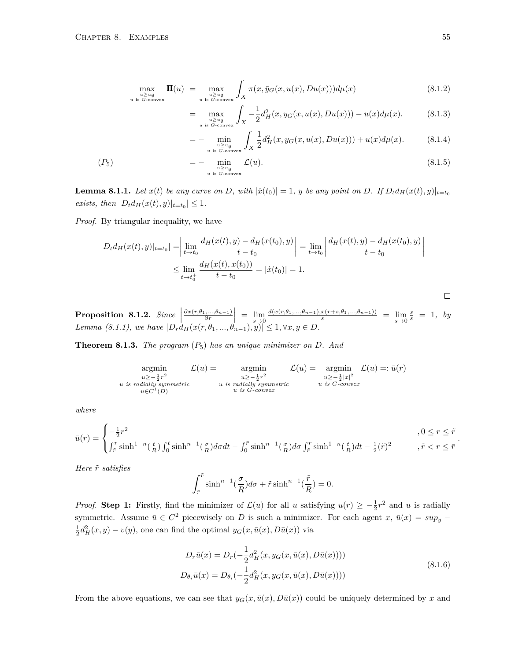$$
\max_{\substack{u \ge u_0 \\ u \text{ is } G\text{-convex}}} \Pi(u) = \max_{\substack{u \ge u_0 \\ u \text{ is } G\text{-convex}}} \int_X \pi(x, \bar{y}_G(x, u(x), Du(x))) d\mu(x) \tag{8.1.2}
$$

$$
= \max_{\substack{u \ge u_0 \\ u \text{ is } G\text{-convex}}} \int_X -\frac{1}{2} d_H^2(x, y_G(x, u(x), Du(x))) - u(x) d\mu(x). \tag{8.1.3}
$$

$$
= - \min_{u \ge u_{\emptyset} \atop u \text{ is } G\text{-convex}} \int_X \frac{1}{2} d_H^2(x, y_G(x, u(x), Du(x))) + u(x) d\mu(x). \tag{8.1.4}
$$

$$
(P_5) \qquad \qquad = - \min_{\substack{u \geq u_{\emptyset} \\ u \text{ is } G\text{-convex}}} \mathcal{L}(u). \tag{8.1.5}
$$

**Lemma 8.1.1.** Let  $x(t)$  be any curve on D, with  $|\dot{x}(t_0)| = 1$ , y be any point on D. If  $D_t d_H(x(t), y)|_{t=t_0}$ *exists, then*  $|D_t d_H(x(t), y)|_{t=t_0}| \leq 1$ .

*Proof.* By triangular inequality, we have

$$
|D_t d_H(x(t), y)|_{t=t_0}| = \left| \lim_{t \to t_0} \frac{d_H(x(t), y) - d_H(x(t_0), y)}{t - t_0} \right| = \lim_{t \to t_0} \left| \frac{d_H(x(t), y) - d_H(x(t_0), y)}{t - t_0} \right|
$$
  

$$
\leq \lim_{t \to t_0^+} \frac{d_H(x(t), x(t_0))}{t - t_0} = |\dot{x}(t_0)| = 1.
$$

**Proposition 8.1.2.** *Since*  $\frac{\partial x(r,\theta_1,...,\theta_{n-1})}{\partial r}$  =  $\lim_{s\to 0} \frac{d(x(r,\theta_1,...,\theta_{n-1}),x(r+s,\theta_1,...,\theta_{n-1}))}{s}$  =  $\lim_{s\to 0} \frac{s}{s}$  = 1, by *Lemma (8.1.1), we have*  $|D_r d_H(x(r, \theta_1, ..., \theta_{n-1}), y)| \leq 1, \forall x, y \in D$ .

**Theorem 8.1.3.** *The program* (*P*5) *has an unique minimizer on D. And*

$$
\operatornamewithlimits{argmin}_{\begin{array}{c}\begin{array}{c}\begin{array}{c}\begin{array}{c}\begin{array}{c}\text{argmin}\end{array}\\\begin{array}{c}\begin{array}{c}\begin{array}{c}\text{argmin}\end{array}\\\begin{array}{c}\begin{array}{c}\text{argmin}\end{array}\\\begin{array}{c}\begin{array}{c}\text{argmin}\end{array}\\\begin{array}{c}\begin{array}{c}\text{argmin}\end{array}\\\begin{array}{c}\begin{array}{c}\text{argmin}\end{array}\\\begin{array}{c}\begin{array}{c}\text{argmin}\end{array}\\\begin{array}{c}\begin{array}{c}\text{argmin}\end{array}\\\begin{array}{c}\begin{array}{c}\text{argmin}\end{array}\\\begin{array}{c}\begin{array}{c}\text{argmax}\end{array}\\\begin{array}{c}\text{argmax}\end{array}\\\begin{array}{c}\begin{array}{c}\text{argmax}\end{array}\\\begin{array}{c}\text{argmax}\end{array}\\\begin{array}{c}\begin{array}{c}\text{argmax}\end{array}\\\begin{array}{c}\text{argmax}\end{array}\end{array}\end{array}\end{array}\end{array}\end{array}
$$

*where*

$$
\bar{u}(r) = \begin{cases}\n-\frac{1}{2}r^2 & , 0 \le r \le \tilde{r} \\
\int_{\tilde{r}}^r \sinh^{1-n}(\frac{t}{R}) \int_0^t \sinh^{n-1}(\frac{\sigma}{R}) d\sigma dt - \int_0^{\bar{r}} \sinh^{n-1}(\frac{\sigma}{R}) d\sigma \int_{\tilde{r}}^r \sinh^{1-n}(\frac{t}{R}) dt - \frac{1}{2}(\tilde{r})^2 & , \tilde{r} & < r \le \bar{r}\n\end{cases}
$$

*Here r*˜ *satisfies*

$$
\int_{\tilde{r}}^{\tilde{r}} \sinh^{n-1}(\frac{\sigma}{R}) d\sigma + \tilde{r} \sinh^{n-1}(\frac{\tilde{r}}{R}) = 0.
$$

*Proof.* **Step 1:** Firstly, find the minimizer of  $\mathcal{L}(u)$  for all *u* satisfying  $u(r) \geq -\frac{1}{2}r^2$  and *u* is radially symmetric. Assume  $\bar{u} \in C^2$  piecewisely on *D* is such a minimizer. For each agent *x*,  $\bar{u}(x) = \sup_y \frac{1}{2}d_H^2(x,y) - v(y)$ , one can find the optimal  $y_G(x, \bar{u}(x), D\bar{u}(x))$  via

$$
D_r \bar{u}(x) = D_r(-\frac{1}{2}d_H^2(x, y_G(x, \bar{u}(x), D\bar{u}(x))))
$$
  
\n
$$
D_{\theta_i} \bar{u}(x) = D_{\theta_i}(-\frac{1}{2}d_H^2(x, y_G(x, \bar{u}(x), D\bar{u}(x))))
$$
\n(8.1.6)

From the above equations, we can see that  $y_G(x, \bar{u}(x), D\bar{u}(x))$  could be uniquely determined by x and

*.*

 $\Box$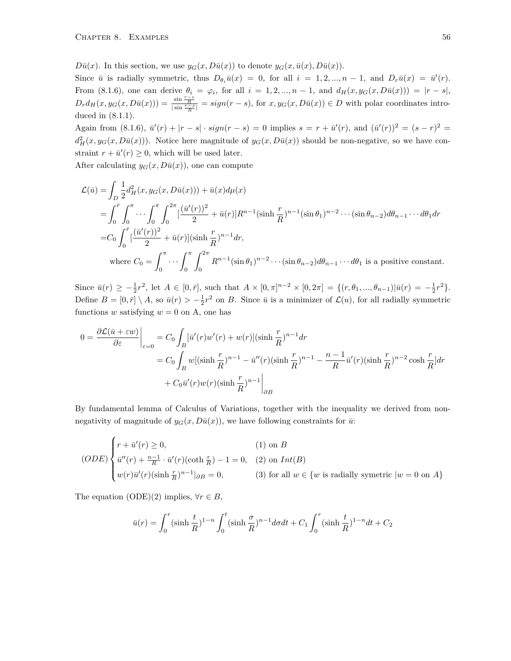$D\bar{u}(x)$ . In this section, we use  $y_G(x, D\bar{u}(x))$  to denote  $y_G(x, \bar{u}(x), D\bar{u}(x))$ .

Since  $\bar{u}$  is radially symmetric, thus  $D_{\theta_i}\bar{u}(x) = 0$ , for all  $i = 1, 2, ..., n - 1$ , and  $D_r\bar{u}(x) = \bar{u}'(r)$ . From (8.1.6), one can derive  $\theta_i = \varphi_i$ , for all  $i = 1, 2, ..., n-1$ , and  $d_H(x, y_G(x, D\bar{u}(x))) = |r - s|$ ,  $D_r d_H(x, y_G(x, D\bar{u}(x))) = \frac{\sin \frac{r-s}{R}}{|\sin \frac{r-s}{R}|} = sign(r-s)$ , for  $x, y_G(x, D\bar{u}(x)) \in D$  with polar coordinates introduced in (8.1.1).

Again from (8.1.6),  $\bar{u}'(r) + |r - s| \cdot sign(r - s) = 0$  implies  $s = r + \bar{u}'(r)$ , and  $(\bar{u}'(r))^2 = (s - r)^2 =$  $d_H^2(x, y_G(x, D\bar{u}(x)))$ . Notice here magnitude of  $y_G(x, D\bar{u}(x))$  should be non-negative, so we have constraint  $r + \bar{u}'(r) \geq 0$ , which will be used later.

After calculating  $y_G(x, D\bar{u}(x))$ , one can compute

$$
\mathcal{L}(\bar{u}) = \int_{D} \frac{1}{2} d_{H}^{2}(x, y_{G}(x, D\bar{u}(x))) + \bar{u}(x) d\mu(x)
$$
  
\n
$$
= \int_{0}^{\bar{r}} \int_{0}^{\pi} \cdots \int_{0}^{\pi} \int_{0}^{2\pi} \left[ \frac{(\bar{u}'(r))^{2}}{2} + \bar{u}(r) \right] R^{n-1} (\sinh \frac{r}{R})^{n-1} (\sin \theta_{1})^{n-2} \cdots (\sin \theta_{n-2}) d\theta_{n-1} \cdots d\theta_{1} dr
$$
  
\n
$$
= C_{0} \int_{0}^{\bar{r}} \left[ \frac{(\bar{u}'(r))^{2}}{2} + \bar{u}(r) \right] (\sinh \frac{r}{R})^{n-1} dr,
$$
  
\nwhere  $C_{0} = \int_{0}^{\pi} \cdots \int_{0}^{\pi} \int_{0}^{2\pi} R^{n-1} (\sin \theta_{1})^{n-2} \cdots (\sin \theta_{n-2}) d\theta_{n-1} \cdots d\theta_{1}$  is a positive constant.

Since  $\bar{u}(r) \geq -\frac{1}{2}r^2$ , let  $A \in [0, \bar{r}]$ , such that  $A \times [0, \pi]^{n-2} \times [0, 2\pi] = \{(r, \theta_1, ..., \theta_{n-1}) | \bar{u}(r) = -\frac{1}{2}r^2\}.$ Define  $B = [0, \bar{r}] \setminus A$ , so  $\bar{u}(r) > -\frac{1}{2}r^2$  on *B*. Since  $\bar{u}$  is a minimizer of  $\mathcal{L}(u)$ , for all radially symmetric functions *w* satisfying  $w = 0$  on A, one has

$$
0 = \frac{\partial \mathcal{L}(\bar{u} + \varepsilon w)}{\partial \varepsilon}\Big|_{\varepsilon=0} = C_0 \int_B [\bar{u}'(r)w'(r) + w(r)] (\sinh \frac{r}{R})^{n-1} dr
$$
  

$$
= C_0 \int_B w[(\sinh \frac{r}{R})^{n-1} - \bar{u}''(r)(\sinh \frac{r}{R})^{n-1} - \frac{n-1}{R} \bar{u}'(r)(\sinh \frac{r}{R})^{n-2} \cosh \frac{r}{R}] dr
$$
  

$$
+ C_0 \bar{u}'(r)w(r)(\sinh \frac{r}{R})^{n-1}\Big|_{\partial B}
$$

By fundamental lemma of Calculus of Variations, together with the inequality we derived from nonnegativity of magnitude of  $y_G(x, D\bar{u}(x))$ , we have following constraints for  $\bar{u}$ .

$$
(ODE) \begin{cases} r + \bar{u}'(r) \ge 0, & (1) \text{ on } B \\ \bar{u}''(r) + \frac{n-1}{R} \cdot \bar{u}'(r)(\coth \frac{r}{R}) - 1 = 0, & (2) \text{ on } Int(B) \\ w(r)\bar{u}'(r)(\sinh \frac{r}{R})^{n-1} |_{\partial B} = 0, & (3) \text{ for all } w \in \{w \text{ is radially symmetric } |w = 0 \text{ on } A\} \end{cases}
$$

The equation  $(ODE)(2)$  implies,  $\forall r \in B$ ,

$$
\bar{u}(r) = \int_0^r (\sinh\frac{t}{R})^{1-n} \int_0^t (\sinh\frac{\sigma}{R})^{n-1} d\sigma dt + C_1 \int_0^r (\sinh\frac{t}{R})^{1-n} dt + C_2
$$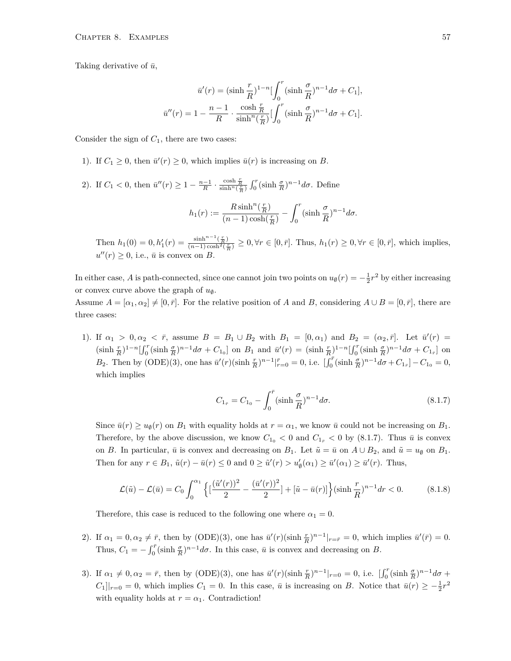Taking derivative of  $\bar{u}$ ,

$$
\bar{u}'(r) = (\sinh\frac{r}{R})^{1-n} \left[\int_0^r (\sinh\frac{\sigma}{R})^{n-1} d\sigma + C_1\right],
$$
  

$$
\bar{u}''(r) = 1 - \frac{n-1}{R} \cdot \frac{\cosh\frac{r}{R}}{\sinh\frac{r}{R}\left[\int_0^r (\sinh\frac{\sigma}{R})^{n-1} d\sigma + C_1\right]}.
$$

Consider the sign of  $C_1$ , there are two cases:

- 1). If  $C_1 \geq 0$ , then  $\bar{u}'(r) \geq 0$ , which implies  $\bar{u}(r)$  is increasing on *B*.
- 2). If  $C_1 < 0$ , then  $\bar{u}''(r) \geq 1 \frac{n-1}{R} \cdot \frac{\cosh \frac{r}{R}}{\sinh^n(\frac{r}{R})} \int_0^r (\sinh \frac{\sigma}{R})^{n-1} d\sigma$ . Define

$$
h_1(r) := \frac{R \sinh^n(\frac{r}{R})}{(n-1)\cosh(\frac{r}{R})} - \int_0^r (\sinh\frac{\sigma}{R})^{n-1} d\sigma.
$$

Then  $h_1(0) = 0, h'_1(r) = \frac{\sinh^{n-1}(\frac{r}{R})}{(n-1)\cosh^2(\frac{r}{R})} \ge 0, \forall r \in [0, \bar{r}].$  Thus,  $h_1(r) \ge 0, \forall r \in [0, \bar{r}],$  which implies,  $u''(r) \geq 0$ , i.e.,  $\bar{u}$  is convex on *B*.

In either case, *A* is path-connected, since one cannot join two points on  $u_{\emptyset}(r) = -\frac{1}{2}r^2$  by either increasing or convex curve above the graph of  $u_{\emptyset}$ .

Assume  $A = [\alpha_1, \alpha_2] \neq [0, \bar{r}]$ . For the relative position of *A* and *B*, considering  $A \cup B = [0, \bar{r}]$ , there are three cases:

1). If  $\alpha_1 > 0, \alpha_2 < \bar{r}$ , assume  $B = B_1 \cup B_2$  with  $B_1 = [0, \alpha_1)$  and  $B_2 = (\alpha_2, \bar{r}]$ . Let  $\bar{u}'(r) =$  $(\sinh \frac{r}{R})^{1-n} \left[\int_0^r (\sinh \frac{\sigma}{R})^{n-1} d\sigma + C_{1_0} \right]$  on  $B_1$  and  $\bar{u}'(r) = (\sinh \frac{r}{R})^{1-n} \left[\int_0^r (\sinh \frac{\sigma}{R})^{n-1} d\sigma + C_{1_r} \right]$  on  $B_2$ . Then by (ODE)(3), one has  $\bar{u}'(r)(\sinh \frac{r}{R})^{n-1} \vert_{r=0}^{\bar{r}} = 0$ , i.e.  $\left[\int_0^{\bar{r}} (\sinh \frac{\sigma}{R})^{n-1} d\sigma + C_{1_{\bar{r}}}\right] - C_{1_0} = 0$ , which implies

$$
C_{1_{\bar{r}}} = C_{1_0} - \int_0^{\bar{r}} (\sinh \frac{\sigma}{R})^{n-1} d\sigma.
$$
 (8.1.7)

Since  $\bar{u}(r) \geq u_{\emptyset}(r)$  on  $B_1$  with equality holds at  $r = \alpha_1$ , we know  $\bar{u}$  could not be increasing on  $B_1$ . Therefore, by the above discussion, we know  $C_{10} < 0$  and  $C_{1<sub>\bar{r}} < 0</sub>$  by (8.1.7). Thus  $\bar{u}$  is convex on *B*. In particular,  $\bar{u}$  is convex and decreasing on  $B_1$ . Let  $\tilde{u} = \bar{u}$  on  $A \cup B_2$ , and  $\tilde{u} = u_{\emptyset}$  on  $B_1$ . Then for any  $r \in B_1$ ,  $\tilde{u}(r) - \bar{u}(r) \le 0$  and  $0 \ge \tilde{u}'(r) > u'_{\emptyset}(\alpha_1) \ge \bar{u}'(\alpha_1) \ge \bar{u}'(r)$ . Thus,

$$
\mathcal{L}(\tilde{u}) - \mathcal{L}(\bar{u}) = C_0 \int_0^{\alpha_1} \left\{ \left[ \frac{(\tilde{u}'(r))^2}{2} - \frac{(\bar{u}'(r))^2}{2} \right] + [\tilde{u} - \bar{u}(r)] \right\} (\sinh \frac{r}{R})^{n-1} dr < 0.
$$
 (8.1.8)

Therefore, this case is reduced to the following one where  $\alpha_1 = 0$ .

- 2). If  $\alpha_1 = 0, \alpha_2 \neq \overline{r}$ , then by (ODE)(3), one has  $\overline{u}'(r)(\sinh \frac{r}{R})^{n-1}|_{r=\overline{r}} = 0$ , which implies  $\overline{u}'(\overline{r}) = 0$ . Thus,  $C_1 = -\int_0^{\bar{r}} (\sinh \frac{\sigma}{R})^{n-1} d\sigma$ . In this case,  $\bar{u}$  is convex and decreasing on *B*.
- 3). If  $\alpha_1 \neq 0, \alpha_2 = \overline{r}$ , then by (ODE)(3), one has  $\overline{u}'(r)(\sinh \frac{r}{R})^{n-1}|_{r=0} = 0$ , i.e.  $\int_0^r (\sinh \frac{\sigma}{R})^{n-1} d\sigma +$  $C_1$ <sup>*|*</sup> $r=0$  = 0, which implies  $C_1 = 0$ . In this case,  $\bar{u}$  is increasing on *B*. Notice that  $\bar{u}(r) \geq -\frac{1}{2}r^2$ with equality holds at  $r = \alpha_1$ . Contradiction!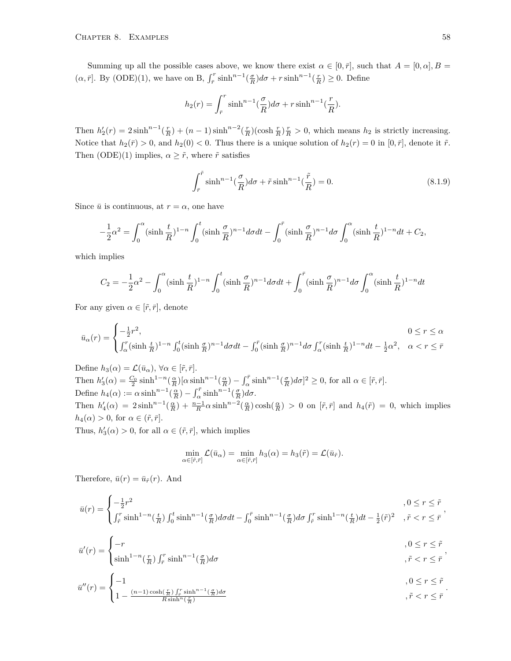Summing up all the possible cases above, we know there exist  $\alpha \in [0, \bar{r}]$ , such that  $A = [0, \alpha]$ ,  $B =$  $(\alpha, \bar{r}]$ . By  $(ODE)(1)$ , we have on B,  $\int_{\bar{r}}^{r} \sinh^{n-1}(\frac{\sigma}{R}) d\sigma + r \sinh^{n-1}(\frac{r}{R}) \ge 0$ . Define

$$
h_2(r) = \int_{\bar{r}}^r \sinh^{n-1}(\frac{\sigma}{R})d\sigma + r \sinh^{n-1}(\frac{r}{R}).
$$

Then  $h'_2(r) = 2\sinh^{n-1}(\frac{r}{R}) + (n-1)\sinh^{n-2}(\frac{r}{R})(\cosh \frac{r}{R})\frac{r}{R} > 0$ , which means  $h_2$  is strictly increasing. Notice that  $h_2(\bar{r}) > 0$ , and  $h_2(0) < 0$ . Thus there is a unique solution of  $h_2(r) = 0$  in  $[0, \bar{r}]$ , denote it  $\tilde{r}$ . Then  $(ODE)(1)$  implies,  $\alpha \geq \tilde{r}$ , where  $\tilde{r}$  satisfies

$$
\int_{\tilde{r}}^{\tilde{r}} \sinh^{n-1}\left(\frac{\sigma}{R}\right) d\sigma + \tilde{r} \sinh^{n-1}\left(\frac{\tilde{r}}{R}\right) = 0.
$$
\n(8.1.9)

Since  $\bar{u}$  is continuous, at  $r = \alpha$ , one have

$$
-\frac{1}{2}\alpha^2 = \int_0^{\alpha} (\sinh\frac{t}{R})^{1-n} \int_0^t (\sinh\frac{\sigma}{R})^{n-1} d\sigma dt - \int_0^{\bar{r}} (\sinh\frac{\sigma}{R})^{n-1} d\sigma \int_0^{\alpha} (\sinh\frac{t}{R})^{1-n} dt + C_2,
$$

which implies

$$
C_2 = -\frac{1}{2}\alpha^2 - \int_0^{\alpha} (\sinh\frac{t}{R})^{1-n} \int_0^t (\sinh\frac{\sigma}{R})^{n-1} d\sigma dt + \int_0^{\bar{\tau}} (\sinh\frac{\sigma}{R})^{n-1} d\sigma \int_0^{\alpha} (\sinh\frac{t}{R})^{1-n} dt
$$

For any given  $\alpha \in [\tilde{r}, \bar{r}]$ , denote

$$
\bar{u}_{\alpha}(r) = \begin{cases}\n-\frac{1}{2}r^2, & 0 \le r \le \alpha \\
\int_{\alpha}^r (\sinh\frac{t}{R})^{1-n} \int_0^t (\sinh\frac{\sigma}{R})^{n-1} d\sigma dt - \int_0^{\bar{r}} (\sinh\frac{\sigma}{R})^{n-1} d\sigma \int_{\alpha}^r (\sinh\frac{t}{R})^{1-n} dt - \frac{1}{2}\alpha^2, & \alpha < r \le \bar{r}\n\end{cases}
$$

Define  $h_3(\alpha) = \mathcal{L}(\bar{u}_\alpha), \forall \alpha \in [\tilde{r}, \bar{r}].$ Then  $h'_3(\alpha) = \frac{C_0}{2} \sinh^{1-n}(\frac{\alpha}{R})[\alpha \sinh^{n-1}(\frac{\alpha}{R}) - \int_{\alpha}^{\overline{r}} \sinh^{n-1}(\frac{\sigma}{R}) d\sigma]^2 \ge 0$ , for all  $\alpha \in [\tilde{r}, \bar{r}]$ . Define  $h_4(\alpha) := \alpha \sinh^{n-1}(\frac{\alpha}{R}) - \int_{\alpha}^{\bar{r}} \sinh^{n-1}(\frac{\sigma}{R}) d\sigma.$ Then  $h'_4(\alpha) = 2\sinh^{n-1}(\frac{\alpha}{R}) + \frac{n-1}{R}\alpha\sinh^{n-2}(\frac{\alpha}{R})\cosh(\frac{\alpha}{R}) > 0$  on  $[\tilde{r}, \bar{r}]$  and  $h_4(\tilde{r}) = 0$ , which implies  $h_4(\alpha) > 0$ , for  $\alpha \in (\tilde{r}, \bar{r}]$ .

Thus,  $h'_3(\alpha) > 0$ , for all  $\alpha \in (\tilde{r}, \bar{r}]$ , which implies

$$
\min_{\alpha \in [\tilde{r}, \bar{r}]} \mathcal{L}(\bar{u}_{\alpha}) = \min_{\alpha \in [\tilde{r}, \bar{r}]} h_3(\alpha) = h_3(\tilde{r}) = \mathcal{L}(\bar{u}_{\tilde{r}}).
$$

Therefore,  $\bar{u}(r) = \bar{u}_{\tilde{r}}(r)$ . And

$$
\bar{u}(r) = \begin{cases}\n-\frac{1}{2}r^2 & , 0 \le r \le \tilde{r} \\
\int_{\tilde{r}}^r \sinh^{1-n}(\frac{t}{R}) \int_0^t \sinh^{n-1}(\frac{\sigma}{R}) d\sigma dt - \int_0^{\bar{r}} \sinh^{n-1}(\frac{\sigma}{R}) d\sigma \int_{\tilde{r}}^r \sinh^{1-n}(\frac{t}{R}) dt - \frac{1}{2}(\tilde{r})^2 & , \tilde{r} < r \le \bar{r}\n\end{cases}
$$

$$
\bar{u}'(r) = \begin{cases}\n-r & , 0 \le r \le \tilde{r} \\
\sinh^{1-n}(\tau) & f' \sinh^{n-1}(\tau) \, d\tau\n\end{cases}
$$

$$
\int \sinh^{1-n}(\frac{r}{R}) \int_{\bar{r}}^{r} \sinh^{n-1}(\frac{\sigma}{R}) d\sigma , \qquad , \tilde{r} < r \leq \bar{r}
$$

$$
\bar{u}''(r) = \begin{cases}\n-1 & , 0 \le r \le \tilde{r} \\
1 - \frac{(n-1)\cosh(\frac{r}{R})\int_{\tilde{r}}^r \sinh^{n-1}(\frac{\sigma}{R})d\sigma}{R\sinh^n(\frac{r}{R})} & , \tilde{r} & < r \le \bar{r}\n\end{cases}
$$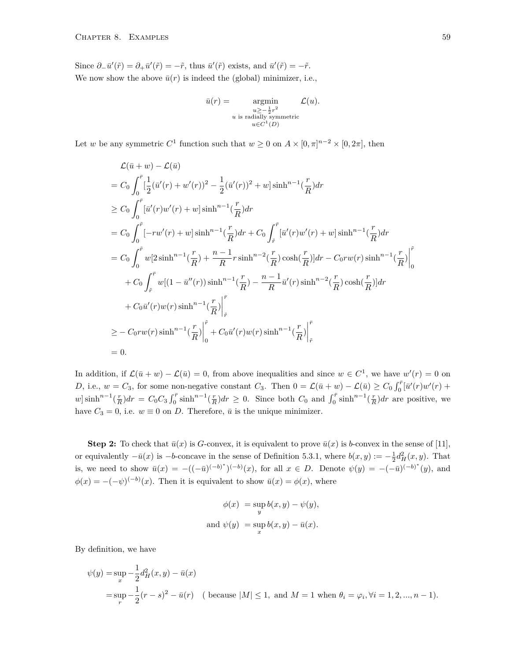Since  $\partial_{-} \bar{u}'(\tilde{r}) = \partial_{+} \bar{u}'(\tilde{r}) = -\tilde{r}$ , thus  $\bar{u}'(\tilde{r})$  exists, and  $\bar{u}'(\tilde{r}) = -\tilde{r}$ . We now show the above  $\bar{u}(r)$  is indeed the (global) minimizer, i.e.,

$$
\bar{u}(r) = \operatorname*{argmin}_{\substack{u \ge -\frac{1}{2}r^2 \\ u \text{ is radially symmetric} \\ u \in C^1(D)}} \mathcal{L}(u).
$$

Let *w* be any symmetric  $C^1$  function such that  $w \geq 0$  on  $A \times [0, \pi]^{n-2} \times [0, 2\pi]$ , then

$$
\mathcal{L}(\bar{u} + w) - \mathcal{L}(\bar{u})
$$
\n
$$
= C_0 \int_0^{\bar{r}} \left[ \frac{1}{2} (\bar{u}'(r) + w'(r))^2 - \frac{1}{2} (\bar{u}'(r))^2 + w \right] \sinh^{n-1}(\frac{r}{R}) dr
$$
\n
$$
\geq C_0 \int_0^{\bar{r}} [\bar{u}'(r)w'(r) + w] \sinh^{n-1}(\frac{r}{R}) dr
$$
\n
$$
= C_0 \int_0^{\bar{r}} [-rw'(r) + w] \sinh^{n-1}(\frac{r}{R}) dr + C_0 \int_{\bar{r}}^{\bar{r}} [\bar{u}'(r)w'(r) + w] \sinh^{n-1}(\frac{r}{R}) dr
$$
\n
$$
= C_0 \int_0^{\bar{r}} w[2 \sinh^{n-1}(\frac{r}{R}) + \frac{n-1}{R} r \sinh^{n-2}(\frac{r}{R}) \cosh(\frac{r}{R})] dr - C_0 r w(r) \sinh^{n-1}(\frac{r}{R}) \Big|_0^{\bar{r}}
$$
\n
$$
+ C_0 \int_{\bar{r}}^{\bar{r}} w[(1 - \bar{u}''(r)) \sinh^{n-1}(\frac{r}{R}) - \frac{n-1}{R} \bar{u}'(r) \sinh^{n-2}(\frac{r}{R}) \cosh(\frac{r}{R})] dr
$$
\n
$$
+ C_0 \bar{u}'(r) w(r) \sinh^{n-1}(\frac{r}{R}) \Big|_{\bar{r}}^{\bar{r}}
$$
\n
$$
\geq - C_0 r w(r) \sinh^{n-1}(\frac{r}{R}) \Big|_{0}^{\bar{r}} + C_0 \bar{u}'(r) w(r) \sinh^{n-1}(\frac{r}{R}) \Big|_{\bar{r}}^{\bar{r}}
$$
\n
$$
= 0.
$$

In addition, if  $\mathcal{L}(\bar{u} + w) - \mathcal{L}(\bar{u}) = 0$ , from above inequalities and since  $w \in C^1$ , we have  $w'(r) = 0$  on D, i.e.,  $w = C_3$ , for some non-negative constant  $C_3$ . Then  $0 = \mathcal{L}(\bar{u} + w) - \mathcal{L}(\bar{u}) \ge C_0 \int_0^{\bar{r}} [\bar{u}'(r)w'(r) +$ w] $\sinh^{n-1}(\frac{r}{R})dr = C_0C_3\int_0^{\bar{r}} \sinh^{n-1}(\frac{r}{R})dr \ge 0$ . Since both  $C_0$  and  $\int_0^{\bar{r}} \sinh^{n-1}(\frac{r}{R})dr$  are positive, we have  $C_3 = 0$ , i.e.  $w \equiv 0$  on *D*. Therefore,  $\bar{u}$  is the unique minimizer.

**Step 2:** To check that  $\bar{u}(x)$  is *G*-convex, it is equivalent to prove  $\bar{u}(x)$  is *b*-convex in the sense of [11], or equivalently  $-\bar{u}(x)$  is  $-b$ -concave in the sense of Definition 5.3.1, where  $b(x, y) := -\frac{1}{2}d_H^2(x, y)$ . That is, we need to show  $\bar{u}(x) = -((-\bar{u})^{(-b)^*})^{(-b)}(x)$ , for all  $x \in D$ . Denote  $\psi(y) = -(-\bar{u})^{(-b)^*}(y)$ , and  $\phi(x) = -(-\psi)^{(-b)}(x)$ . Then it is equivalent to show  $\bar{u}(x) = \phi(x)$ , where

$$
\phi(x) = \sup_{y} b(x, y) - \psi(y),
$$
  
and 
$$
\psi(y) = \sup_{x} b(x, y) - \bar{u}(x).
$$

By definition, we have

$$
\psi(y) = \sup_{x} -\frac{1}{2}d_{H}^{2}(x, y) - \bar{u}(x)
$$
  
= 
$$
\sup_{r} -\frac{1}{2}(r - s)^{2} - \bar{u}(r)
$$
 (because  $|M| \le 1$ , and  $M = 1$  when  $\theta_{i} = \varphi_{i}, \forall i = 1, 2, ..., n - 1$ ).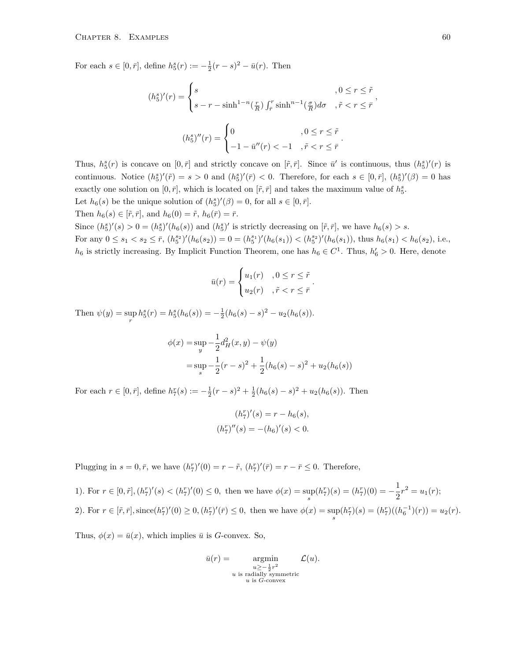For each  $s \in [0, \bar{r}]$ , define  $h_5^s(r) := -\frac{1}{2}(r - s)^2 - \bar{u}(r)$ . Then

$$
(h_5^s)'(r) = \begin{cases} s & , 0 \le r \le \tilde{r} \\ s - r - \sinh^{1-n}(\frac{r}{R}) \int_{\tilde{r}}^r \sinh^{n-1}(\frac{\sigma}{R}) d\sigma & , \tilde{r} < r \le \bar{r} \end{cases},
$$

$$
(h_5^s)''(r) = \begin{cases} 0 & , 0 \le r \le \tilde{r} \\ -1 - \bar{u}''(r) < -1 & , \tilde{r} < r \le \bar{r} \end{cases}.
$$

Thus,  $h_5^s(r)$  is concave on  $[0, \bar{r}]$  and strictly concave on  $[\tilde{r}, \bar{r}]$ . Since  $\bar{u}'$  is continuous, thus  $(h_5^s)'(r)$  is continuous. Notice  $(h_5^s)'(\tilde{r}) = s > 0$  and  $(h_5^s)'(\tilde{r}) < 0$ . Therefore, for each  $s \in [0, \tilde{r}]$ ,  $(h_5^s)'(\beta) = 0$  has exactly one solution on  $[0, \bar{r}],$  which is located on  $[\tilde{r}, \bar{r}]$  and takes the maximum value of  $h_5^s$ . Let  $h_6(s)$  be the unique solution of  $(h_5^s)'(\beta) = 0$ , for all  $s \in [0, \bar{r}]$ .

Then  $h_6(s) \in [\tilde{r}, \bar{r}],$  and  $h_6(0) = \tilde{r}, h_6(\bar{r}) = \bar{r}.$ 

Since  $(h_5^{s})'(s) > 0 = (h_5^{s})'(h_6(s))$  and  $(h_5^{s})'$  is strictly decreasing on  $[\tilde{r}, \bar{r}]$ , we have  $h_6(s) > s$ . For any  $0 \le s_1 < s_2 \le \bar{r}$ ,  $(h_5^{s_2})'(h_6(s_2)) = 0 = (h_5^{s_1})'(h_6(s_1)) < (h_5^{s_2})'(h_6(s_1))$ , thus  $h_6(s_1) < h_6(s_2)$ , i.e.,  $h_6$  is strictly increasing. By Implicit Function Theorem, one has  $h_6 \in C^1$ . Thus,  $h'_6 > 0$ . Here, denote

$$
\bar{u}(r) = \begin{cases} u_1(r) & , 0 \le r \le \tilde{r} \\ u_2(r) & , \tilde{r} < r \le \bar{r} \end{cases}.
$$

Then  $\psi(y) = \sup_r h_5^s(r) = h_5^s(h_6(s)) = -\frac{1}{2}(h_6(s) - s)^2 - u_2(h_6(s)).$ 

$$
\phi(x) = \sup_{y} -\frac{1}{2}d_H^2(x, y) - \psi(y)
$$

$$
= \sup_{s} -\frac{1}{2}(r - s)^2 + \frac{1}{2}(h_6(s) - s)^2 + u_2(h_6(s))
$$

For each  $r \in [0, \bar{r}]$ , define  $h_7^r(s) := -\frac{1}{2}(r-s)^2 + \frac{1}{2}(h_6(s) - s)^2 + u_2(h_6(s))$ . Then

$$
(h_7^r)'(s) = r - h_6(s),
$$
  

$$
(h_7^r)''(s) = -(h_6)'(s) < 0.
$$

Plugging in *s* = 0,  $\bar{r}$ , we have  $(h_7^r)'(0) = r - \tilde{r}$ ,  $(h_7^r)'(\bar{r}) = r - \bar{r} \le 0$ . Therefore,

1). For  $r \in [0, \tilde{r}], (h_7^r)'(s) < (h_7^r)'(0) \le 0$ , then we have  $\phi(x) = \sup_s(h_7^r)(s) = (h_7^r)(0) = -\frac{1}{2}$  $\frac{1}{2}r^2 = u_1(r);$ 2). For  $r \in [\tilde{r}, \bar{r}],$  since  $(h_7^r)'(0) \ge 0$ ,  $(h_7^r)'(\bar{r}) \le 0$ , then we have  $\phi(x) = \sup_s(h_7^r)(s) = (h_7^r)((h_6^{-1})(r)) = u_2(r)$ .

Thus,  $\phi(x) = \bar{u}(x)$ , which implies  $\bar{u}$  is *G*-convex. So,

$$
\bar{u}(r) = \operatorname*{argmin}_{\substack{u \ge -\frac{1}{2}r^2 \\ u \text{ is radially symmetric} \\ u \text{ is } G\text{-convex}}} \mathcal{L}(u).
$$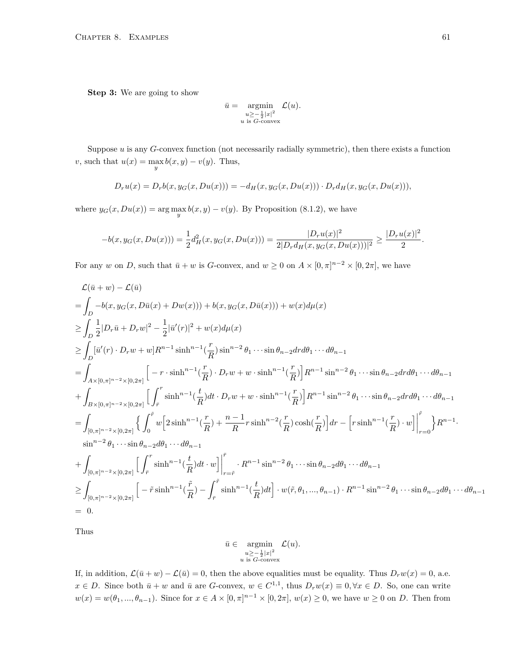**Step 3:** We are going to show

$$
\bar{u} = \operatorname*{argmin}_{\substack{u \ge -\frac{1}{2}|x|^2 \\ u \text{ is } G\text{-convex}}} \mathcal{L}(u).
$$

Suppose *u* is any *G*-convex function (not necessarily radially symmetric), then there exists a function *v*, such that  $u(x) = \max_{y} b(x, y) - v(y)$ . Thus,

$$
D_r u(x) = D_r b(x, y_G(x, Du(x))) = -d_H(x, y_G(x, Du(x))) \cdot D_r d_H(x, y_G(x, Du(x))),
$$

where  $y_G(x, Du(x)) = \arg \max_y b(x, y) - v(y)$ . By Proposition (8.1.2), we have

$$
-b(x,y_G(x,Du(x))) = \frac{1}{2}d_H^2(x,y_G(x,Du(x))) = \frac{|D_r u(x)|^2}{2|D_r d_H(x,y_G(x,Du(x)))|^2} \ge \frac{|D_r u(x)|^2}{2}.
$$

For any *w* on *D*, such that  $\bar{u} + w$  is *G*-convex, and  $w \ge 0$  on  $A \times [0, \pi]^{n-2} \times [0, 2\pi]$ , we have

$$
\mathcal{L}(\bar{u} + w) - \mathcal{L}(\bar{u})
$$
\n
$$
= \int_{D} -b(x, y_G(x, D\bar{u}(x) + Dw(x))) + b(x, y_G(x, D\bar{u}(x))) + w(x)d\mu(x)
$$
\n
$$
\geq \int_{D} \frac{1}{2} |D_r \bar{u} + D_r w|^2 - \frac{1}{2} |\bar{u}'(r)|^2 + w(x)d\mu(x)
$$
\n
$$
\geq \int_{D} [\bar{u}'(r) \cdot D_r w + w] R^{n-1} \sinh^{n-1}(\frac{r}{R}) \sin^{n-2} \theta_1 \cdots \sin \theta_{n-2} dr d\theta_1 \cdots d\theta_{n-1}
$$
\n
$$
= \int_{A \times [0, \pi]^{n-2} \times [0, 2\pi]} \left[ -r \cdot \sinh^{n-1}(\frac{r}{R}) \cdot D_r w + w \cdot \sinh^{n-1}(\frac{r}{R}) \right] R^{n-1} \sin^{n-2} \theta_1 \cdots \sin \theta_{n-2} dr d\theta_1 \cdots d\theta_{n-1}
$$
\n
$$
+ \int_{B \times [0, \pi]^{n-2} \times [0, 2\pi]} \left[ \int_r^r \sinh^{n-1}(\frac{t}{R}) dt \cdot D_r w + w \cdot \sinh^{n-1}(\frac{r}{R}) \right] R^{n-1} \sin^{n-2} \theta_1 \cdots \sin \theta_{n-2} dr d\theta_1 \cdots d\theta_{n-1}
$$
\n
$$
= \int_{[0, \pi]^{n-2} \times [0, 2\pi]} \left\{ \int_0^r w \left[ 2 \sinh^{n-1}(\frac{r}{R}) + \frac{n-1}{R} r \sinh^{n-2}(\frac{r}{R}) \cosh(\frac{r}{R}) \right] dr - \left[ r \sinh^{n-1}(\frac{r}{R}) \cdot w \right] \right|_{r=0}^r \right\} R^{n-1}.
$$
\n
$$
\sin^{n-2} \theta_1 \cdots \sin \theta_{n-2} d\theta_1 \cdots d\theta_{n-1}
$$
\n
$$
+ \int_{[0, \pi]^{n-2} \times [0, 2\pi]} \left[ \int_r^r \sinh^{n-1}(\frac{r
$$

Thus

$$
\bar{u} \in \operatorname*{argmin}_{\substack{u \ge -\frac{1}{2}|x|^2 \\ u \text{ is } G\text{-convex}}} \mathcal{L}(u).
$$

If, in addition,  $\mathcal{L}(\bar{u} + w) - \mathcal{L}(\bar{u}) = 0$ , then the above equalities must be equality. Thus  $D_r w(x) = 0$ , a.e.  $x \in D$ . Since both  $\bar{u} + w$  and  $\bar{u}$  are G-convex,  $w \in C^{1,1}$ , thus  $D_r w(x) \equiv 0, \forall x \in D$ . So, one can write  $w(x) = w(\theta_1, ..., \theta_{n-1})$ . Since for  $x \in A \times [0, \pi]^{n-1} \times [0, 2\pi]$ ,  $w(x) \ge 0$ , we have  $w \ge 0$  on D. Then from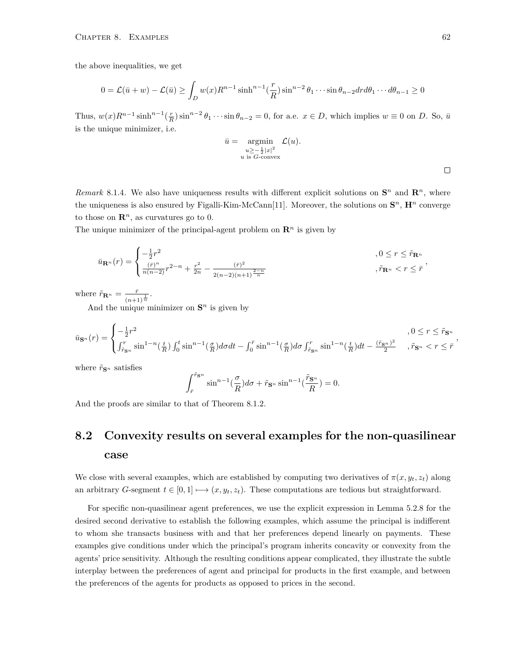the above inequalities, we get

$$
0 = \mathcal{L}(\bar{u} + w) - \mathcal{L}(\bar{u}) \ge \int_D w(x) R^{n-1} \sinh^{n-1}(\frac{r}{R}) \sin^{n-2} \theta_1 \cdots \sin \theta_{n-2} dr d\theta_1 \cdots d\theta_{n-1} \ge 0
$$

Thus,  $w(x)R^{n-1}\sinh^{n-1}(\frac{r}{R})\sin^{n-2}\theta_1\cdots\sin\theta_{n-2}=0$ , for a.e.  $x\in D$ , which implies  $w\equiv 0$  on D. So,  $\bar{u}$ is the unique minimizer, i.e.

$$
\bar{u} = \operatorname*{argmin}_{\substack{u \ge -\frac{1}{2}|x|^2 \\ u \text{ is } G\text{-convex}}} \mathcal{L}(u).
$$

 $\Box$ 

*Remark* 8.1.4. We also have uniqueness results with different explicit solutions on  $S<sup>n</sup>$  and  $\mathbb{R}<sup>n</sup>$ , where the uniqueness is also ensured by Figalli-Kim-McCann[11]. Moreover, the solutions on  $\mathbf{S}^n$ ,  $\mathbf{H}^n$  converge to those on  $\mathbb{R}^n$ , as curvatures go to 0.

The unique minimizer of the principal-agent problem on  $\mathbb{R}^n$  is given by

$$
\bar{u}_{\mathbf{R}^n}(r) = \begin{cases}\n-\frac{1}{2}r^2 & , 0 \le r \le \tilde{r}_{\mathbf{R}^n} \\
\frac{(\bar{r})^n}{n(n-2)}r^{2-n} + \frac{r^2}{2n} - \frac{(\bar{r})^2}{2(n-2)(n+1)^{\frac{2-n}{n}}} & , \tilde{r}_{\mathbf{R}^n} < r \le \bar{r}\n\end{cases}
$$

where  $\tilde{r}_{\mathbf{R}^n} = \frac{\bar{r}}{r}$  $\frac{\bar{r}}{(n+1)^{\frac{1}{n}}}.$ 

And the unique minimizer on  $S<sup>n</sup>$  is given by

$$
\bar{u}_{\mathbf{S}^n}(r) = \begin{cases}\n-\frac{1}{2}r^2 & , 0 \le r \le \tilde{r}_{\mathbf{S}^n} \\
\int_{\tilde{r}_{\mathbf{S}^n}}^r \sin^{1-n}(\frac{t}{R}) \int_0^t \sin^{n-1}(\frac{\sigma}{R}) d\sigma dt - \int_0^{\bar{r}} \sin^{n-1}(\frac{\sigma}{R}) d\sigma \int_{\tilde{r}_{\mathbf{S}^n}}^r \sin^{1-n}(\frac{t}{R}) dt - \frac{(\tilde{r}_{\mathbf{S}^n})^2}{2} & , \tilde{r}_{\mathbf{S}^n} < r \le \bar{r}\n\end{cases}
$$

where  $\tilde{r}_{\mathbf{S}^n}$  satisfies

$$
\int_{\bar{r}}^{\tilde{r}_{\mathbf{S}^n}} \sin^{n-1}(\frac{\sigma}{R}) d\sigma + \tilde{r}_{\mathbf{S}^n} \sin^{n-1}(\frac{\tilde{r}_{\mathbf{S}^n}}{R}) = 0.
$$

And the proofs are similar to that of Theorem 8.1.2.

### **8.2 Convexity results on several examples for the non-quasilinear case**

We close with several examples, which are established by computing two derivatives of  $\pi(x, y_t, z_t)$  along an arbitrary *G*-segment  $t \in [0, 1] \mapsto (x, y_t, z_t)$ . These computations are tedious but straightforward.

For specific non-quasilinear agent preferences, we use the explicit expression in Lemma 5.2.8 for the desired second derivative to establish the following examples, which assume the principal is indifferent to whom she transacts business with and that her preferences depend linearly on payments. These examples give conditions under which the principal's program inherits concavity or convexity from the agents' price sensitivity. Although the resulting conditions appear complicated, they illustrate the subtle interplay between the preferences of agent and principal for products in the first example, and between the preferences of the agents for products as opposed to prices in the second.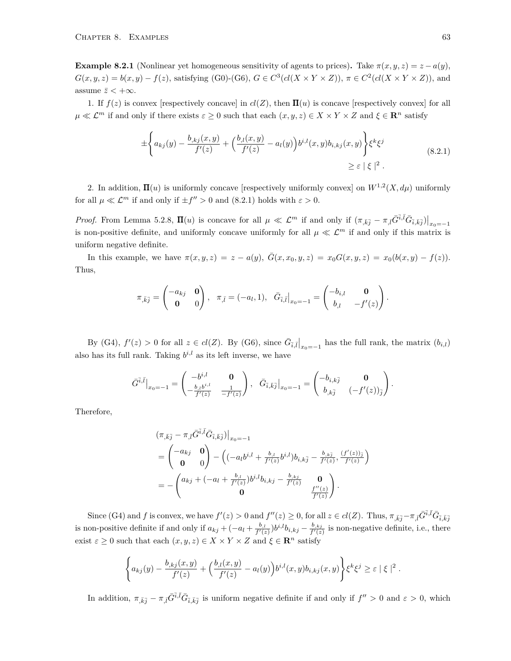**Example 8.2.1** (Nonlinear yet homogeneous sensitivity of agents to prices). Take  $\pi(x, y, z) = z - a(y)$ ,  $G(x, y, z) = b(x, y) - f(z)$ , satisfying (G0)-(G6),  $G \in C^{3}(cl(X \times Y \times Z))$ ,  $\pi \in C^{2}(cl(X \times Y \times Z))$ , and assume  $\bar{z}$  <  $+\infty$ .

1. If  $f(z)$  is convex [respectively concave] in  $cl(Z)$ , then  $\Pi(u)$  is concave [respectively convex] for all  $\mu \ll \mathcal{L}^m$  if and only if there exists  $\varepsilon \geq 0$  such that each  $(x, y, z) \in X \times Y \times Z$  and  $\xi \in \mathbb{R}^n$  satisfy

$$
\pm \left\{ a_{kj}(y) - \frac{b_{,kj}(x,y)}{f'(z)} + \left( \frac{b_{,l}(x,y)}{f'(z)} - a_{l}(y) \right) b^{i,l}(x,y) b_{i,kj}(x,y) \right\} \xi^{k} \xi^{j} \n\ge \varepsilon |\xi|^{2}.
$$
\n(8.2.1)

2. In addition,  $\Pi(u)$  is uniformly concave [respectively uniformly convex] on  $W^{1,2}(X, d\mu)$  uniformly for all  $\mu \ll \mathcal{L}^m$  if and only if  $\pm f'' > 0$  and (8.2.1) holds with  $\varepsilon > 0$ .

*Proof.* From Lemma 5.2.8,  $\Pi(u)$  is concave for all  $\mu \ll \mathcal{L}^m$  if and only if  $(\pi_{,\bar{k}\bar{j}} - \pi_{,\bar{l}}\bar{G}^{\bar{i},\bar{l}}\bar{G}_{\bar{i},\bar{k}\bar{j}})|_{x_0=-1}$ is non-positive definite, and uniformly concave uniformly for all  $\mu \ll \mathcal{L}^m$  if and only if this matrix is uniform negative definite.

In this example, we have  $\pi(x, y, z) = z - a(y)$ ,  $\bar{G}(x, x_0, y, z) = x_0 G(x, y, z) = x_0 (b(x, y) - f(z)).$ Thus,

$$
\pi_{,\bar{k}\bar{j}} = \begin{pmatrix} -a_{kj} & \mathbf{0} \\ \mathbf{0} & 0 \end{pmatrix}, \quad \pi_{,\bar{l}} = (-a_l, 1), \quad \bar{G}_{\bar{i},\bar{l}}\big|_{x_0=-1} = \begin{pmatrix} -b_{i,l} & \mathbf{0} \\ b_{,l} & -f'(z) \end{pmatrix}.
$$

By (G4),  $f'(z) > 0$  for all  $z \in cl(Z)$ . By (G6), since  $\bar{G}_{\bar{i},\bar{l}}|_{x_0=-1}$  has the full rank, the matrix  $(b_{i,l})$ also has its full rank. Taking  $b^{i,l}$  as its left inverse, we have

$$
\bar{G}^{\bar{i},\bar{l}}\big|_{x_0=-1} = \begin{pmatrix} -b^{i,l} & \mathbf{0} \\ -\frac{b_{,l}b^{i,l}}{f'(z)} & \frac{1}{-f'(z)} \end{pmatrix}, \quad \bar{G}_{\bar{i},\bar{k}\bar{j}}\big|_{x_0=-1} = \begin{pmatrix} -b_{i,k\bar{j}} & \mathbf{0} \\ b_{,k\bar{j}} & (-f'(z))_{\bar{j}} \end{pmatrix}.
$$

Therefore,

$$
(\pi_{,\bar{k}\bar{j}} - \pi_{,\bar{l}}\bar{G}^{\bar{i},\bar{l}}\bar{G}_{\bar{i},\bar{k}\bar{j}})|_{x_0=-1}
$$
  
=  $\begin{pmatrix} -a_{kj} & \mathbf{0} \\ \mathbf{0} & 0 \end{pmatrix} - \left( (-a_l b^{i,l} + \frac{b_{,l}}{f'(z)} b^{i,l}) b_{i,k\bar{j}} - \frac{b_{,k\bar{j}}}{f'(z)}, \frac{(f'(z))\bar{j}}{f'(z)} \right)$   
=  $-\begin{pmatrix} a_{kj} + (-a_l + \frac{b_{,l}}{f'(z)}) b^{i,l} b_{i,kj} - \frac{b_{,kj}}{f'(z)} & \mathbf{0} \\ \mathbf{0} & \frac{f''(z)}{f'(z)} \end{pmatrix}.$ 

Since (G4) and f is convex, we have  $f'(z) > 0$  and  $f''(z) \ge 0$ , for all  $z \in cl(Z)$ . Thus,  $\pi_{,\bar{k},\bar{j}} - \pi_{,\bar{l}} \bar{G}^{\bar{i},\bar{l}} \bar{G}_{\bar{i},\bar{k},\bar{j}}$ is non-positive definite if and only if  $a_{kj} + (-a_l + \frac{b_{,l}}{f'(z)})b^{i,l}b_{i,kj} - \frac{b_{,kj}}{f'(z)}$  is non-negative definite, i.e., there exist  $\varepsilon \geq 0$  such that each  $(x, y, z) \in X \times Y \times Z$  and  $\xi \in \mathbb{R}^n$  satisfy

$$
\left\{ a_{kj}(y) - \frac{b_{,kj}(x,y)}{f'(z)} + \Big( \frac{b_{,l}(x,y)}{f'(z)} - a_{l}(y) \Big) b^{i,l}(x,y) b_{i,kj}(x,y) \right\} \xi^{k} \xi^{j} \geq \varepsilon | \xi |^{2}.
$$

In addition,  $\pi_{,\bar{k}\bar{j}} - \pi_{,\bar{l}}\bar{G}^{\bar{i},\bar{l}}\bar{G}_{\bar{i},\bar{k}\bar{j}}$  is uniform negative definite if and only if  $f'' > 0$  and  $\varepsilon > 0$ , which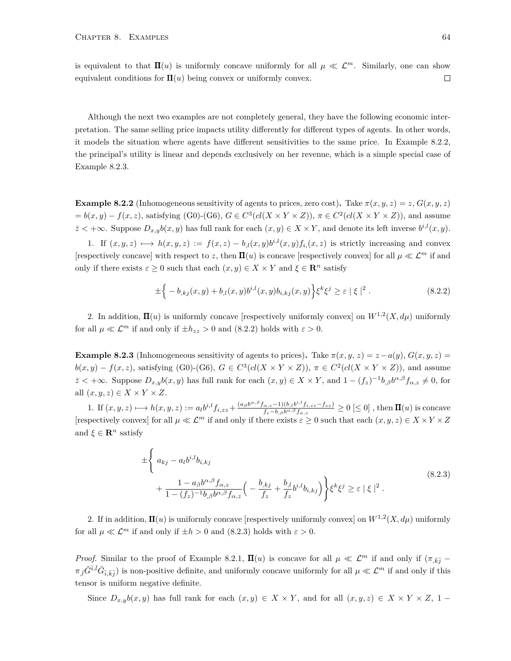is equivalent to that  $\Pi(u)$  is uniformly concave uniformly for all  $\mu \ll \mathcal{L}^m$ . Similarly, one can show equivalent conditions for  $\Pi(u)$  being convex or uniformly convex.  $\Box$ 

Although the next two examples are not completely general, they have the following economic interpretation. The same selling price impacts utility differently for different types of agents. In other words, it models the situation where agents have different sensitivities to the same price. In Example 8*.*2*.*2, the principal's utility is linear and depends exclusively on her revenue, which is a simple special case of Example 8*.*2*.*3.

**Example 8.2.2** (Inhomogeneous sensitivity of agents to prices, zero cost). Take  $\pi(x, y, z) = z$ ,  $G(x, y, z)$  $= b(x, y) - f(x, z)$ , satisfying (G0)-(G6),  $G \in C^{3}(cl(X \times Y \times Z))$ ,  $\pi \in C^{2}(cl(X \times Y \times Z))$ , and assume *z* < +∞. Suppose  $D_{x,y}b(x, y)$  has full rank for each  $(x, y) \in X \times Y$ , and denote its left inverse  $b^{i,l}(x, y)$ .

1. If  $(x, y, z) \mapsto h(x, y, z) := f(x, z) - b$ , $l(x, y)b^{i,l}(x, y)f_i(x, z)$  is strictly increasing and convex [respectively concave] with respect to z, then  $\Pi(u)$  is concave [respectively convex] for all  $\mu \ll \mathcal{L}^m$  if and only if there exists  $\varepsilon > 0$  such that each  $(x, y) \in X \times Y$  and  $\xi \in \mathbb{R}^n$  satisfy

$$
\pm \Big\{ -b_{,kj}(x,y) + b_{,l}(x,y)b^{i,l}(x,y)b_{i,kj}(x,y) \Big\} \xi^k \xi^j \geq \varepsilon \mid \xi \mid^2. \tag{8.2.2}
$$

2. In addition,  $\Pi(u)$  is uniformly concave [respectively uniformly convex] on  $W^{1,2}(X, d\mu)$  uniformly for all  $\mu \ll \mathcal{L}^m$  if and only if  $\pm h_{zz} > 0$  and (8.2.2) holds with  $\varepsilon > 0$ .

**Example 8.2.3** (Inhomogeneous sensitivity of agents to prices). Take  $\pi(x, y, z) = z - a(y)$ ,  $G(x, y, z) = z$  $b(x, y) - f(x, z)$ , satisfying (G0)-(G6),  $G \in C^{3}(cl(X \times Y \times Z))$ ,  $\pi \in C^{2}(cl(X \times Y \times Z))$ , and assume  $\bar{z} < +\infty$ . Suppose  $D_{x,y}b(x,y)$  has full rank for each  $(x,y) \in X \times Y$ , and  $1-(f_z)^{-1}b_{,\beta}b^{\alpha,\beta}f_{\alpha,z} \neq 0$ , for all  $(x, y, z) \in X \times Y \times Z$ .

1. If  $(x, y, z) \mapsto h(x, y, z) := a_l b^{i,l} f_{i,zz} + \frac{(a_\beta b^{\alpha,\beta} f_{\alpha,z}-1)(b_\beta b^{i,l} f_{i,zz} - f_{zz})}{f_{\alpha,\beta} b^{\alpha,\beta} f_{\alpha,z}}$  $f_{z}$ <sup>*a*</sup>,*z*<sup>*z*</sup></sub>  $f_{z}$ <sup>*d*</sup>  $g_{\alpha,\beta}$ <sup>*f*</sup><sub>*a*,*z*</sub>  $\geq 0$  [≤ 0], then  $\Pi(u)$  is concave [respectively convex] for all  $\mu \ll \mathcal{L}^m$  if and only if there exists  $\varepsilon \geq 0$  such that each  $(x, y, z) \in X \times Y \times Z$ and  $\xi \in \mathbb{R}^n$  satisfy

$$
\pm \left\{ a_{kj} - a_l b^{i,l} b_{i,kj} + \frac{1 - a_\beta b^{\alpha,\beta} f_{\alpha,z}}{1 - (f_z)^{-1} b_\beta b^{\alpha,\beta} f_{\alpha,z}} \left( -\frac{b_{,kj}}{f_z} + \frac{b_{,l}}{f_z} b^{i,l} b_{i,kj} \right) \right\} \xi^k \xi^j \ge \varepsilon |\xi|^2.
$$
\n(8.2.3)

2. If in addition,  $\Pi(u)$  is uniformly concave [respectively uniformly convex] on  $W^{1,2}(X, d\mu)$  uniformly for all  $\mu \ll \mathcal{L}^m$  if and only if  $\pm h > 0$  and (8.2.3) holds with  $\varepsilon > 0$ .

*Proof.* Similar to the proof of Example 8.2.1,  $\Pi(u)$  is concave for all  $\mu \ll L^m$  if and only if  $(\pi_{\bar{k}\bar{j}} \pi_{,\bar{l}}\bar{G}^{\bar{i},\bar{l}}\bar{G}_{\bar{i},\bar{k}\bar{j}}$  is non-positive definite, and uniformly concave uniformly for all  $\mu \ll \mathcal{L}^m$  if and only if this tensor is uniform negative definite.

Since  $D_{x,y}b(x,y)$  has full rank for each  $(x,y) \in X \times Y$ , and for all  $(x,y,z) \in X \times Y \times Z$ , 1 −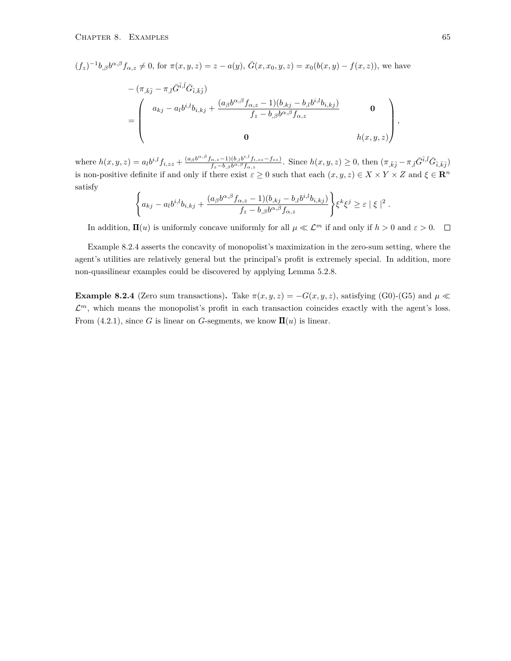$(f_z)^{-1}b_{,\beta}b^{\alpha,\beta}f_{\alpha,z}\neq 0$ , for  $\pi(x,y,z)=z-a(y), \bar{G}(x,x_0,y,z)=x_0(b(x,y)-f(x,z))$ , we have

$$
-(\pi_{,\bar{k}_{J}} - \pi_{,\bar{l}}\bar{G}^{\bar{i},\bar{l}}\bar{G}_{\bar{i},\bar{k}_{J}}) = \begin{pmatrix} a_{kj} - a_{l}b^{i,l}b_{i,kj} + \frac{(a_{\beta}b^{\alpha,\beta}f_{\alpha,z} - 1)(b_{,kj} - b_{,l}b^{i,l}b_{i,kj})}{f_{z} - b_{,\beta}b^{\alpha,\beta}f_{\alpha,z}} & 0 \\ 0 & 0 & h(x,y,z) \end{pmatrix},
$$

where  $h(x, y, z) = a_l b^{i,l} f_{i,zz} + \frac{(a_\beta b^{\alpha, \beta} f_{\alpha, z} - 1)(b_\beta b^{i,l} f_{i,zz} - f_{zz})}{f_{z} - b_\beta b^{\alpha, \beta} f_{\alpha, z}}$ *fz−b,βbα,βfα,z* . Since *<sup>h</sup>*(*x, y, z*) *<sup>≥</sup>* <sup>0</sup>, then (*π,k*¯¯*<sup>j</sup> <sup>−</sup>π,*¯*lG*¯ ¯*i,*¯*lG*¯¯*i,k*¯¯*<sup>j</sup>* ) is non-positive definite if and only if there exist  $\varepsilon \geq 0$  such that each  $(x, y, z) \in X \times Y \times Z$  and  $\xi \in \mathbb{R}^n$ satisfy

$$
\left\{a_{kj}-a_{l}b^{i,l}b_{i,kj}+\frac{(a_{\beta}b^{\alpha,\beta}f_{\alpha,z}-1)(b_{,kj}-b_{,l}b^{i,l}b_{i,kj})}{f_{z}-b_{,\beta}b^{\alpha,\beta}f_{\alpha,z}}\right\}\xi^{k}\xi^{j}\geq\varepsilon\mid\xi\mid^{2}.
$$

In addition,  $\Pi(u)$  is uniformly concave uniformly for all  $\mu \ll \mathcal{L}^m$  if and only if  $h > 0$  and  $\varepsilon > 0$ .

Example 8.2.4 asserts the concavity of monopolist's maximization in the zero-sum setting, where the agent's utilities are relatively general but the principal's profit is extremely special. In addition, more non-quasilinear examples could be discovered by applying Lemma 5*.*2*.*8.

**Example 8.2.4** (Zero sum transactions). Take  $\pi(x, y, z) = -G(x, y, z)$ , satisfying (G0)-(G5) and  $\mu \ll$  $\mathcal{L}^m$ , which means the monopolist's profit in each transaction coincides exactly with the agent's loss. From (4.2.1), since *G* is linear on *G*-segments, we know  $\Pi(u)$  is linear.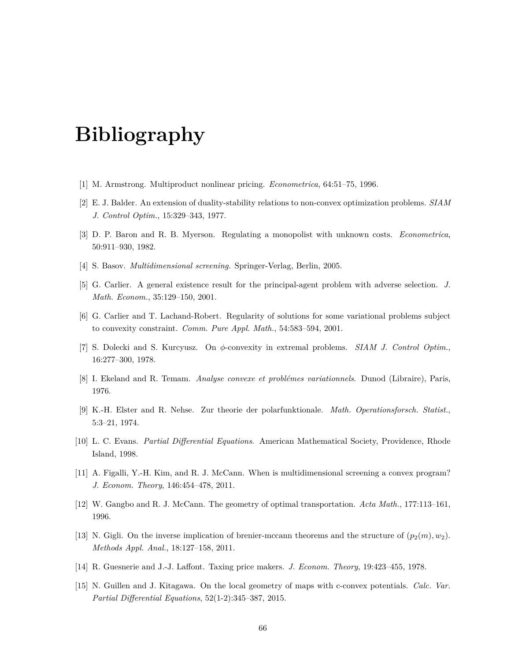# **Bibliography**

- [1] M. Armstrong. Multiproduct nonlinear pricing. *Econometrica*, 64:51–75, 1996.
- [2] E. J. Balder. An extension of duality-stability relations to non-convex optimization problems. *SIAM J. Control Optim.*, 15:329–343, 1977.
- [3] D. P. Baron and R. B. Myerson. Regulating a monopolist with unknown costs. *Econometrica*, 50:911–930, 1982.
- [4] S. Basov. *Multidimensional screening.* Springer-Verlag, Berlin, 2005.
- [5] G. Carlier. A general existence result for the principal-agent problem with adverse selection. *J. Math. Econom.*, 35:129–150, 2001.
- [6] G. Carlier and T. Lachand-Robert. Regularity of solutions for some variational problems subject to convexity constraint. *Comm. Pure Appl. Math.*, 54:583–594, 2001.
- [7] S. Dolecki and S. Kurcyusz. On *ϕ*-convexity in extremal problems. *SIAM J. Control Optim.*, 16:277–300, 1978.
- [8] I. Ekeland and R. Temam. *Analyse convexe et problémes variationnels*. Dunod (Libraire), Paris, 1976.
- [9] K.-H. Elster and R. Nehse. Zur theorie der polarfunktionale. *Math. Operationsforsch. Statist.*, 5:3–21, 1974.
- [10] L. C. Evans. *Partial Differential Equations*. American Mathematical Society, Providence, Rhode Island, 1998.
- [11] A. Figalli, Y.-H. Kim, and R. J. McCann. When is multidimensional screening a convex program? *J. Econom. Theory*, 146:454–478, 2011.
- [12] W. Gangbo and R. J. McCann. The geometry of optimal transportation. *Acta Math.*, 177:113–161, 1996.
- [13] N. Gigli. On the inverse implication of brenier-mccann theorems and the structure of  $(p_2(m), w_2)$ . *Methods Appl. Anal.*, 18:127–158, 2011.
- [14] R. Guesnerie and J.-J. Laffont. Taxing price makers. *J. Econom. Theory*, 19:423–455, 1978.
- [15] N. Guillen and J. Kitagawa. On the local geometry of maps with c-convex potentials. *Calc. Var. Partial Differential Equations*, 52(1-2):345–387, 2015.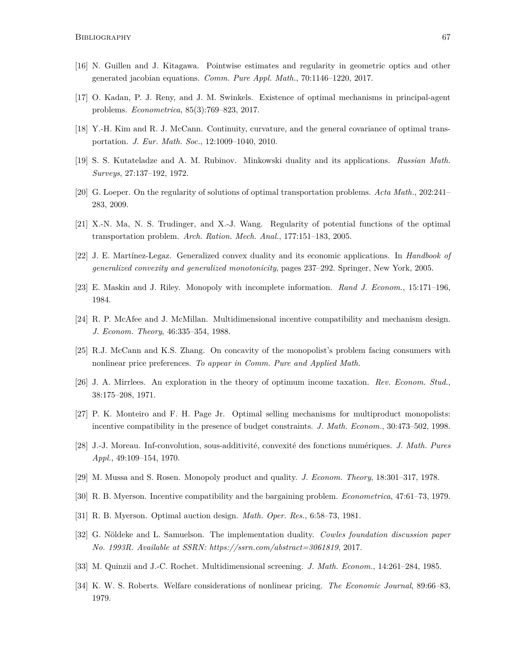- [16] N. Guillen and J. Kitagawa. Pointwise estimates and regularity in geometric optics and other generated jacobian equations. *Comm. Pure Appl. Math.*, 70:1146–1220, 2017.
- [17] O. Kadan, P. J. Reny, and J. M. Swinkels. Existence of optimal mechanisms in principal-agent problems. *Econometrica*, 85(3):769–823, 2017.
- [18] Y.-H. Kim and R. J. McCann. Continuity, curvature, and the general covariance of optimal transportation. *J. Eur. Math. Soc.*, 12:1009–1040, 2010.
- [19] S. S. Kutateladze and A. M. Rubinov. Minkowski duality and its applications. *Russian Math. Surveys*, 27:137–192, 1972.
- [20] G. Loeper. On the regularity of solutions of optimal transportation problems. *Acta Math.*, 202:241– 283, 2009.
- [21] X.-N. Ma, N. S. Trudinger, and X.-J. Wang. Regularity of potential functions of the optimal transportation problem. *Arch. Ration. Mech. Anal.*, 177:151–183, 2005.
- [22] J. E. Martínez-Legaz. Generalized convex duality and its economic applications. In *Handbook of generalized convexity and generalized monotonicity*, pages 237–292. Springer, New York, 2005.
- [23] E. Maskin and J. Riley. Monopoly with incomplete information. *Rand J. Econom.*, 15:171–196, 1984.
- [24] R. P. McAfee and J. McMillan. Multidimensional incentive compatibility and mechanism design. *J. Econom. Theory*, 46:335–354, 1988.
- [25] R.J. McCann and K.S. Zhang. On concavity of the monopolist's problem facing consumers with nonlinear price preferences. *To appear in Comm. Pure and Applied Math.*
- [26] J. A. Mirrlees. An exploration in the theory of optimum income taxation. *Rev. Econom. Stud.*, 38:175–208, 1971.
- [27] P. K. Monteiro and F. H. Page Jr. Optimal selling mechanisms for multiproduct monopolists: incentive compatibility in the presence of budget constraints. *J. Math. Econom.*, 30:473–502, 1998.
- [28] J.-J. Moreau. Inf-convolution, sous-additivité, convexité des fonctions numériques. *J. Math. Pures Appl.*, 49:109–154, 1970.
- [29] M. Mussa and S. Rosen. Monopoly product and quality. *J. Econom. Theory*, 18:301–317, 1978.
- [30] R. B. Myerson. Incentive compatibility and the bargaining problem. *Econometrica*, 47:61–73, 1979.
- [31] R. B. Myerson. Optimal auction design. *Math. Oper. Res.*, 6:58–73, 1981.
- [32] G. Nöldeke and L. Samuelson. The implementation duality. *Cowles foundation discussion paper No. 1993R. Available at SSRN: https://ssrn.com/abstract=3061819*, 2017.
- [33] M. Quinzii and J.-C. Rochet. Multidimensional screening. *J. Math. Econom.*, 14:261–284, 1985.
- [34] K. W. S. Roberts. Welfare considerations of nonlinear pricing. *The Economic Journal*, 89:66–83, 1979.